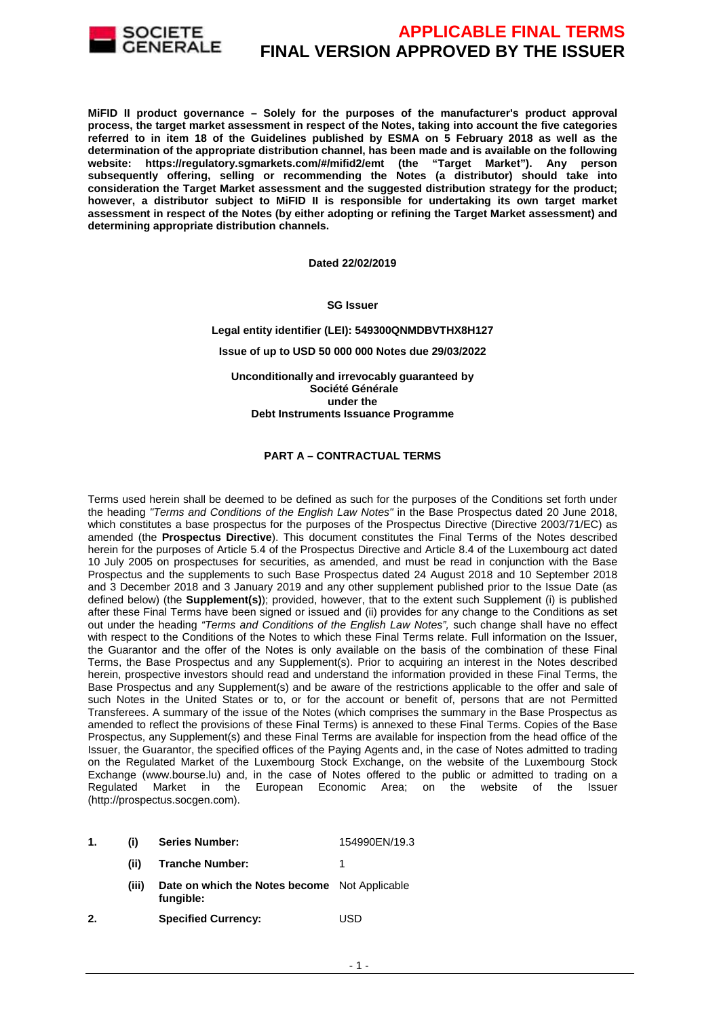

**MiFID II product governance – Solely for the purposes of the manufacturer's product approval process, the target market assessment in respect of the Notes, taking into account the five categories referred to in item 18 of the Guidelines published by ESMA on 5 February 2018 as well as the determination of the appropriate distribution channel, has been made and is available on the following website: https://regulatory.sgmarkets.com/#/mifid2/emt (the "Target Market"). Any person subsequently offering, selling or recommending the Notes (a distributor) should take into consideration the Target Market assessment and the suggested distribution strategy for the product; however, a distributor subject to MiFID II is responsible for undertaking its own target market assessment in respect of the Notes (by either adopting or refining the Target Market assessment) and determining appropriate distribution channels.** 

**Dated 22/02/2019**

**SG Issuer** 

**Legal entity identifier (LEI): 549300QNMDBVTHX8H127**

**Issue of up to USD 50 000 000 Notes due 29/03/2022** 

**Unconditionally and irrevocably guaranteed by Société Générale under the Debt Instruments Issuance Programme**

#### **PART A – CONTRACTUAL TERMS**

Terms used herein shall be deemed to be defined as such for the purposes of the Conditions set forth under the heading "Terms and Conditions of the English Law Notes" in the Base Prospectus dated 20 June 2018, which constitutes a base prospectus for the purposes of the Prospectus Directive (Directive 2003/71/EC) as amended (the **Prospectus Directive**). This document constitutes the Final Terms of the Notes described herein for the purposes of Article 5.4 of the Prospectus Directive and Article 8.4 of the Luxembourg act dated 10 July 2005 on prospectuses for securities, as amended, and must be read in conjunction with the Base Prospectus and the supplements to such Base Prospectus dated 24 August 2018 and 10 September 2018 and 3 December 2018 and 3 January 2019 and any other supplement published prior to the Issue Date (as defined below) (the **Supplement(s)**); provided, however, that to the extent such Supplement (i) is published after these Final Terms have been signed or issued and (ii) provides for any change to the Conditions as set out under the heading "Terms and Conditions of the English Law Notes", such change shall have no effect with respect to the Conditions of the Notes to which these Final Terms relate. Full information on the Issuer, the Guarantor and the offer of the Notes is only available on the basis of the combination of these Final Terms, the Base Prospectus and any Supplement(s). Prior to acquiring an interest in the Notes described herein, prospective investors should read and understand the information provided in these Final Terms, the Base Prospectus and any Supplement(s) and be aware of the restrictions applicable to the offer and sale of such Notes in the United States or to, or for the account or benefit of, persons that are not Permitted Transferees. A summary of the issue of the Notes (which comprises the summary in the Base Prospectus as amended to reflect the provisions of these Final Terms) is annexed to these Final Terms. Copies of the Base Prospectus, any Supplement(s) and these Final Terms are available for inspection from the head office of the Issuer, the Guarantor, the specified offices of the Paying Agents and, in the case of Notes admitted to trading on the Regulated Market of the Luxembourg Stock Exchange, on the website of the Luxembourg Stock Exchange (www.bourse.lu) and, in the case of Notes offered to the public or admitted to trading on a<br>Regulated Market in the European Economic Area; on the website of the Issuer in the European Economic Area; on the website of the Issuer (http://prospectus.socgen.com).

|  |  | <b>Series Number:</b> | 154990EN/19.3 |
|--|--|-----------------------|---------------|
|--|--|-----------------------|---------------|

- **(ii) Tranche Number:** 1
	- **(iii) Date on which the Notes become**  Not Applicable **fungible:**
- **2. Specified Currency:** USD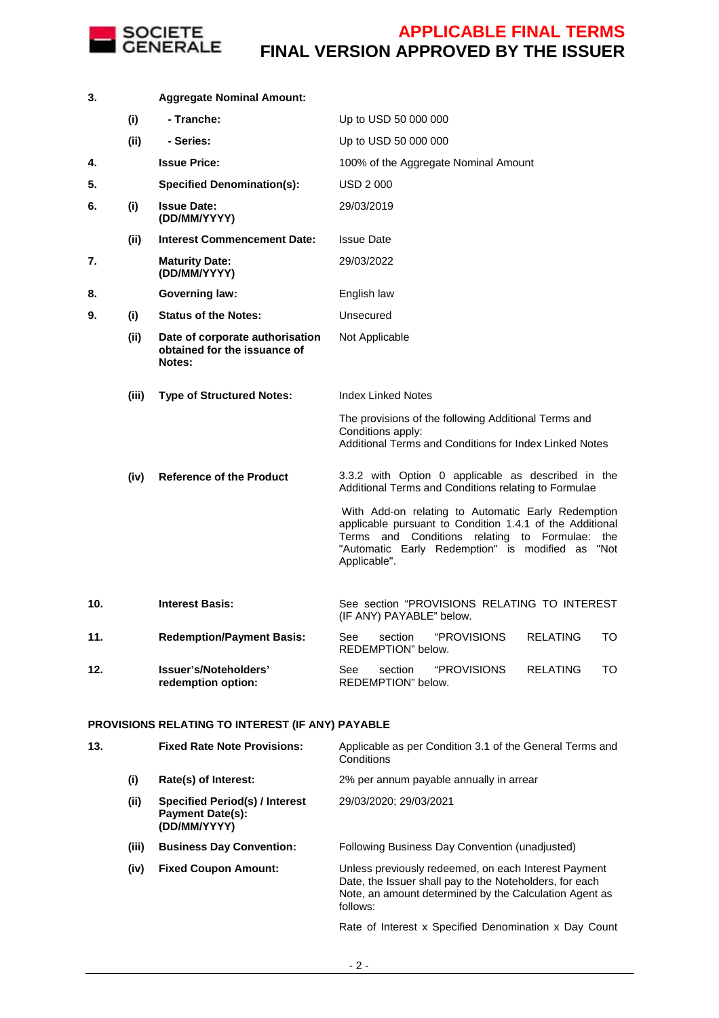

| 3.  |       | <b>Aggregate Nominal Amount:</b>                                          |                                                                                                                                                                                                                                      |
|-----|-------|---------------------------------------------------------------------------|--------------------------------------------------------------------------------------------------------------------------------------------------------------------------------------------------------------------------------------|
|     | (i)   | - Tranche:                                                                | Up to USD 50 000 000                                                                                                                                                                                                                 |
|     | (ii)  | - Series:                                                                 | Up to USD 50 000 000                                                                                                                                                                                                                 |
| 4.  |       | <b>Issue Price:</b>                                                       | 100% of the Aggregate Nominal Amount                                                                                                                                                                                                 |
| 5.  |       | <b>Specified Denomination(s):</b>                                         | USD 2000                                                                                                                                                                                                                             |
| 6.  | (i)   | <b>Issue Date:</b><br>(DD/MM/YYYY)                                        | 29/03/2019                                                                                                                                                                                                                           |
|     | (ii)  | <b>Interest Commencement Date:</b>                                        | <b>Issue Date</b>                                                                                                                                                                                                                    |
| 7.  |       | <b>Maturity Date:</b><br>(DD/MM/YYYY)                                     | 29/03/2022                                                                                                                                                                                                                           |
| 8.  |       | <b>Governing law:</b>                                                     | English law                                                                                                                                                                                                                          |
| 9.  | (i)   | <b>Status of the Notes:</b>                                               | Unsecured                                                                                                                                                                                                                            |
|     | (ii)  | Date of corporate authorisation<br>obtained for the issuance of<br>Notes: | Not Applicable                                                                                                                                                                                                                       |
|     | (iii) | <b>Type of Structured Notes:</b>                                          | <b>Index Linked Notes</b>                                                                                                                                                                                                            |
|     |       |                                                                           | The provisions of the following Additional Terms and<br>Conditions apply:<br>Additional Terms and Conditions for Index Linked Notes                                                                                                  |
|     | (iv)  | <b>Reference of the Product</b>                                           | 3.3.2 with Option 0 applicable as described in the<br>Additional Terms and Conditions relating to Formulae                                                                                                                           |
|     |       |                                                                           | With Add-on relating to Automatic Early Redemption<br>applicable pursuant to Condition 1.4.1 of the Additional<br>Terms and Conditions relating to Formulae: the<br>"Automatic Early Redemption" is modified as "Not<br>Applicable". |
| 10. |       | <b>Interest Basis:</b>                                                    | See section "PROVISIONS RELATING TO INTEREST<br>(IF ANY) PAYABLE" below.                                                                                                                                                             |
| 11. |       | <b>Redemption/Payment Basis:</b>                                          | "PROVISIONS<br><b>RELATING</b><br>TO<br>See<br>section<br>REDEMPTION" below.                                                                                                                                                         |
| 12. |       | Issuer's/Noteholders'<br>redemption option:                               | "PROVISIONS<br><b>RELATING</b><br>TO<br>See<br>section<br>REDEMPTION" below.                                                                                                                                                         |

### **PROVISIONS RELATING TO INTEREST (IF ANY) PAYABLE**

| 13. |       | <b>Fixed Rate Note Provisions:</b>                                        | Applicable as per Condition 3.1 of the General Terms and<br>Conditions                                                                                                                |
|-----|-------|---------------------------------------------------------------------------|---------------------------------------------------------------------------------------------------------------------------------------------------------------------------------------|
|     | (i)   | Rate(s) of Interest:                                                      | 2% per annum payable annually in arrear                                                                                                                                               |
|     | (ii)  | Specified Period(s) / Interest<br><b>Payment Date(s):</b><br>(DD/MM/YYYY) | 29/03/2020; 29/03/2021                                                                                                                                                                |
|     | (iii) | <b>Business Day Convention:</b>                                           | Following Business Day Convention (unadjusted)                                                                                                                                        |
|     | (iv)  | <b>Fixed Coupon Amount:</b>                                               | Unless previously redeemed, on each Interest Payment<br>Date, the Issuer shall pay to the Noteholders, for each<br>Note, an amount determined by the Calculation Agent as<br>follows: |
|     |       |                                                                           | Rate of Interest x Specified Denomination x Day Count                                                                                                                                 |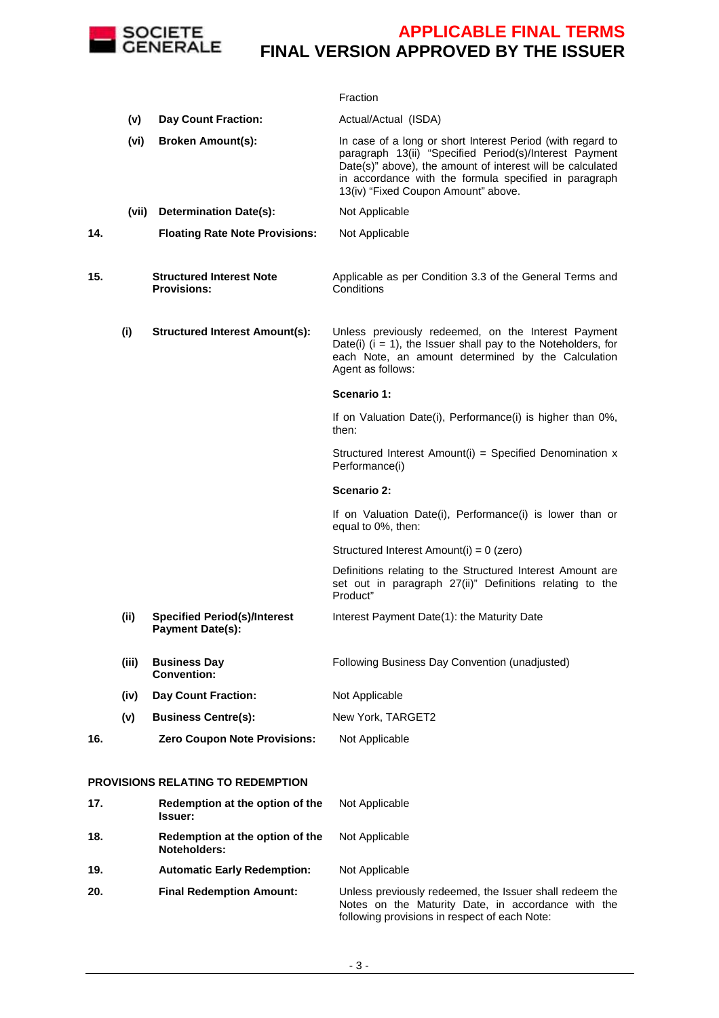

|     |       |                                                                | Fraction                                                                                                                                                                                                                                                                           |
|-----|-------|----------------------------------------------------------------|------------------------------------------------------------------------------------------------------------------------------------------------------------------------------------------------------------------------------------------------------------------------------------|
|     | (v)   | <b>Day Count Fraction:</b>                                     | Actual/Actual (ISDA)                                                                                                                                                                                                                                                               |
|     | (vi)  | <b>Broken Amount(s):</b>                                       | In case of a long or short Interest Period (with regard to<br>paragraph 13(ii) "Specified Period(s)/Interest Payment<br>Date(s)" above), the amount of interest will be calculated<br>in accordance with the formula specified in paragraph<br>13(iv) "Fixed Coupon Amount" above. |
|     | (vii) | <b>Determination Date(s):</b>                                  | Not Applicable                                                                                                                                                                                                                                                                     |
| 14. |       | <b>Floating Rate Note Provisions:</b>                          | Not Applicable                                                                                                                                                                                                                                                                     |
| 15. |       | <b>Structured Interest Note</b><br><b>Provisions:</b>          | Applicable as per Condition 3.3 of the General Terms and<br>Conditions                                                                                                                                                                                                             |
|     | (i)   | <b>Structured Interest Amount(s):</b>                          | Unless previously redeemed, on the Interest Payment<br>Date(i) $(i = 1)$ , the Issuer shall pay to the Noteholders, for<br>each Note, an amount determined by the Calculation<br>Agent as follows:                                                                                 |
|     |       |                                                                | Scenario 1:                                                                                                                                                                                                                                                                        |
|     |       |                                                                | If on Valuation Date(i), Performance(i) is higher than 0%,<br>then:                                                                                                                                                                                                                |
|     |       |                                                                | Structured Interest Amount(i) = Specified Denomination x<br>Performance(i)                                                                                                                                                                                                         |
|     |       |                                                                | Scenario 2:                                                                                                                                                                                                                                                                        |
|     |       |                                                                | If on Valuation Date(i), Performance(i) is lower than or<br>equal to 0%, then:                                                                                                                                                                                                     |
|     |       |                                                                | Structured Interest Amount(i) = 0 (zero)                                                                                                                                                                                                                                           |
|     |       |                                                                | Definitions relating to the Structured Interest Amount are<br>set out in paragraph 27(ii)" Definitions relating to the<br>Product"                                                                                                                                                 |
|     | (ii)  | <b>Specified Period(s)/Interest</b><br><b>Payment Date(s):</b> | Interest Payment Date(1): the Maturity Date                                                                                                                                                                                                                                        |
|     | (iii) | <b>Business Day</b><br><b>Convention:</b>                      | Following Business Day Convention (unadjusted)                                                                                                                                                                                                                                     |
|     | (iv)  | <b>Day Count Fraction:</b>                                     | Not Applicable                                                                                                                                                                                                                                                                     |
|     | (v)   | <b>Business Centre(s):</b>                                     | New York, TARGET2                                                                                                                                                                                                                                                                  |
| 16. |       | <b>Zero Coupon Note Provisions:</b>                            | Not Applicable                                                                                                                                                                                                                                                                     |
|     |       | PROVISIONS RELATING TO REDEMPTION                              |                                                                                                                                                                                                                                                                                    |

#### **17. Redemption at the option of the Issuer:** Not Applicable **18. Redemption at the option of the Noteholders:** Not Applicable **19. Automatic Early Redemption:** Not Applicable **20. Final Redemption Amount:** Unless previously redeemed, the Issuer shall redeem the Notes on the Maturity Date, in accordance with the following provisions in respect of each Note: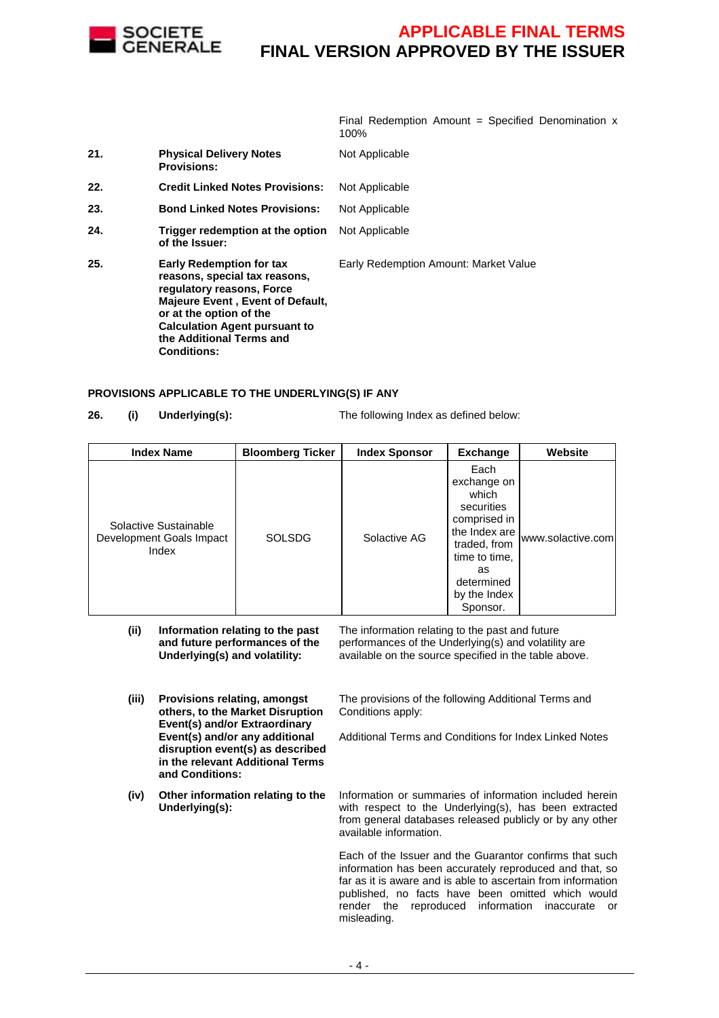

Final Redemption Amount = Specified Denomination  $x$ 100%

| 21. | <b>Physical Delivery Notes</b><br><b>Provisions:</b>                                                                                                                                                                                                   | Not Applicable                        |
|-----|--------------------------------------------------------------------------------------------------------------------------------------------------------------------------------------------------------------------------------------------------------|---------------------------------------|
| 22. | <b>Credit Linked Notes Provisions:</b>                                                                                                                                                                                                                 | Not Applicable                        |
| 23. | <b>Bond Linked Notes Provisions:</b>                                                                                                                                                                                                                   | Not Applicable                        |
| 24. | Trigger redemption at the option<br>of the Issuer:                                                                                                                                                                                                     | Not Applicable                        |
| 25. | <b>Early Redemption for tax</b><br>reasons, special tax reasons,<br>regulatory reasons, Force<br>Majeure Event, Event of Default,<br>or at the option of the<br><b>Calculation Agent pursuant to</b><br>the Additional Terms and<br><b>Conditions:</b> | Early Redemption Amount: Market Value |

#### **PROVISIONS APPLICABLE TO THE UNDERLYING(S) IF ANY**

**26. (i) Underlying(s):** The following Index as defined below:

| <b>Index Name</b>                                          | <b>Bloomberg Ticker</b> | <b>Index Sponsor</b> | <b>Exchange</b>                                                                                                                                              | Website           |
|------------------------------------------------------------|-------------------------|----------------------|--------------------------------------------------------------------------------------------------------------------------------------------------------------|-------------------|
| Solactive Sustainable<br>Development Goals Impact<br>Index | <b>SOLSDG</b>           | Solactive AG         | Each<br>exchange on<br>which<br>securities<br>comprised in<br>the Index are<br>traded, from<br>time to time,<br>as<br>determined<br>by the Index<br>Sponsor. | www.solactive.com |
| $\cdots$<br>$\cdots$                                       |                         |                      |                                                                                                                                                              |                   |

- **(ii) Information relating to the past and future performances of the Underlying(s) and volatility:** The information relating to the past and future performances of the Underlying(s) and volatility are available on the source specified in the table above.
- **(iii) Provisions relating, amongst others, to the Market Disruption Event(s) and/or Extraordinary Event(s) and/or any additional disruption event(s) as described in the relevant Additional Terms and Conditions:** The provisions of the following Additional Terms and Conditions apply: Additional Terms and Conditions for Index Linked Notes
- **(iv) Other information relating to the Underlying(s):**

Information or summaries of information included herein with respect to the Underlying(s), has been extracted from general databases released publicly or by any other available information.

Each of the Issuer and the Guarantor confirms that such information has been accurately reproduced and that, so far as it is aware and is able to ascertain from information published, no facts have been omitted which would render the reproduced information inaccurate or misleading.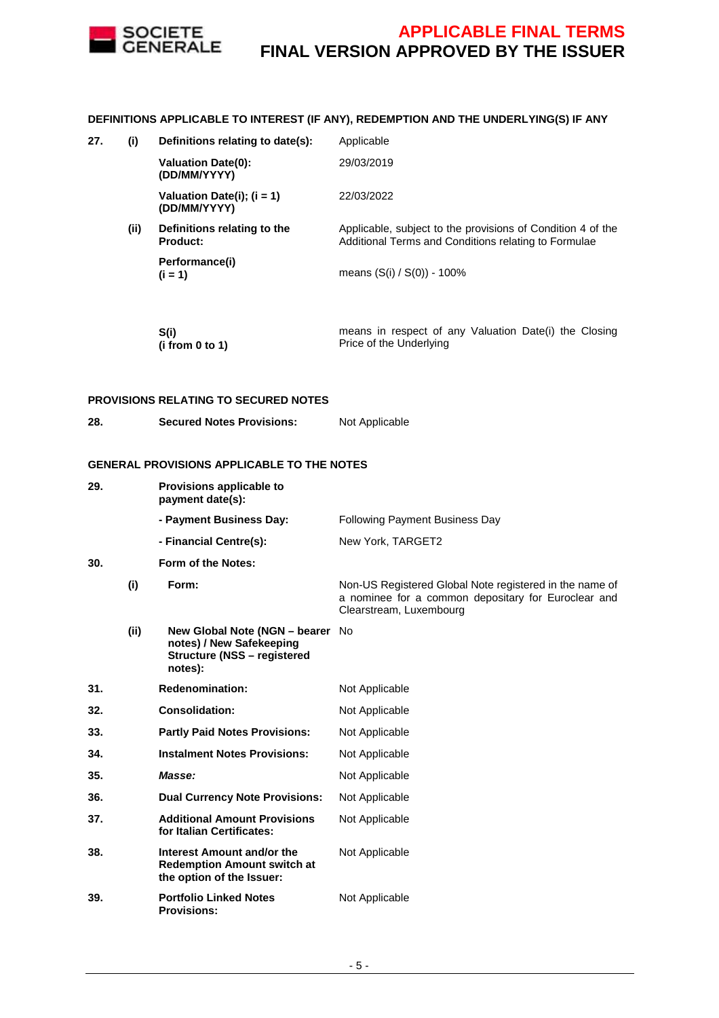

#### **DEFINITIONS APPLICABLE TO INTEREST (IF ANY), REDEMPTION AND THE UNDERLYING(S) IF ANY**

**27. (i) Definitions relating to date(s):** Applicable

|      | <b>Valuation Date(0):</b><br>(DD/MM/YYYY)      | 29/03/2019                                                                                                          |
|------|------------------------------------------------|---------------------------------------------------------------------------------------------------------------------|
|      | Valuation Date(i); $(i = 1)$<br>(DD/MM/YYYY)   | 22/03/2022                                                                                                          |
| (ii) | Definitions relating to the<br><b>Product:</b> | Applicable, subject to the provisions of Condition 4 of the<br>Additional Terms and Conditions relating to Formulae |
|      | Performance(i)<br>$(i = 1)$                    | means $(S(i) / S(0))$ - 100%                                                                                        |
|      |                                                |                                                                                                                     |

| – S(i)          | means in respect of any Valuation Date(i) the Closing |
|-----------------|-------------------------------------------------------|
| (i from 0 to 1) | Price of the Underlying                               |

#### **PROVISIONS RELATING TO SECURED NOTES**

**28. Secured Notes Provisions:** Not Applicable

#### **GENERAL PROVISIONS APPLICABLE TO THE NOTES**

| 29. |      | Provisions applicable to<br>payment date(s):                                                                  |                                                                                                                                           |
|-----|------|---------------------------------------------------------------------------------------------------------------|-------------------------------------------------------------------------------------------------------------------------------------------|
|     |      | - Payment Business Day:                                                                                       | <b>Following Payment Business Day</b>                                                                                                     |
|     |      | - Financial Centre(s):                                                                                        | New York, TARGET2                                                                                                                         |
| 30. |      | Form of the Notes:                                                                                            |                                                                                                                                           |
|     | (i)  | Form:                                                                                                         | Non-US Registered Global Note registered in the name of<br>a nominee for a common depositary for Euroclear and<br>Clearstream, Luxembourg |
|     | (ii) | New Global Note (NGN - bearer No<br>notes) / New Safekeeping<br><b>Structure (NSS - registered</b><br>notes): |                                                                                                                                           |
| 31. |      | <b>Redenomination:</b>                                                                                        | Not Applicable                                                                                                                            |
| 32. |      | <b>Consolidation:</b>                                                                                         | Not Applicable                                                                                                                            |
| 33. |      | <b>Partly Paid Notes Provisions:</b>                                                                          | Not Applicable                                                                                                                            |
| 34. |      | <b>Instalment Notes Provisions:</b>                                                                           | Not Applicable                                                                                                                            |
| 35. |      | Masse:                                                                                                        | Not Applicable                                                                                                                            |
| 36. |      | <b>Dual Currency Note Provisions:</b>                                                                         | Not Applicable                                                                                                                            |
| 37. |      | <b>Additional Amount Provisions</b><br>for Italian Certificates:                                              | Not Applicable                                                                                                                            |
| 38. |      | Interest Amount and/or the<br><b>Redemption Amount switch at</b><br>the option of the Issuer:                 | Not Applicable                                                                                                                            |
| 39. |      | <b>Portfolio Linked Notes</b><br><b>Provisions:</b>                                                           | Not Applicable                                                                                                                            |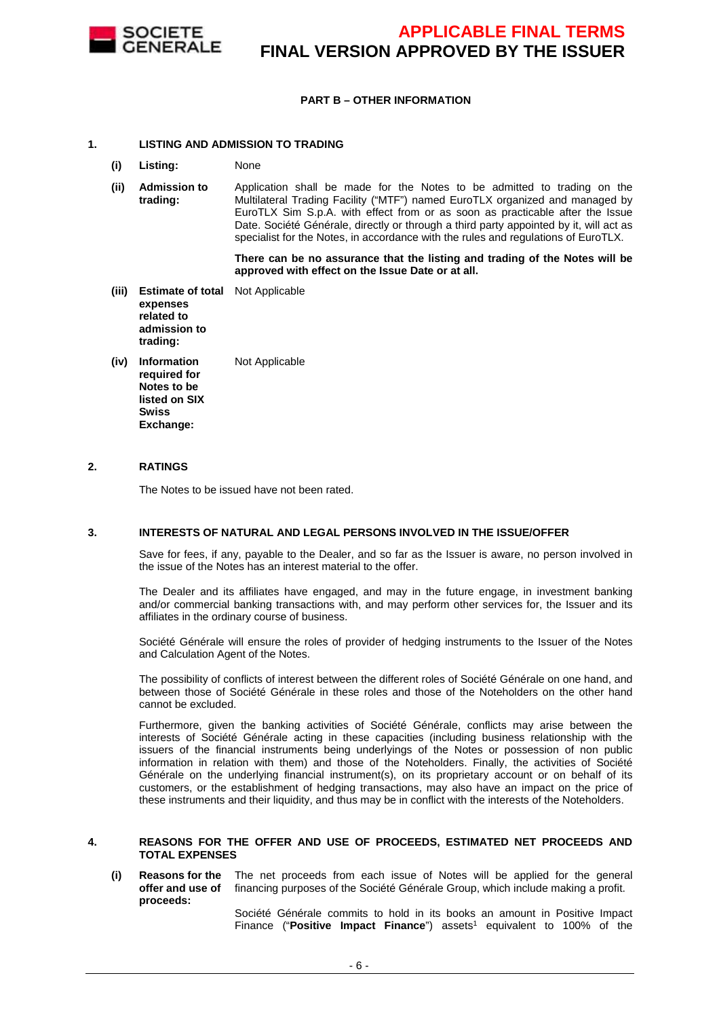

#### **PART B – OTHER INFORMATION**

#### **1. LISTING AND ADMISSION TO TRADING**

- **(i) Listing:** None
- **(ii) Admission to trading:** Application shall be made for the Notes to be admitted to trading on the Multilateral Trading Facility ("MTF") named EuroTLX organized and managed by EuroTLX Sim S.p.A. with effect from or as soon as practicable after the Issue Date. Société Générale, directly or through a third party appointed by it, will act as specialist for the Notes, in accordance with the rules and regulations of EuroTLX.

 **There can be no assurance that the listing and trading of the Notes will be approved with effect on the Issue Date or at all.**

- **(iii) Estimate of total**  Not Applicable **expenses related to admission to trading:**
- **(iv) Information required for Notes to be listed on SIX Swiss Exchange:** Not Applicable

#### **2. RATINGS**

The Notes to be issued have not been rated.

#### **3. INTERESTS OF NATURAL AND LEGAL PERSONS INVOLVED IN THE ISSUE/OFFER**

 Save for fees, if any, payable to the Dealer, and so far as the Issuer is aware, no person involved in the issue of the Notes has an interest material to the offer.

The Dealer and its affiliates have engaged, and may in the future engage, in investment banking and/or commercial banking transactions with, and may perform other services for, the Issuer and its affiliates in the ordinary course of business.

Société Générale will ensure the roles of provider of hedging instruments to the Issuer of the Notes and Calculation Agent of the Notes.

The possibility of conflicts of interest between the different roles of Société Générale on one hand, and between those of Société Générale in these roles and those of the Noteholders on the other hand cannot be excluded.

 Furthermore, given the banking activities of Société Générale, conflicts may arise between the interests of Société Générale acting in these capacities (including business relationship with the issuers of the financial instruments being underlyings of the Notes or possession of non public information in relation with them) and those of the Noteholders. Finally, the activities of Société Générale on the underlying financial instrument(s), on its proprietary account or on behalf of its customers, or the establishment of hedging transactions, may also have an impact on the price of these instruments and their liquidity, and thus may be in conflict with the interests of the Noteholders.

#### **4. REASONS FOR THE OFFER AND USE OF PROCEEDS, ESTIMATED NET PROCEEDS AND TOTAL EXPENSES**

#### **(i) Reasons for the offer and use of proceeds:** The net proceeds from each issue of Notes will be applied for the general financing purposes of the Société Générale Group, which include making a profit.

Société Générale commits to hold in its books an amount in Positive Impact Finance ("Positive Impact Finance") assets<sup>1</sup> equivalent to 100% of the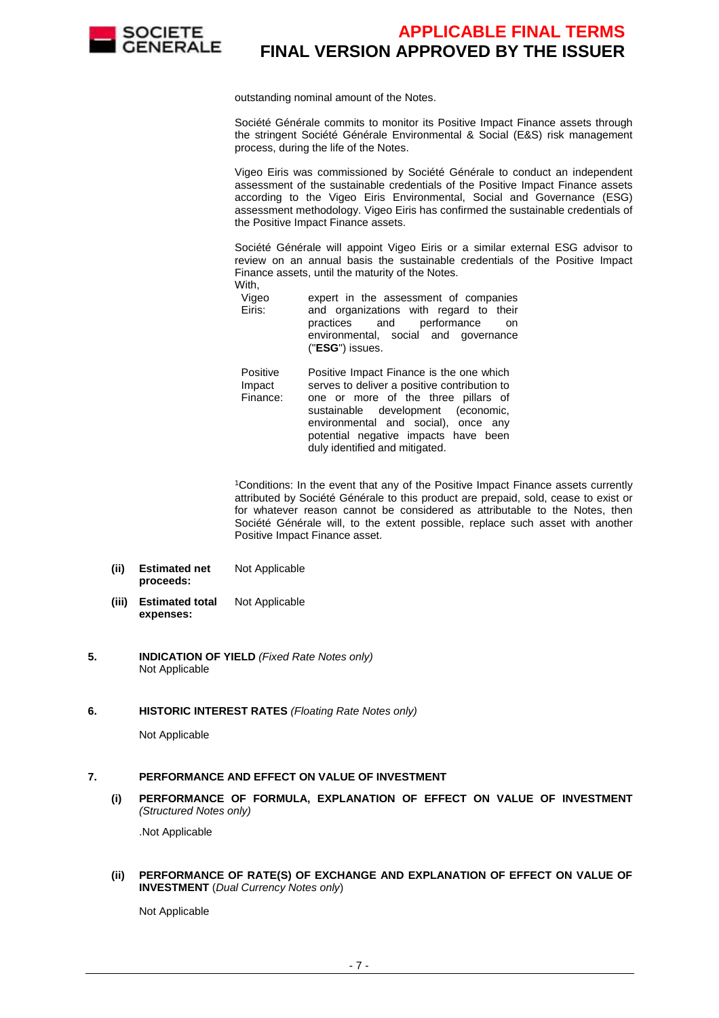

outstanding nominal amount of the Notes.

Société Générale commits to monitor its Positive Impact Finance assets through the stringent Société Générale Environmental & Social (E&S) risk management process, during the life of the Notes.

Vigeo Eiris was commissioned by Société Générale to conduct an independent assessment of the sustainable credentials of the Positive Impact Finance assets according to the Vigeo Eiris Environmental, Social and Governance (ESG) assessment methodology. Vigeo Eiris has confirmed the sustainable credentials of the Positive Impact Finance assets.

Société Générale will appoint Vigeo Eiris or a similar external ESG advisor to review on an annual basis the sustainable credentials of the Positive Impact Finance assets, until the maturity of the Notes. With,

Vigeo Eiris: expert in the assessment of companies and organizations with regard to their practices and performance on environmental, social and governance ("**ESG**") issues.

Positive Impact Finance: Positive Impact Finance is the one which serves to deliver a positive contribution to one or more of the three pillars of sustainable development (economic, environmental and social), once any potential negative impacts have been duly identified and mitigated.

<sup>1</sup>Conditions: In the event that any of the Positive Impact Finance assets currently attributed by Société Générale to this product are prepaid, sold, cease to exist or for whatever reason cannot be considered as attributable to the Notes, then Société Générale will, to the extent possible, replace such asset with another Positive Impact Finance asset.

- **(ii) Estimated net proceeds:** Not Applicable
- **(iii) Estimated total expenses:** Not Applicable
- **5. INDICATION OF YIELD** (Fixed Rate Notes only) Not Applicable
- **6. HISTORIC INTEREST RATES** (Floating Rate Notes only)

Not Applicable

#### **7. PERFORMANCE AND EFFECT ON VALUE OF INVESTMENT**

**(i) PERFORMANCE OF FORMULA, EXPLANATION OF EFFECT ON VALUE OF INVESTMENT**  (Structured Notes only)

.Not Applicable

**(ii) PERFORMANCE OF RATE(S) OF EXCHANGE AND EXPLANATION OF EFFECT ON VALUE OF INVESTMENT** (Dual Currency Notes only)

Not Applicable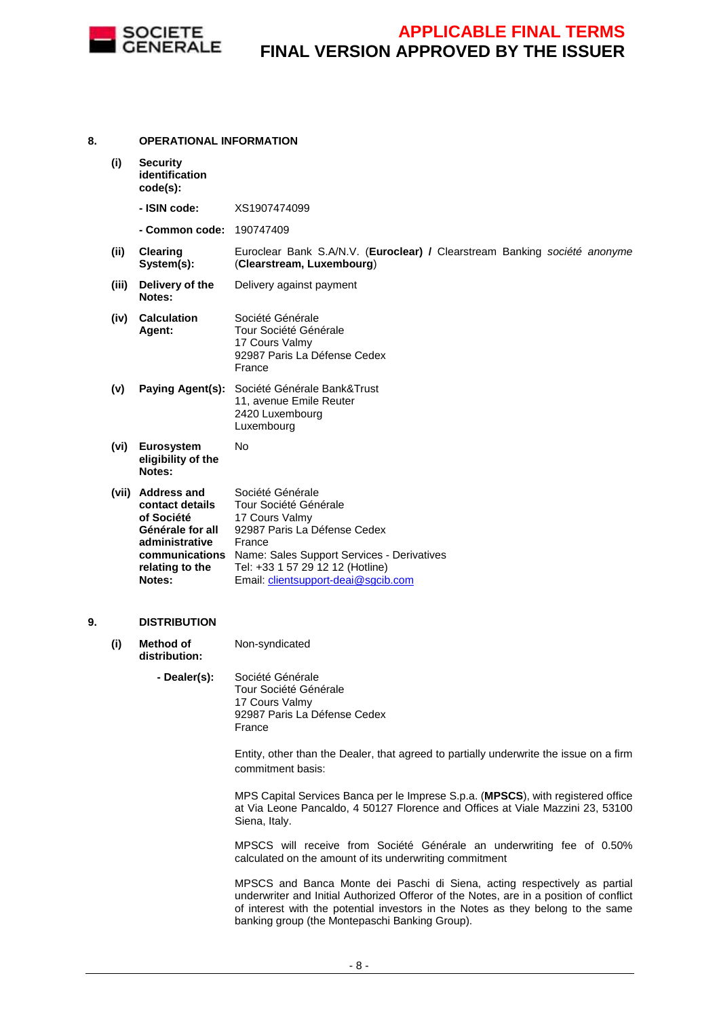

#### **8. OPERATIONAL INFORMATION (i) Security identification code(s): - ISIN code:** XS1907474099 **- Common code:** 190747409 **(ii) Clearing System(s):** Euroclear Bank S.A/N.V. (**Euroclear) /** Clearstream Banking société anonyme (**Clearstream, Luxembourg**) **(iii) Delivery of the Notes:** Delivery against payment **(iv) Calculation Agent:** Société Générale Tour Société Générale 17 Cours Valmy 92987 Paris La Défense Cedex France **(v) Paying Agent(s):** Société Générale Bank&Trust 11, avenue Emile Reuter 2420 Luxembourg Luxembourg **(vi) Eurosystem eligibility of the Notes:** No **(vii) Address and contact details of Société Générale for all administrative communications**  Name: Sales Support Services - Derivatives **relating to the Notes:** Société Générale Tour Société Générale 17 Cours Valmy 92987 Paris La Défense Cedex France Tel: +33 1 57 29 12 12 (Hotline) Email: clientsupport-deai@sgcib.com **9. DISTRIBUTION (i) Method of distribution:** Non-syndicated **- Dealer(s):** Société Générale Tour Société Générale 17 Cours Valmy 92987 Paris La Défense Cedex France Entity, other than the Dealer, that agreed to partially underwrite the issue on a firm commitment basis: MPS Capital Services Banca per le Imprese S.p.a. (**MPSCS**), with registered office at Via Leone Pancaldo, 4 50127 Florence and Offices at Viale Mazzini 23, 53100 Siena, Italy. MPSCS will receive from Société Générale an underwriting fee of 0.50% calculated on the amount of its underwriting commitment MPSCS and Banca Monte dei Paschi di Siena, acting respectively as partial underwriter and Initial Authorized Offeror of the Notes, are in a position of conflict of interest with the potential investors in the Notes as they belong to the same

banking group (the Montepaschi Banking Group).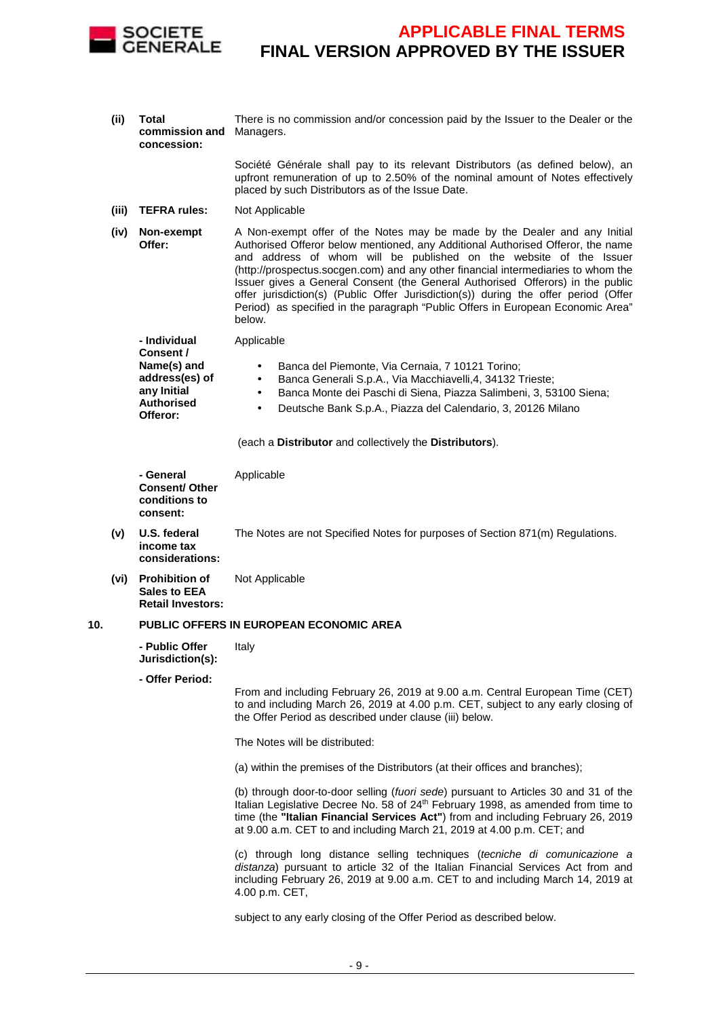

**(ii) Total commission and**  Managers. **concession:** There is no commission and/or concession paid by the Issuer to the Dealer or the

> Société Générale shall pay to its relevant Distributors (as defined below), an upfront remuneration of up to 2.50% of the nominal amount of Notes effectively placed by such Distributors as of the Issue Date.

- **(iii) TEFRA rules:** Not Applicable
- **(iv) Non-exempt Offer:** A Non-exempt offer of the Notes may be made by the Dealer and any Initial Authorised Offeror below mentioned, any Additional Authorised Offeror, the name and address of whom will be published on the website of the Issuer (http://prospectus.socgen.com) and any other financial intermediaries to whom the Issuer gives a General Consent (the General Authorised Offerors) in the public offer jurisdiction(s) (Public Offer Jurisdiction(s)) during the offer period (Offer Period) as specified in the paragraph "Public Offers in European Economic Area" below.

 **- Individual Consent / Name(s) and address(es) of any Initial Authorised Offeror:**

- Banca del Piemonte, Via Cernaia, 7 10121 Torino;
- Banca Generali S.p.A., Via Macchiavelli,4, 34132 Trieste;
- Banca Monte dei Paschi di Siena, Piazza Salimbeni, 3, 53100 Siena;
- Deutsche Bank S.p.A., Piazza del Calendario, 3, 20126 Milano

(each a **Distributor** and collectively the **Distributors**).

- **General Consent/ Other conditions to consent:** Applicable
- **(v) U.S. federal income tax considerations:** The Notes are not Specified Notes for purposes of Section 871(m) Regulations.
- **(vi) Prohibition of Sales to EEA Retail Investors:** Not Applicable

#### **10. PUBLIC OFFERS IN EUROPEAN ECONOMIC AREA**

Applicable

 **- Public Offer Jurisdiction(s):** Italy

**- Offer Period:**

From and including February 26, 2019 at 9.00 a.m. Central European Time (CET) to and including March 26, 2019 at 4.00 p.m. CET, subject to any early closing of the Offer Period as described under clause (iii) below.

The Notes will be distributed:

(a) within the premises of the Distributors (at their offices and branches);

(b) through door-to-door selling (fuori sede) pursuant to Articles 30 and 31 of the Italian Legislative Decree No. 58 of 24<sup>th</sup> February 1998, as amended from time to time (the **"Italian Financial Services Act"**) from and including February 26, 2019 at 9.00 a.m. CET to and including March 21, 2019 at 4.00 p.m. CET; and

(c) through long distance selling techniques (tecniche di comunicazione a distanza) pursuant to article 32 of the Italian Financial Services Act from and including February 26, 2019 at 9.00 a.m. CET to and including March 14, 2019 at 4.00 p.m. CET,

subject to any early closing of the Offer Period as described below.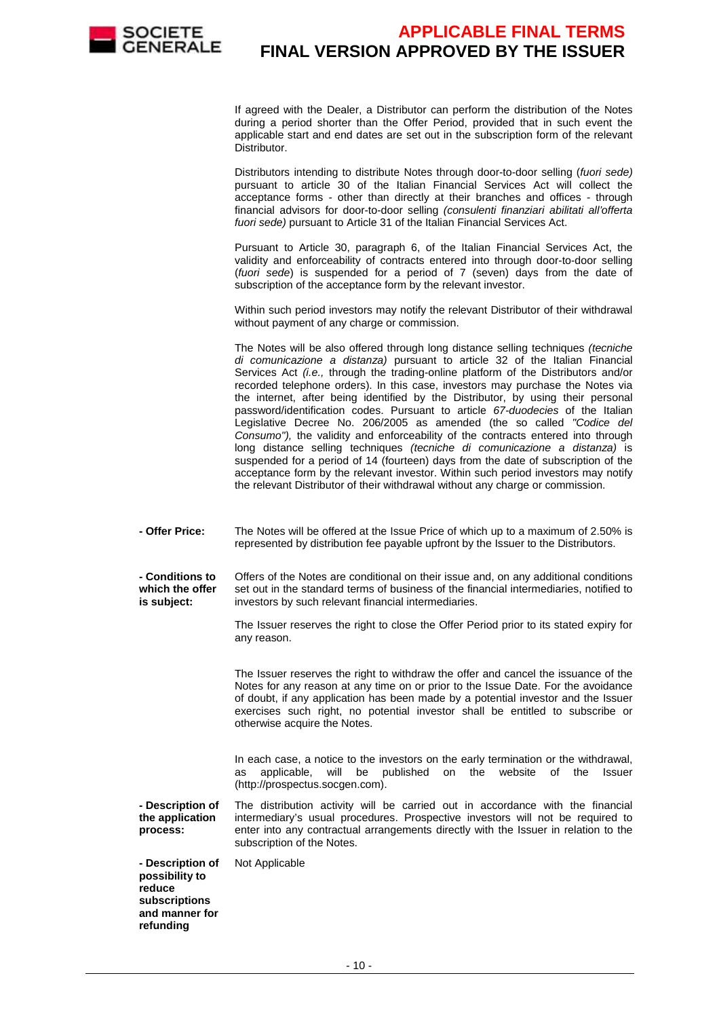

If agreed with the Dealer, a Distributor can perform the distribution of the Notes during a period shorter than the Offer Period, provided that in such event the applicable start and end dates are set out in the subscription form of the relevant Distributor.

Distributors intending to distribute Notes through door-to-door selling (fuori sede) pursuant to article 30 of the Italian Financial Services Act will collect the acceptance forms - other than directly at their branches and offices - through financial advisors for door-to-door selling (consulenti finanziari abilitati all'offerta fuori sede) pursuant to Article 31 of the Italian Financial Services Act.

Pursuant to Article 30, paragraph 6, of the Italian Financial Services Act, the validity and enforceability of contracts entered into through door-to-door selling (fuori sede) is suspended for a period of 7 (seven) days from the date of subscription of the acceptance form by the relevant investor.

Within such period investors may notify the relevant Distributor of their withdrawal without payment of any charge or commission.

The Notes will be also offered through long distance selling techniques (tecniche di comunicazione a distanza) pursuant to article 32 of the Italian Financial Services Act (i.e., through the trading-online platform of the Distributors and/or recorded telephone orders). In this case, investors may purchase the Notes via the internet, after being identified by the Distributor, by using their personal password/identification codes. Pursuant to article 67-duodecies of the Italian Legislative Decree No. 206/2005 as amended (the so called "Codice del Consumo"), the validity and enforceability of the contracts entered into through long distance selling techniques (tecniche di comunicazione a distanza) is suspended for a period of 14 (fourteen) days from the date of subscription of the acceptance form by the relevant investor. Within such period investors may notify the relevant Distributor of their withdrawal without any charge or commission.

 **- Offer Price:** The Notes will be offered at the Issue Price of which up to a maximum of 2.50% is represented by distribution fee payable upfront by the Issuer to the Distributors.

 **- Conditions to which the offer is subject:** Offers of the Notes are conditional on their issue and, on any additional conditions set out in the standard terms of business of the financial intermediaries, notified to investors by such relevant financial intermediaries.

> The Issuer reserves the right to close the Offer Period prior to its stated expiry for any reason.

> The Issuer reserves the right to withdraw the offer and cancel the issuance of the Notes for any reason at any time on or prior to the Issue Date. For the avoidance of doubt, if any application has been made by a potential investor and the Issuer exercises such right, no potential investor shall be entitled to subscribe or otherwise acquire the Notes.

> In each case, a notice to the investors on the early termination or the withdrawal, as applicable, will be published on the website of the Issuer (http://prospectus.socgen.com).

 **- Description of the application process:** The distribution activity will be carried out in accordance with the financial intermediary's usual procedures. Prospective investors will not be required to enter into any contractual arrangements directly with the Issuer in relation to the subscription of the Notes.

 **- Description of possibility to reduce subscriptions and manner for refunding**  Not Applicable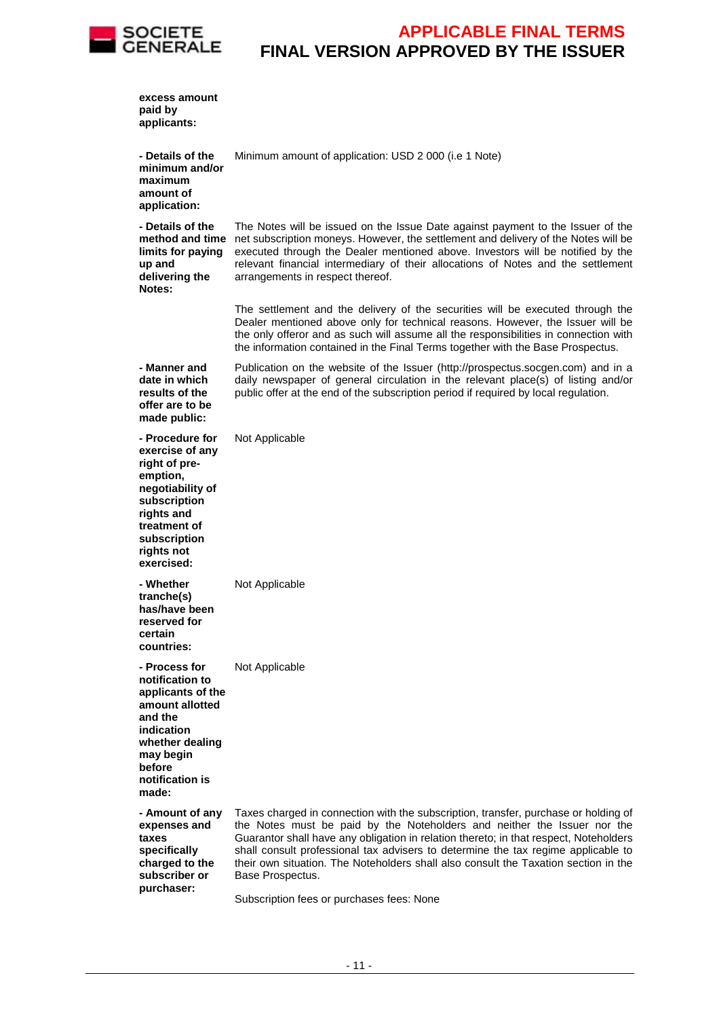

| excess amount<br>paid by<br>applicants:                                                                                                                                       |                                                                                                                                                                                                                                                                                                                                                                                                                                                          |
|-------------------------------------------------------------------------------------------------------------------------------------------------------------------------------|----------------------------------------------------------------------------------------------------------------------------------------------------------------------------------------------------------------------------------------------------------------------------------------------------------------------------------------------------------------------------------------------------------------------------------------------------------|
| - Details of the<br>minimum and/or<br>maximum<br>amount of<br>application:                                                                                                    | Minimum amount of application: USD 2 000 (i.e 1 Note)                                                                                                                                                                                                                                                                                                                                                                                                    |
| - Details of the<br>method and time<br>limits for paying<br>up and<br>delivering the<br>Notes:                                                                                | The Notes will be issued on the Issue Date against payment to the Issuer of the<br>net subscription moneys. However, the settlement and delivery of the Notes will be<br>executed through the Dealer mentioned above. Investors will be notified by the<br>relevant financial intermediary of their allocations of Notes and the settlement<br>arrangements in respect thereof.                                                                          |
|                                                                                                                                                                               | The settlement and the delivery of the securities will be executed through the<br>Dealer mentioned above only for technical reasons. However, the Issuer will be<br>the only offeror and as such will assume all the responsibilities in connection with<br>the information contained in the Final Terms together with the Base Prospectus.                                                                                                              |
| - Manner and<br>date in which<br>results of the<br>offer are to be<br>made public:                                                                                            | Publication on the website of the Issuer (http://prospectus.socgen.com) and in a<br>daily newspaper of general circulation in the relevant place(s) of listing and/or<br>public offer at the end of the subscription period if required by local regulation.                                                                                                                                                                                             |
| - Procedure for<br>exercise of any<br>right of pre-<br>emption,<br>negotiability of<br>subscription<br>rights and<br>treatment of<br>subscription<br>rights not<br>exercised: | Not Applicable                                                                                                                                                                                                                                                                                                                                                                                                                                           |
| - Whether<br>tranche(s)<br>has/have been<br>reserved for<br>certain<br>countries:                                                                                             | Not Applicable                                                                                                                                                                                                                                                                                                                                                                                                                                           |
| - Process for<br>notification to<br>applicants of the<br>amount allotted<br>and the<br>indication<br>whether dealing<br>may begin<br>before<br>notification is<br>made:       | Not Applicable                                                                                                                                                                                                                                                                                                                                                                                                                                           |
| - Amount of any<br>expenses and<br>taxes<br>specifically<br>charged to the<br>subscriber or<br>purchaser:                                                                     | Taxes charged in connection with the subscription, transfer, purchase or holding of<br>the Notes must be paid by the Noteholders and neither the Issuer nor the<br>Guarantor shall have any obligation in relation thereto; in that respect, Noteholders<br>shall consult professional tax advisers to determine the tax regime applicable to<br>their own situation. The Noteholders shall also consult the Taxation section in the<br>Base Prospectus. |

Subscription fees or purchases fees: None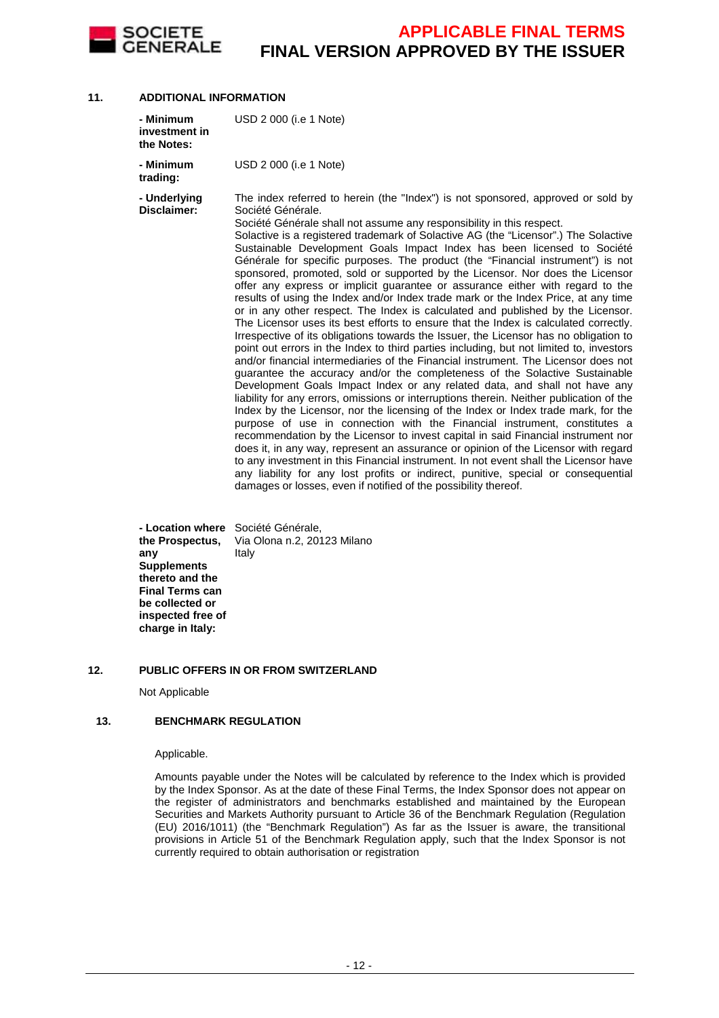

#### **11. ADDITIONAL INFORMATION**

| - Minimum<br>investment in<br>the Notes: | USD 2 000 (i.e 1 Note)                                                                                                                                                                                                                                                                                                                                                                                                                                                                                                                                                                                                                                                                                                                                                                                                                                                                                                                                                                                                                                                                                                                                                                                                                                                                                                                                                                                                                                                                                                                                                                                                                                                                                                                                                                                                                                                                                                                                                                                    |
|------------------------------------------|-----------------------------------------------------------------------------------------------------------------------------------------------------------------------------------------------------------------------------------------------------------------------------------------------------------------------------------------------------------------------------------------------------------------------------------------------------------------------------------------------------------------------------------------------------------------------------------------------------------------------------------------------------------------------------------------------------------------------------------------------------------------------------------------------------------------------------------------------------------------------------------------------------------------------------------------------------------------------------------------------------------------------------------------------------------------------------------------------------------------------------------------------------------------------------------------------------------------------------------------------------------------------------------------------------------------------------------------------------------------------------------------------------------------------------------------------------------------------------------------------------------------------------------------------------------------------------------------------------------------------------------------------------------------------------------------------------------------------------------------------------------------------------------------------------------------------------------------------------------------------------------------------------------------------------------------------------------------------------------------------------------|
| - Minimum<br>trading:                    | USD 2 000 (i.e 1 Note)                                                                                                                                                                                                                                                                                                                                                                                                                                                                                                                                                                                                                                                                                                                                                                                                                                                                                                                                                                                                                                                                                                                                                                                                                                                                                                                                                                                                                                                                                                                                                                                                                                                                                                                                                                                                                                                                                                                                                                                    |
| - Underlying<br>Disclaimer:              | The index referred to herein (the "Index") is not sponsored, approved or sold by<br>Société Générale.<br>Société Générale shall not assume any responsibility in this respect.<br>Solactive is a registered trademark of Solactive AG (the "Licensor".) The Solactive<br>Sustainable Development Goals Impact Index has been licensed to Société<br>Générale for specific purposes. The product (the "Financial instrument") is not<br>sponsored, promoted, sold or supported by the Licensor. Nor does the Licensor<br>offer any express or implicit guarantee or assurance either with regard to the<br>results of using the Index and/or Index trade mark or the Index Price, at any time<br>or in any other respect. The Index is calculated and published by the Licensor.<br>The Licensor uses its best efforts to ensure that the Index is calculated correctly.<br>Irrespective of its obligations towards the Issuer, the Licensor has no obligation to<br>point out errors in the Index to third parties including, but not limited to, investors<br>and/or financial intermediaries of the Financial instrument. The Licensor does not<br>guarantee the accuracy and/or the completeness of the Solactive Sustainable<br>Development Goals Impact Index or any related data, and shall not have any<br>liability for any errors, omissions or interruptions therein. Neither publication of the<br>Index by the Licensor, nor the licensing of the Index or Index trade mark, for the<br>purpose of use in connection with the Financial instrument, constitutes a<br>recommendation by the Licensor to invest capital in said Financial instrument nor<br>does it, in any way, represent an assurance or opinion of the Licensor with regard<br>to any investment in this Financial instrument. In not event shall the Licensor have<br>any liability for any lost profits or indirect, punitive, special or consequential<br>damages or losses, even if notified of the possibility thereof. |

 **- Location where**  Société Générale, **the Prospectus, any Supplements thereto and the Final Terms can be collected or inspected free of charge in Italy:** Via Olona n.2, 20123 Milano Italy

#### **12. PUBLIC OFFERS IN OR FROM SWITZERLAND**

Not Applicable

#### **13. BENCHMARK REGULATION**

#### Applicable.

Amounts payable under the Notes will be calculated by reference to the Index which is provided by the Index Sponsor. As at the date of these Final Terms, the Index Sponsor does not appear on the register of administrators and benchmarks established and maintained by the European Securities and Markets Authority pursuant to Article 36 of the Benchmark Regulation (Regulation (EU) 2016/1011) (the "Benchmark Regulation") As far as the Issuer is aware, the transitional provisions in Article 51 of the Benchmark Regulation apply, such that the Index Sponsor is not currently required to obtain authorisation or registration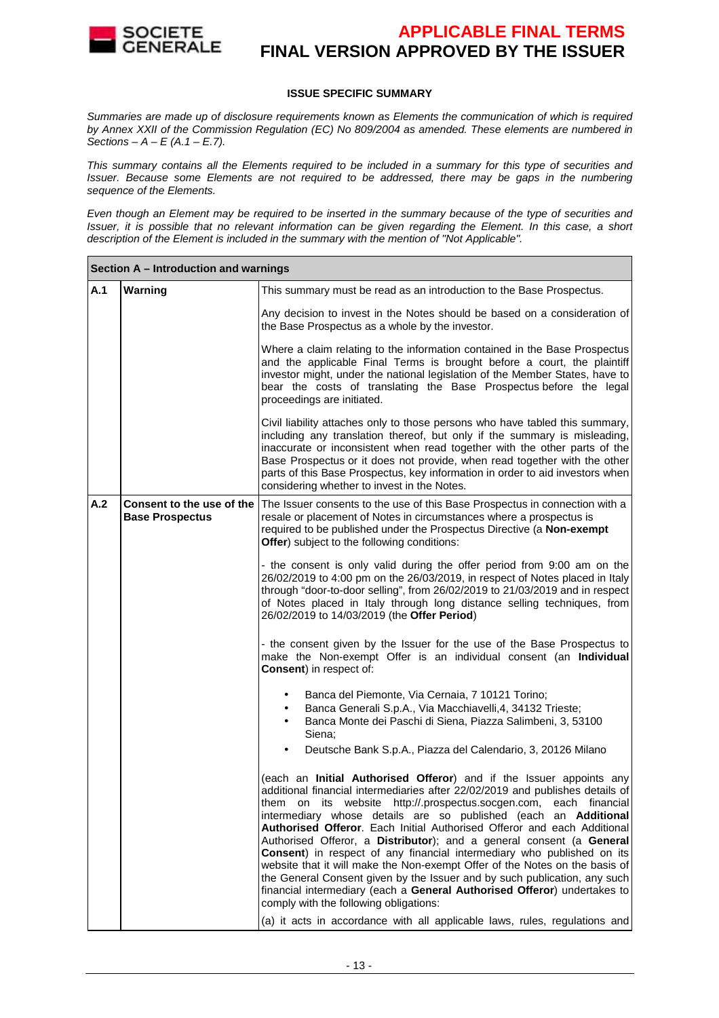

#### **ISSUE SPECIFIC SUMMARY**

Summaries are made up of disclosure requirements known as Elements the communication of which is required by Annex XXII of the Commission Regulation (EC) No 809/2004 as amended. These elements are numbered in Sections –  $A - E(A.1 - E.7)$ .

This summary contains all the Elements required to be included in a summary for this type of securities and Issuer. Because some Elements are not required to be addressed, there may be gaps in the numbering sequence of the Elements.

Even though an Element may be required to be inserted in the summary because of the type of securities and Issuer, it is possible that no relevant information can be given regarding the Element. In this case, a short description of the Element is included in the summary with the mention of "Not Applicable".

|     | Section A - Introduction and warnings |                                                                                                                                                                                                                                                                                                                                                                                                                                                                                                                                                                                                                                                                                                                                                                                                                                                                                           |  |  |
|-----|---------------------------------------|-------------------------------------------------------------------------------------------------------------------------------------------------------------------------------------------------------------------------------------------------------------------------------------------------------------------------------------------------------------------------------------------------------------------------------------------------------------------------------------------------------------------------------------------------------------------------------------------------------------------------------------------------------------------------------------------------------------------------------------------------------------------------------------------------------------------------------------------------------------------------------------------|--|--|
| A.1 | Warning                               | This summary must be read as an introduction to the Base Prospectus.                                                                                                                                                                                                                                                                                                                                                                                                                                                                                                                                                                                                                                                                                                                                                                                                                      |  |  |
|     |                                       | Any decision to invest in the Notes should be based on a consideration of<br>the Base Prospectus as a whole by the investor.                                                                                                                                                                                                                                                                                                                                                                                                                                                                                                                                                                                                                                                                                                                                                              |  |  |
|     |                                       | Where a claim relating to the information contained in the Base Prospectus<br>and the applicable Final Terms is brought before a court, the plaintiff<br>investor might, under the national legislation of the Member States, have to<br>bear the costs of translating the Base Prospectus before the legal<br>proceedings are initiated.                                                                                                                                                                                                                                                                                                                                                                                                                                                                                                                                                 |  |  |
|     |                                       | Civil liability attaches only to those persons who have tabled this summary,<br>including any translation thereof, but only if the summary is misleading,<br>inaccurate or inconsistent when read together with the other parts of the<br>Base Prospectus or it does not provide, when read together with the other<br>parts of this Base Prospectus, key information in order to aid investors when<br>considering whether to invest in the Notes.                                                                                                                                                                                                                                                                                                                                                                                                                                       |  |  |
| A.2 | <b>Base Prospectus</b>                | <b>Consent to the use of the The Issuer consents to the use of this Base Prospectus in connection with a</b><br>resale or placement of Notes in circumstances where a prospectus is<br>required to be published under the Prospectus Directive (a Non-exempt<br>Offer) subject to the following conditions:                                                                                                                                                                                                                                                                                                                                                                                                                                                                                                                                                                               |  |  |
|     |                                       | - the consent is only valid during the offer period from 9:00 am on the<br>26/02/2019 to 4:00 pm on the 26/03/2019, in respect of Notes placed in Italy<br>through "door-to-door selling", from 26/02/2019 to 21/03/2019 and in respect<br>of Notes placed in Italy through long distance selling techniques, from<br>26/02/2019 to 14/03/2019 (the Offer Period)                                                                                                                                                                                                                                                                                                                                                                                                                                                                                                                         |  |  |
|     |                                       | - the consent given by the Issuer for the use of the Base Prospectus to<br>make the Non-exempt Offer is an individual consent (an Individual<br><b>Consent)</b> in respect of:                                                                                                                                                                                                                                                                                                                                                                                                                                                                                                                                                                                                                                                                                                            |  |  |
|     |                                       | Banca del Piemonte, Via Cernaia, 7 10121 Torino;<br>Banca Generali S.p.A., Via Macchiavelli, 4, 34132 Trieste;<br>٠<br>Banca Monte dei Paschi di Siena, Piazza Salimbeni, 3, 53100<br>$\bullet$<br>Siena;<br>Deutsche Bank S.p.A., Piazza del Calendario, 3, 20126 Milano<br>$\bullet$                                                                                                                                                                                                                                                                                                                                                                                                                                                                                                                                                                                                    |  |  |
|     |                                       | (each an Initial Authorised Offeror) and if the Issuer appoints any<br>additional financial intermediaries after 22/02/2019 and publishes details of<br>them on its website http://.prospectus.socgen.com, each financial<br>intermediary whose details are so published (each an Additional<br>Authorised Offeror. Each Initial Authorised Offeror and each Additional<br>Authorised Offeror, a Distributor); and a general consent (a General<br>Consent) in respect of any financial intermediary who published on its<br>website that it will make the Non-exempt Offer of the Notes on the basis of<br>the General Consent given by the Issuer and by such publication, any such<br>financial intermediary (each a General Authorised Offeror) undertakes to<br>comply with the following obligations:<br>(a) it acts in accordance with all applicable laws, rules, regulations and |  |  |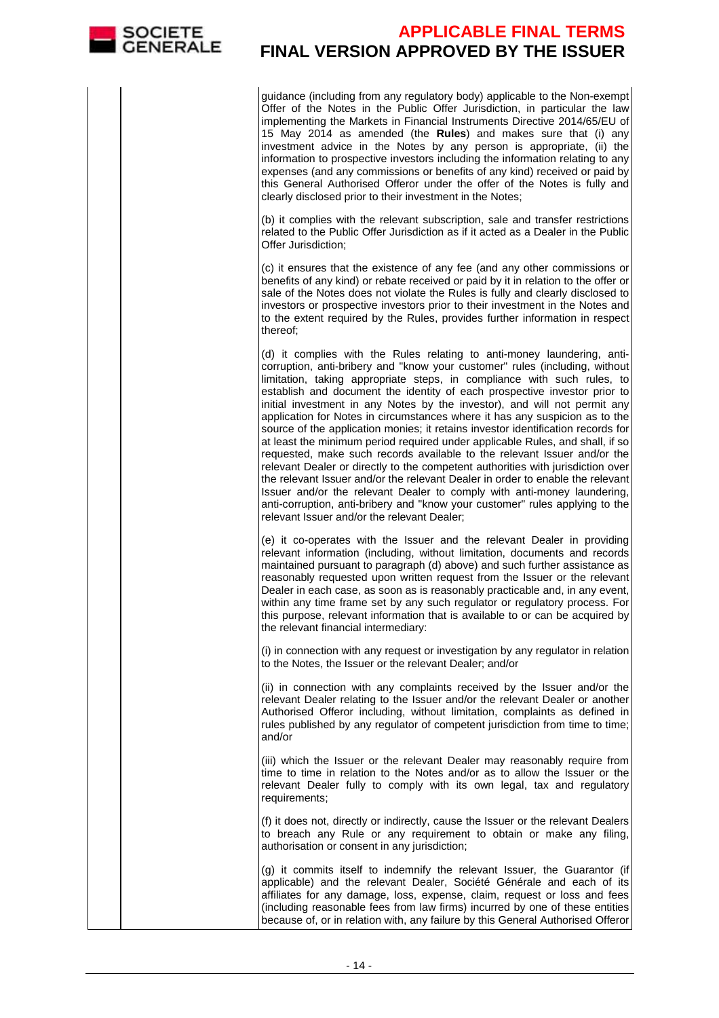

guidance (including from any regulatory body) applicable to the Non-exempt Offer of the Notes in the Public Offer Jurisdiction, in particular the law implementing the Markets in Financial Instruments Directive 2014/65/EU of 15 May 2014 as amended (the **Rules**) and makes sure that (i) any investment advice in the Notes by any person is appropriate, (ii) the information to prospective investors including the information relating to any expenses (and any commissions or benefits of any kind) received or paid by this General Authorised Offeror under the offer of the Notes is fully and clearly disclosed prior to their investment in the Notes;

(b) it complies with the relevant subscription, sale and transfer restrictions related to the Public Offer Jurisdiction as if it acted as a Dealer in the Public Offer Jurisdiction;

(c) it ensures that the existence of any fee (and any other commissions or benefits of any kind) or rebate received or paid by it in relation to the offer or sale of the Notes does not violate the Rules is fully and clearly disclosed to investors or prospective investors prior to their investment in the Notes and to the extent required by the Rules, provides further information in respect thereof;

(d) it complies with the Rules relating to anti-money laundering, anticorruption, anti-bribery and "know your customer" rules (including, without limitation, taking appropriate steps, in compliance with such rules, to establish and document the identity of each prospective investor prior to initial investment in any Notes by the investor), and will not permit any application for Notes in circumstances where it has any suspicion as to the source of the application monies; it retains investor identification records for at least the minimum period required under applicable Rules, and shall, if so requested, make such records available to the relevant Issuer and/or the relevant Dealer or directly to the competent authorities with jurisdiction over the relevant Issuer and/or the relevant Dealer in order to enable the relevant Issuer and/or the relevant Dealer to comply with anti-money laundering, anti-corruption, anti-bribery and "know your customer" rules applying to the relevant Issuer and/or the relevant Dealer;

(e) it co-operates with the Issuer and the relevant Dealer in providing relevant information (including, without limitation, documents and records maintained pursuant to paragraph (d) above) and such further assistance as reasonably requested upon written request from the Issuer or the relevant Dealer in each case, as soon as is reasonably practicable and, in any event, within any time frame set by any such regulator or regulatory process. For this purpose, relevant information that is available to or can be acquired by the relevant financial intermediary:

(i) in connection with any request or investigation by any regulator in relation to the Notes, the Issuer or the relevant Dealer; and/or

(ii) in connection with any complaints received by the Issuer and/or the relevant Dealer relating to the Issuer and/or the relevant Dealer or another Authorised Offeror including, without limitation, complaints as defined in rules published by any regulator of competent jurisdiction from time to time; and/or

(iii) which the Issuer or the relevant Dealer may reasonably require from time to time in relation to the Notes and/or as to allow the Issuer or the relevant Dealer fully to comply with its own legal, tax and regulatory requirements;

(f) it does not, directly or indirectly, cause the Issuer or the relevant Dealers to breach any Rule or any requirement to obtain or make any filing, authorisation or consent in any jurisdiction;

(g) it commits itself to indemnify the relevant Issuer, the Guarantor (if applicable) and the relevant Dealer, Société Générale and each of its affiliates for any damage, loss, expense, claim, request or loss and fees (including reasonable fees from law firms) incurred by one of these entities because of, or in relation with, any failure by this General Authorised Offeror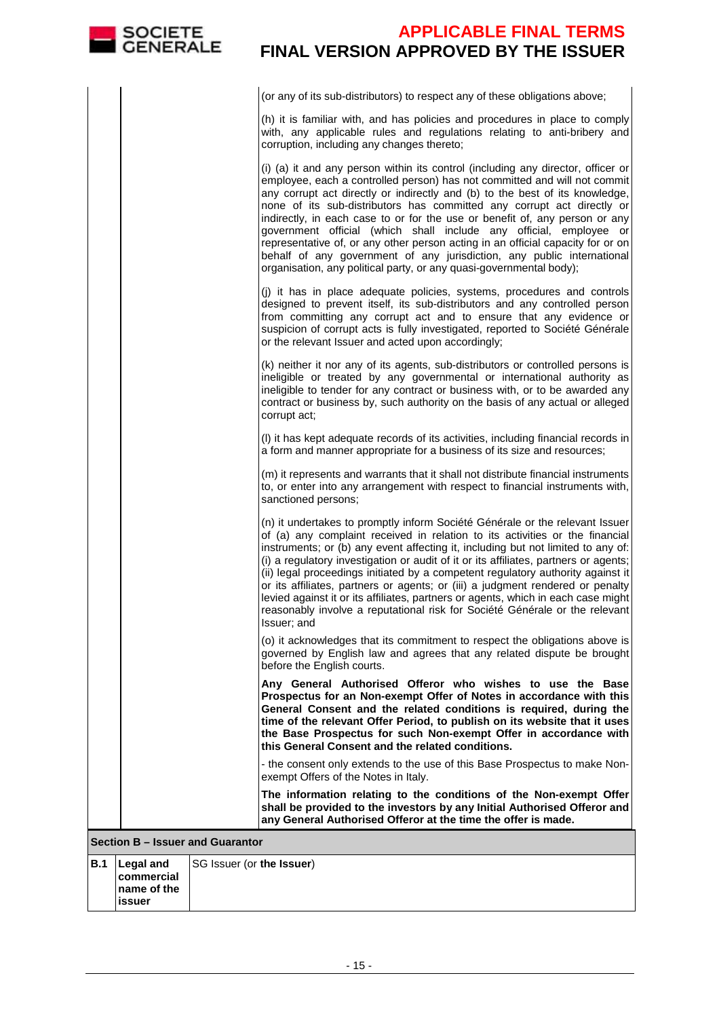| <b>SOCIETE</b><br><b><i>GENERALE</i></b>             | <b>APPLICABLE FINAL TERMS</b><br><b>FINAL VERSION APPROVED BY THE ISSUER</b>                                                                                                                                                                                                                                                                                                                                                                                                                                                                                                                                                                                                                                     |
|------------------------------------------------------|------------------------------------------------------------------------------------------------------------------------------------------------------------------------------------------------------------------------------------------------------------------------------------------------------------------------------------------------------------------------------------------------------------------------------------------------------------------------------------------------------------------------------------------------------------------------------------------------------------------------------------------------------------------------------------------------------------------|
|                                                      | (or any of its sub-distributors) to respect any of these obligations above;                                                                                                                                                                                                                                                                                                                                                                                                                                                                                                                                                                                                                                      |
|                                                      | (h) it is familiar with, and has policies and procedures in place to comply<br>with, any applicable rules and regulations relating to anti-bribery and<br>corruption, including any changes thereto;                                                                                                                                                                                                                                                                                                                                                                                                                                                                                                             |
|                                                      | (i) (a) it and any person within its control (including any director, officer or<br>employee, each a controlled person) has not committed and will not commit<br>any corrupt act directly or indirectly and (b) to the best of its knowledge,<br>none of its sub-distributors has committed any corrupt act directly or<br>indirectly, in each case to or for the use or benefit of, any person or any<br>government official (which shall include any official, employee or<br>representative of, or any other person acting in an official capacity for or on<br>behalf of any government of any jurisdiction, any public international<br>organisation, any political party, or any quasi-governmental body); |
|                                                      | (j) it has in place adequate policies, systems, procedures and controls<br>designed to prevent itself, its sub-distributors and any controlled person<br>from committing any corrupt act and to ensure that any evidence or<br>suspicion of corrupt acts is fully investigated, reported to Société Générale<br>or the relevant Issuer and acted upon accordingly;                                                                                                                                                                                                                                                                                                                                               |
|                                                      | (k) neither it nor any of its agents, sub-distributors or controlled persons is<br>ineligible or treated by any governmental or international authority as<br>ineligible to tender for any contract or business with, or to be awarded any<br>contract or business by, such authority on the basis of any actual or alleged<br>corrupt act;                                                                                                                                                                                                                                                                                                                                                                      |
|                                                      | (I) it has kept adequate records of its activities, including financial records in<br>a form and manner appropriate for a business of its size and resources;                                                                                                                                                                                                                                                                                                                                                                                                                                                                                                                                                    |
|                                                      | (m) it represents and warrants that it shall not distribute financial instruments<br>to, or enter into any arrangement with respect to financial instruments with,<br>sanctioned persons;                                                                                                                                                                                                                                                                                                                                                                                                                                                                                                                        |
|                                                      | (n) it undertakes to promptly inform Société Générale or the relevant Issuer<br>of (a) any complaint received in relation to its activities or the financial<br>instruments; or (b) any event affecting it, including but not limited to any of:<br>(i) a regulatory investigation or audit of it or its affiliates, partners or agents;<br>(ii) legal proceedings initiated by a competent regulatory authority against it<br>or its affiliates, partners or agents; or (iii) a judgment rendered or penalty<br>levied against it or its affiliates, partners or agents, which in each case might<br>reasonably involve a reputational risk for Société Générale or the relevant<br>Issuer; and                 |
|                                                      | (o) it acknowledges that its commitment to respect the obligations above is<br>governed by English law and agrees that any related dispute be brought<br>before the English courts.                                                                                                                                                                                                                                                                                                                                                                                                                                                                                                                              |
|                                                      | Any General Authorised Offeror who wishes to use the Base<br>Prospectus for an Non-exempt Offer of Notes in accordance with this<br>General Consent and the related conditions is required, during the<br>time of the relevant Offer Period, to publish on its website that it uses<br>the Base Prospectus for such Non-exempt Offer in accordance with<br>this General Consent and the related conditions.                                                                                                                                                                                                                                                                                                      |
|                                                      | - the consent only extends to the use of this Base Prospectus to make Non-<br>exempt Offers of the Notes in Italy.                                                                                                                                                                                                                                                                                                                                                                                                                                                                                                                                                                                               |
|                                                      | The information relating to the conditions of the Non-exempt Offer<br>shall be provided to the investors by any Initial Authorised Offeror and<br>any General Authorised Offeror at the time the offer is made.                                                                                                                                                                                                                                                                                                                                                                                                                                                                                                  |
| Section B - Issuer and Guarantor                     |                                                                                                                                                                                                                                                                                                                                                                                                                                                                                                                                                                                                                                                                                                                  |
| B.1<br><b>Legal and</b><br>commercial<br>name of the | SG Issuer (or the Issuer)                                                                                                                                                                                                                                                                                                                                                                                                                                                                                                                                                                                                                                                                                        |

| B.1   Legal and | SG Issuer (or the Issuer) |
|-----------------|---------------------------|
| commercial      |                           |
| Iname of the    |                           |
| lissuer         |                           |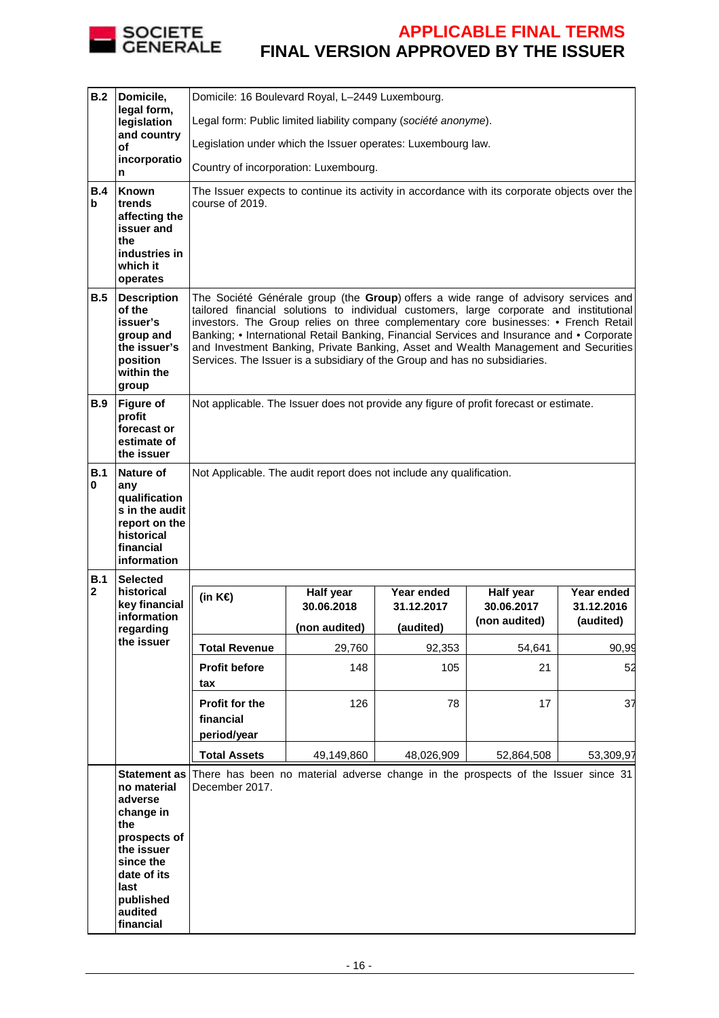

| B.2             | Domicile,                                                                                                      | Domicile: 16 Boulevard Royal, L-2449 Luxembourg.                                                                                                                                                                                                                                                                                                                                                                                                                                                                                        |               |               |                             |                         |  |  |
|-----------------|----------------------------------------------------------------------------------------------------------------|-----------------------------------------------------------------------------------------------------------------------------------------------------------------------------------------------------------------------------------------------------------------------------------------------------------------------------------------------------------------------------------------------------------------------------------------------------------------------------------------------------------------------------------------|---------------|---------------|-----------------------------|-------------------------|--|--|
|                 | legal form,<br>legislation                                                                                     | Legal form: Public limited liability company (société anonyme).                                                                                                                                                                                                                                                                                                                                                                                                                                                                         |               |               |                             |                         |  |  |
|                 | and country<br>οf                                                                                              | Legislation under which the Issuer operates: Luxembourg law.                                                                                                                                                                                                                                                                                                                                                                                                                                                                            |               |               |                             |                         |  |  |
|                 | incorporatio<br>n                                                                                              | Country of incorporation: Luxembourg.                                                                                                                                                                                                                                                                                                                                                                                                                                                                                                   |               |               |                             |                         |  |  |
| B.4<br>b        | <b>Known</b><br>trends<br>affecting the<br>issuer and<br>the<br>industries in<br>which it<br>operates          | The Issuer expects to continue its activity in accordance with its corporate objects over the<br>course of 2019.                                                                                                                                                                                                                                                                                                                                                                                                                        |               |               |                             |                         |  |  |
| B.5             | <b>Description</b><br>of the<br>issuer's<br>group and<br>the issuer's<br>position<br>within the<br>group       | The Société Générale group (the Group) offers a wide range of advisory services and<br>tailored financial solutions to individual customers, large corporate and institutional<br>investors. The Group relies on three complementary core businesses: • French Retail<br>Banking; • International Retail Banking, Financial Services and Insurance and • Corporate<br>and Investment Banking, Private Banking, Asset and Wealth Management and Securities<br>Services. The Issuer is a subsidiary of the Group and has no subsidiaries. |               |               |                             |                         |  |  |
| B.9             | <b>Figure of</b><br>profit<br>forecast or<br>estimate of<br>the issuer                                         | Not applicable. The Issuer does not provide any figure of profit forecast or estimate.                                                                                                                                                                                                                                                                                                                                                                                                                                                  |               |               |                             |                         |  |  |
| B.1<br>0<br>B.1 | Nature of<br>any<br>qualification<br>s in the audit<br>report on the<br>historical<br>financial<br>information | Not Applicable. The audit report does not include any qualification.                                                                                                                                                                                                                                                                                                                                                                                                                                                                    |               |               |                             |                         |  |  |
| $\mathbf{2}$    | <b>Selected</b><br>historical                                                                                  | (in $K \in \mathcal{E}$ )                                                                                                                                                                                                                                                                                                                                                                                                                                                                                                               | Half year     | Year ended    | Half year                   | Year ended              |  |  |
|                 | key financial<br>information                                                                                   |                                                                                                                                                                                                                                                                                                                                                                                                                                                                                                                                         | 30.06.2018    | 31.12.2017    | 30.06.2017<br>(non audited) | 31.12.2016<br>(audited) |  |  |
|                 | regarding<br>the issuer                                                                                        | <b>Total Revenue</b>                                                                                                                                                                                                                                                                                                                                                                                                                                                                                                                    | (non audited) | (audited)     |                             |                         |  |  |
|                 |                                                                                                                |                                                                                                                                                                                                                                                                                                                                                                                                                                                                                                                                         |               |               |                             |                         |  |  |
|                 |                                                                                                                | <b>Profit before</b>                                                                                                                                                                                                                                                                                                                                                                                                                                                                                                                    | 29,760<br>148 | 92,353<br>105 | 54,641<br>21                | 90,99<br>52             |  |  |
|                 |                                                                                                                | tax<br>Profit for the<br>financial<br>period/year                                                                                                                                                                                                                                                                                                                                                                                                                                                                                       | 126           | 78            | 17                          | 37                      |  |  |
|                 |                                                                                                                | <b>Total Assets</b>                                                                                                                                                                                                                                                                                                                                                                                                                                                                                                                     | 49,149,860    | 48,026,909    | 52,864,508                  | 53,309,97               |  |  |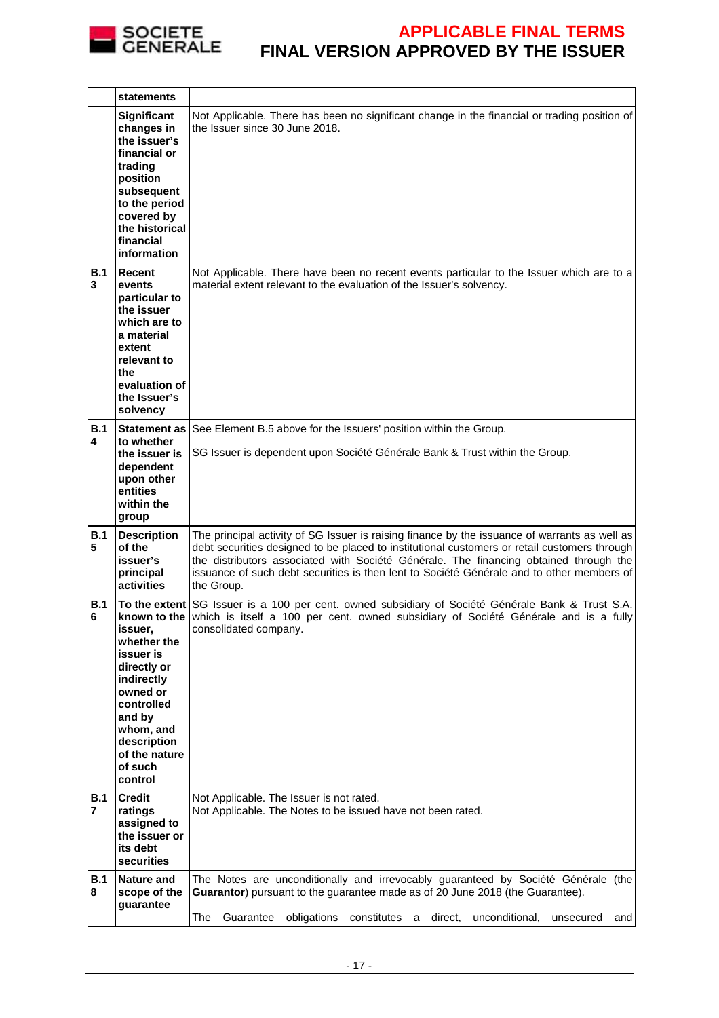

|                 | <b>statements</b>                                                                                                                                                           |                                                                                                                                                                                                                                                                                                                                                                                                   |
|-----------------|-----------------------------------------------------------------------------------------------------------------------------------------------------------------------------|---------------------------------------------------------------------------------------------------------------------------------------------------------------------------------------------------------------------------------------------------------------------------------------------------------------------------------------------------------------------------------------------------|
|                 | Significant<br>changes in<br>the issuer's<br>financial or<br>trading<br>position<br>subsequent<br>to the period<br>covered by<br>the historical<br>financial<br>information | Not Applicable. There has been no significant change in the financial or trading position of<br>the Issuer since 30 June 2018.                                                                                                                                                                                                                                                                    |
| B.1<br>3        | Recent<br>events<br>particular to<br>the issuer<br>which are to<br>a material<br>extent<br>relevant to<br>the<br>evaluation of<br>the Issuer's<br>solvency                  | Not Applicable. There have been no recent events particular to the Issuer which are to a<br>material extent relevant to the evaluation of the Issuer's solvency.                                                                                                                                                                                                                                  |
| B.1<br>4        | Statement as<br>to whether<br>the issuer is<br>dependent<br>upon other<br>entities<br>within the<br>group                                                                   | See Element B.5 above for the Issuers' position within the Group.<br>SG Issuer is dependent upon Société Générale Bank & Trust within the Group.                                                                                                                                                                                                                                                  |
| B.1<br>5        | <b>Description</b><br>of the<br>issuer's<br>principal<br>activities                                                                                                         | The principal activity of SG Issuer is raising finance by the issuance of warrants as well as<br>debt securities designed to be placed to institutional customers or retail customers through<br>the distributors associated with Société Générale. The financing obtained through the<br>issuance of such debt securities is then lent to Société Générale and to other members of<br>the Group. |
| <b>B.1</b><br>6 | issuer,<br>whether the<br>issuer is<br>directly or<br>indirectly<br>owned or<br>controlled<br>and by<br>whom, and<br>description<br>of the nature<br>of such<br>control     | To the extent SG Issuer is a 100 per cent. owned subsidiary of Société Générale Bank & Trust S.A.<br>known to the which is itself a 100 per cent. owned subsidiary of Société Générale and is a fully<br>consolidated company.                                                                                                                                                                    |
| B.1<br>7        | <b>Credit</b><br>ratings<br>assigned to<br>the issuer or<br>its debt<br>securities                                                                                          | Not Applicable. The Issuer is not rated.<br>Not Applicable. The Notes to be issued have not been rated.                                                                                                                                                                                                                                                                                           |
| <b>B.1</b><br>8 | <b>Nature and</b><br>scope of the<br>guarantee                                                                                                                              | The Notes are unconditionally and irrevocably guaranteed by Société Générale (the<br>Guarantor) pursuant to the guarantee made as of 20 June 2018 (the Guarantee).<br>Guarantee<br>obligations<br>constitutes<br>direct,<br>unconditional,<br>The<br>a<br>and<br>unsecured                                                                                                                        |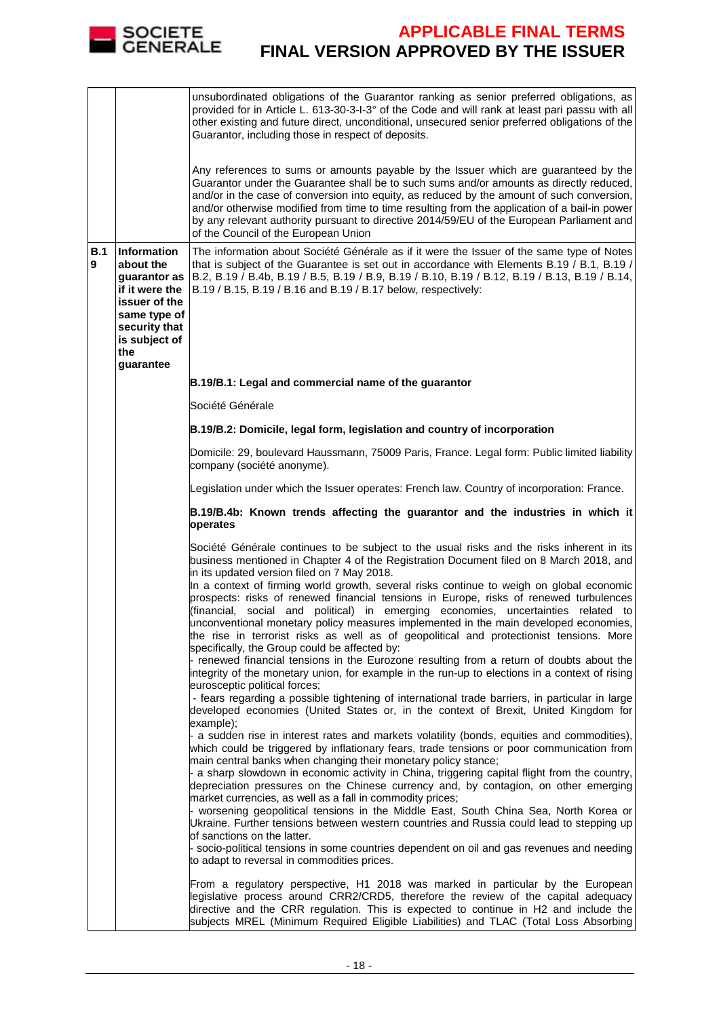

|          |                                                                                                                                                   | unsubordinated obligations of the Guarantor ranking as senior preferred obligations, as<br>provided for in Article L. 613-30-3-I-3° of the Code and will rank at least pari passu with all<br>other existing and future direct, unconditional, unsecured senior preferred obligations of the<br>Guarantor, including those in respect of deposits.<br>Any references to sums or amounts payable by the Issuer which are guaranteed by the<br>Guarantor under the Guarantee shall be to such sums and/or amounts as directly reduced,<br>and/or in the case of conversion into equity, as reduced by the amount of such conversion,<br>and/or otherwise modified from time to time resulting from the application of a bail-in power<br>by any relevant authority pursuant to directive 2014/59/EU of the European Parliament and<br>of the Council of the European Union   |  |  |  |
|----------|---------------------------------------------------------------------------------------------------------------------------------------------------|----------------------------------------------------------------------------------------------------------------------------------------------------------------------------------------------------------------------------------------------------------------------------------------------------------------------------------------------------------------------------------------------------------------------------------------------------------------------------------------------------------------------------------------------------------------------------------------------------------------------------------------------------------------------------------------------------------------------------------------------------------------------------------------------------------------------------------------------------------------------------|--|--|--|
| B.1<br>9 | Information<br>about the<br>guarantor as<br>if it were the<br>issuer of the<br>same type of<br>security that<br>is subject of<br>the<br>guarantee | The information about Société Générale as if it were the Issuer of the same type of Notes<br>that is subject of the Guarantee is set out in accordance with Elements B.19 / B.1, B.19 /<br>B.2, B.19 / B.4b, B.19 / B.5, B.19 / B.9, B.19 / B.10, B.19 / B.12, B.19 / B.13, B.19 / B.14,<br>B.19 / B.15, B.19 / B.16 and B.19 / B.17 below, respectively:                                                                                                                                                                                                                                                                                                                                                                                                                                                                                                                  |  |  |  |
|          |                                                                                                                                                   | B.19/B.1: Legal and commercial name of the guarantor                                                                                                                                                                                                                                                                                                                                                                                                                                                                                                                                                                                                                                                                                                                                                                                                                       |  |  |  |
|          |                                                                                                                                                   | Société Générale                                                                                                                                                                                                                                                                                                                                                                                                                                                                                                                                                                                                                                                                                                                                                                                                                                                           |  |  |  |
|          |                                                                                                                                                   | B.19/B.2: Domicile, legal form, legislation and country of incorporation                                                                                                                                                                                                                                                                                                                                                                                                                                                                                                                                                                                                                                                                                                                                                                                                   |  |  |  |
|          |                                                                                                                                                   | Domicile: 29, boulevard Haussmann, 75009 Paris, France. Legal form: Public limited liability<br>company (société anonyme).                                                                                                                                                                                                                                                                                                                                                                                                                                                                                                                                                                                                                                                                                                                                                 |  |  |  |
|          |                                                                                                                                                   | Legislation under which the Issuer operates: French law. Country of incorporation: France.                                                                                                                                                                                                                                                                                                                                                                                                                                                                                                                                                                                                                                                                                                                                                                                 |  |  |  |
|          |                                                                                                                                                   | B.19/B.4b: Known trends affecting the guarantor and the industries in which it<br>operates                                                                                                                                                                                                                                                                                                                                                                                                                                                                                                                                                                                                                                                                                                                                                                                 |  |  |  |
|          |                                                                                                                                                   | Société Générale continues to be subject to the usual risks and the risks inherent in its<br>business mentioned in Chapter 4 of the Registration Document filed on 8 March 2018, and<br>in its updated version filed on 7 May 2018.<br>In a context of firming world growth, several risks continue to weigh on global economic<br>prospects: risks of renewed financial tensions in Europe, risks of renewed turbulences<br>social and political) in emerging economies, uncertainties<br>(financial,<br>related to<br>unconventional monetary policy measures implemented in the main developed economies,<br>the rise in terrorist risks as well as of geopolitical and protectionist tensions. More                                                                                                                                                                    |  |  |  |
|          |                                                                                                                                                   | specifically, the Group could be affected by:<br>- renewed financial tensions in the Eurozone resulting from a return of doubts about the<br>integrity of the monetary union, for example in the run-up to elections in a context of rising<br>eurosceptic political forces;                                                                                                                                                                                                                                                                                                                                                                                                                                                                                                                                                                                               |  |  |  |
|          |                                                                                                                                                   | - fears regarding a possible tightening of international trade barriers, in particular in large<br>developed economies (United States or, in the context of Brexit, United Kingdom for<br>example);                                                                                                                                                                                                                                                                                                                                                                                                                                                                                                                                                                                                                                                                        |  |  |  |
|          |                                                                                                                                                   | a sudden rise in interest rates and markets volatility (bonds, equities and commodities),<br>which could be triggered by inflationary fears, trade tensions or poor communication from<br>main central banks when changing their monetary policy stance;<br>a sharp slowdown in economic activity in China, triggering capital flight from the country,<br>depreciation pressures on the Chinese currency and, by contagion, on other emerging<br>market currencies, as well as a fall in commodity prices;<br>- worsening geopolitical tensions in the Middle East, South China Sea, North Korea or<br>Ukraine. Further tensions between western countries and Russia could lead to stepping up<br>of sanctions on the latter.<br>socio-political tensions in some countries dependent on oil and gas revenues and needing<br>to adapt to reversal in commodities prices. |  |  |  |
|          |                                                                                                                                                   | From a regulatory perspective, H1 2018 was marked in particular by the European<br>legislative process around CRR2/CRD5, therefore the review of the capital adequacy<br>directive and the CRR regulation. This is expected to continue in H2 and include the<br>subjects MREL (Minimum Required Eligible Liabilities) and TLAC (Total Loss Absorbing                                                                                                                                                                                                                                                                                                                                                                                                                                                                                                                      |  |  |  |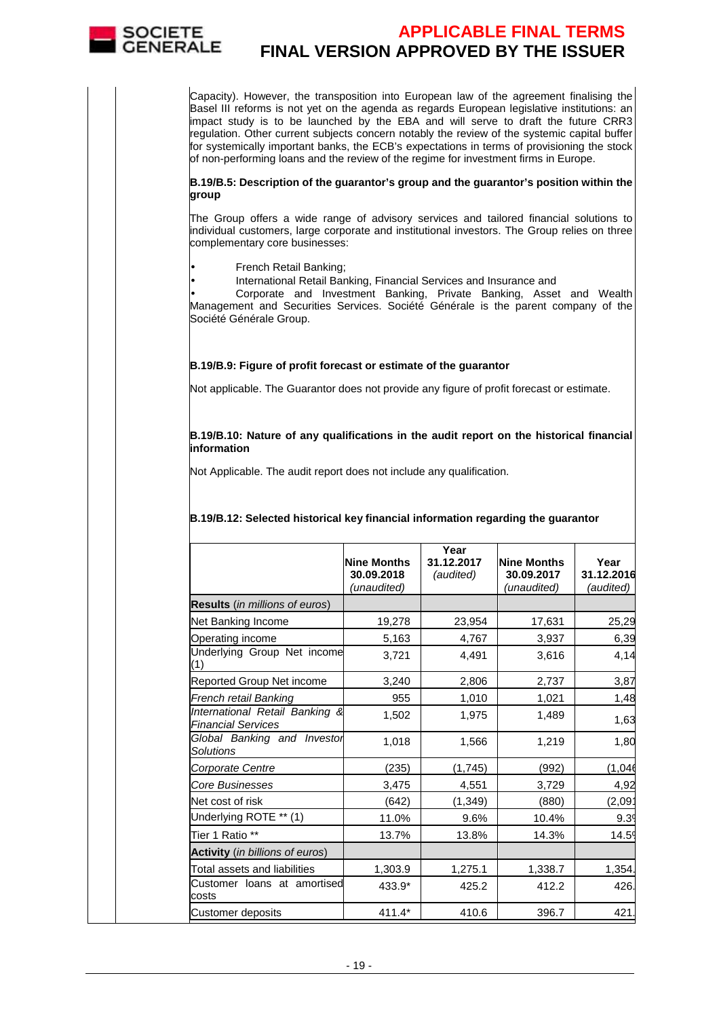

Capacity). However, the transposition into European law of the agreement finalising the Basel III reforms is not yet on the agenda as regards European legislative institutions: an impact study is to be launched by the EBA and will serve to draft the future CRR3 regulation. Other current subjects concern notably the review of the systemic capital buffer for systemically important banks, the ECB's expectations in terms of provisioning the stock of non-performing loans and the review of the regime for investment firms in Europe.

#### **B.19/B.5: Description of the guarantor's group and the guarantor's position within the group**

The Group offers a wide range of advisory services and tailored financial solutions to individual customers, large corporate and institutional investors. The Group relies on three complementary core businesses:

• French Retail Banking;

• International Retail Banking, Financial Services and Insurance and

• Corporate and Investment Banking, Private Banking, Asset and Wealth Management and Securities Services. Société Générale is the parent company of the Société Générale Group.

#### **B.19/B.9: Figure of profit forecast or estimate of the guarantor**

Not applicable. The Guarantor does not provide any figure of profit forecast or estimate.

#### **B.19/B.10: Nature of any qualifications in the audit report on the historical financial information**

Not Applicable. The audit report does not include any qualification.

#### **B.19/B.12: Selected historical key financial information regarding the guarantor**

|                                                             | <b>Nine Months</b><br>30.09.2018<br>(unaudited) | Year<br>31.12.2017<br>(audited) | Nine Months<br>30.09.2017<br>(unaudited) | Year<br>31.12.2016<br>(audited) |
|-------------------------------------------------------------|-------------------------------------------------|---------------------------------|------------------------------------------|---------------------------------|
| <b>Results</b> (in millions of euros)                       |                                                 |                                 |                                          |                                 |
| Net Banking Income                                          | 19,278                                          | 23,954                          | 17,631                                   | 25,29                           |
| Operating income                                            | 5,163                                           | 4,767                           | 3,937                                    | 6,39                            |
| Underlying Group Net income<br>(1)                          | 3,721                                           | 4,491                           | 3,616                                    | 4,14                            |
| Reported Group Net income                                   | 3,240                                           | 2,806                           | 2,737                                    | 3,87                            |
| French retail Banking                                       | 955                                             | 1,010                           | 1,021                                    | 1,48                            |
| International Retail Banking &<br><b>Financial Services</b> | 1,502                                           | 1,975                           | 1,489                                    | 1,63                            |
| Global Banking and Investor<br>Solutions                    | 1,018                                           | 1,566                           | 1,219                                    | 1,80                            |
| Corporate Centre                                            | (235)                                           | (1,745)                         | (992)                                    | (1,046)                         |
| <b>Core Businesses</b>                                      | 3,475                                           | 4,551                           | 3,729                                    | 4,92                            |
| Net cost of risk                                            | (642)                                           | (1, 349)                        | (880)                                    | (2,09)                          |
| Underlying ROTE ** (1)                                      | 11.0%                                           | 9.6%                            | 10.4%                                    | 9.39                            |
| Tier 1 Ratio **                                             | 13.7%                                           | 13.8%                           | 14.3%                                    | 14.59                           |
| Activity (in billions of euros)                             |                                                 |                                 |                                          |                                 |
| Total assets and liabilities                                | 1,303.9                                         | 1,275.1                         | 1,338.7                                  | 1,354.                          |
| Customer loans at amortised<br>costs                        | 433.9*                                          | 425.2                           | 412.2                                    | 426.                            |
| Customer deposits                                           | $411.4*$                                        | 410.6                           | 396.7                                    | 421                             |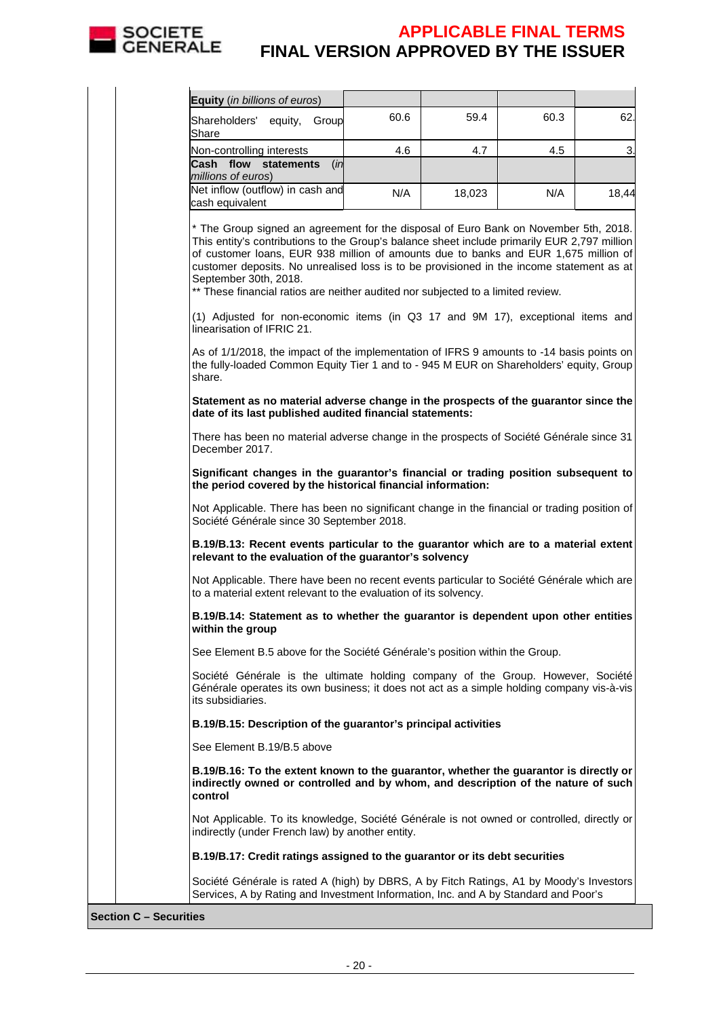

| Equity (in billions of euros)                                                                                                                                                                                                                                                                                                                                                                                                                                                        |      |        |      |       |
|--------------------------------------------------------------------------------------------------------------------------------------------------------------------------------------------------------------------------------------------------------------------------------------------------------------------------------------------------------------------------------------------------------------------------------------------------------------------------------------|------|--------|------|-------|
| Shareholders'<br>equity, Group<br>Share                                                                                                                                                                                                                                                                                                                                                                                                                                              | 60.6 | 59.4   | 60.3 | 62.   |
| Non-controlling interests                                                                                                                                                                                                                                                                                                                                                                                                                                                            | 4.6  | 4.7    | 4.5  | 3.    |
| Cash flow statements<br>(in<br>millions of euros)                                                                                                                                                                                                                                                                                                                                                                                                                                    |      |        |      |       |
| Net inflow (outflow) in cash and<br>cash equivalent                                                                                                                                                                                                                                                                                                                                                                                                                                  | N/A  | 18,023 | N/A  | 18,44 |
| * The Group signed an agreement for the disposal of Euro Bank on November 5th, 2018.<br>This entity's contributions to the Group's balance sheet include primarily EUR 2,797 million<br>of customer loans, EUR 938 million of amounts due to banks and EUR 1,675 million of<br>customer deposits. No unrealised loss is to be provisioned in the income statement as at<br>September 30th, 2018.<br>** These financial ratios are neither audited nor subjected to a limited review. |      |        |      |       |
| (1) Adjusted for non-economic items (in Q3 17 and 9M 17), exceptional items and<br>linearisation of IFRIC 21.                                                                                                                                                                                                                                                                                                                                                                        |      |        |      |       |
| As of 1/1/2018, the impact of the implementation of IFRS 9 amounts to -14 basis points on<br>the fully-loaded Common Equity Tier 1 and to - 945 M EUR on Shareholders' equity, Group<br>share.                                                                                                                                                                                                                                                                                       |      |        |      |       |
| Statement as no material adverse change in the prospects of the guarantor since the<br>date of its last published audited financial statements:                                                                                                                                                                                                                                                                                                                                      |      |        |      |       |
| There has been no material adverse change in the prospects of Société Générale since 31<br>December 2017.                                                                                                                                                                                                                                                                                                                                                                            |      |        |      |       |
| Significant changes in the guarantor's financial or trading position subsequent to<br>the period covered by the historical financial information:                                                                                                                                                                                                                                                                                                                                    |      |        |      |       |
| Not Applicable. There has been no significant change in the financial or trading position of<br>Société Générale since 30 September 2018.                                                                                                                                                                                                                                                                                                                                            |      |        |      |       |
| B.19/B.13: Recent events particular to the guarantor which are to a material extent<br>relevant to the evaluation of the guarantor's solvency                                                                                                                                                                                                                                                                                                                                        |      |        |      |       |
| Not Applicable. There have been no recent events particular to Société Générale which are<br>to a material extent relevant to the evaluation of its solvency.                                                                                                                                                                                                                                                                                                                        |      |        |      |       |
| B.19/B.14: Statement as to whether the guarantor is dependent upon other entities<br>within the group                                                                                                                                                                                                                                                                                                                                                                                |      |        |      |       |
| See Element B.5 above for the Société Générale's position within the Group.                                                                                                                                                                                                                                                                                                                                                                                                          |      |        |      |       |
| Société Générale is the ultimate holding company of the Group. However, Société<br>Générale operates its own business; it does not act as a simple holding company vis-à-vis<br>its subsidiaries.                                                                                                                                                                                                                                                                                    |      |        |      |       |
| B.19/B.15: Description of the guarantor's principal activities                                                                                                                                                                                                                                                                                                                                                                                                                       |      |        |      |       |
| See Element B.19/B.5 above                                                                                                                                                                                                                                                                                                                                                                                                                                                           |      |        |      |       |
| B.19/B.16: To the extent known to the guarantor, whether the guarantor is directly or<br>indirectly owned or controlled and by whom, and description of the nature of such<br>control                                                                                                                                                                                                                                                                                                |      |        |      |       |
| Not Applicable. To its knowledge, Société Générale is not owned or controlled, directly or<br>indirectly (under French law) by another entity.                                                                                                                                                                                                                                                                                                                                       |      |        |      |       |
| B.19/B.17: Credit ratings assigned to the guarantor or its debt securities                                                                                                                                                                                                                                                                                                                                                                                                           |      |        |      |       |
| Société Générale is rated A (high) by DBRS, A by Fitch Ratings, A1 by Moody's Investors<br>Services, A by Rating and Investment Information, Inc. and A by Standard and Poor's                                                                                                                                                                                                                                                                                                       |      |        |      |       |

**Section C – Securities**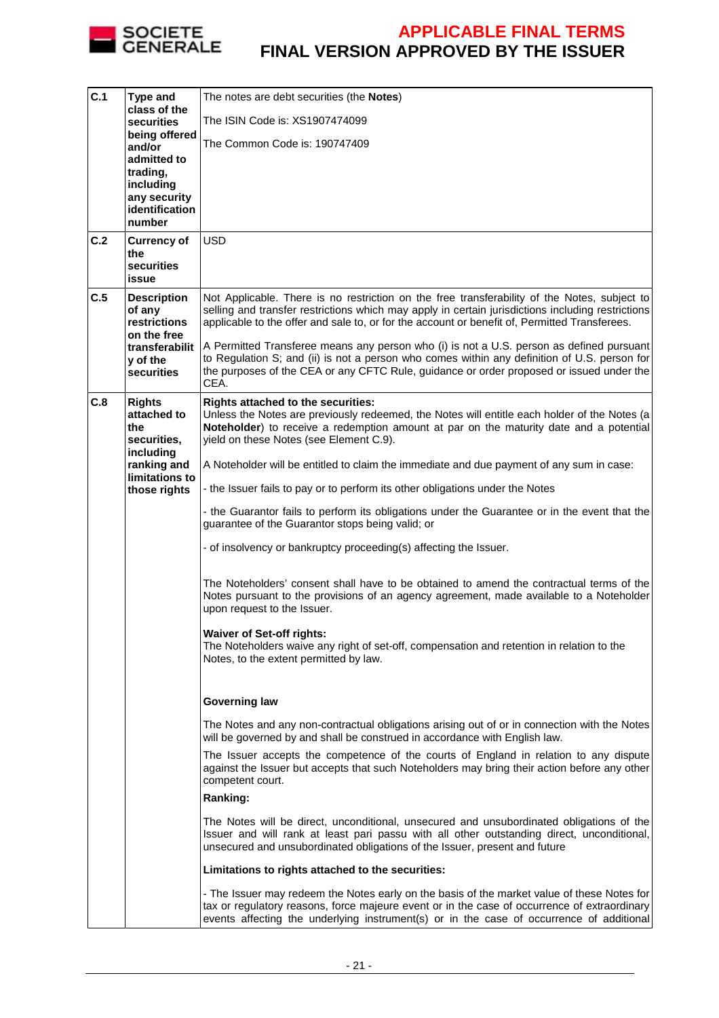

| C.1 | Type and                                                   | The notes are debt securities (the <b>Notes</b> )                                                                                                                                                                                                                                       |
|-----|------------------------------------------------------------|-----------------------------------------------------------------------------------------------------------------------------------------------------------------------------------------------------------------------------------------------------------------------------------------|
|     | class of the<br><b>securities</b>                          | The ISIN Code is: XS1907474099                                                                                                                                                                                                                                                          |
|     | being offered<br>and/or                                    | The Common Code is: 190747409                                                                                                                                                                                                                                                           |
|     | admitted to                                                |                                                                                                                                                                                                                                                                                         |
|     | trading,<br>including                                      |                                                                                                                                                                                                                                                                                         |
|     | any security<br>identification                             |                                                                                                                                                                                                                                                                                         |
|     | number                                                     |                                                                                                                                                                                                                                                                                         |
| C.2 | <b>Currency of</b><br>the                                  | <b>USD</b>                                                                                                                                                                                                                                                                              |
|     | securities<br>issue                                        |                                                                                                                                                                                                                                                                                         |
| C.5 | <b>Description</b>                                         | Not Applicable. There is no restriction on the free transferability of the Notes, subject to                                                                                                                                                                                            |
|     | of any<br>restrictions<br>on the free                      | selling and transfer restrictions which may apply in certain jurisdictions including restrictions<br>applicable to the offer and sale to, or for the account or benefit of, Permitted Transferees.                                                                                      |
|     | transferabilit<br>y of the<br>securities                   | A Permitted Transferee means any person who (i) is not a U.S. person as defined pursuant<br>to Regulation S; and (ii) is not a person who comes within any definition of U.S. person for<br>the purposes of the CEA or any CFTC Rule, guidance or order proposed or issued under the    |
| C.8 | <b>Rights</b>                                              | CEA.<br>Rights attached to the securities:                                                                                                                                                                                                                                              |
|     | attached to                                                | Unless the Notes are previously redeemed, the Notes will entitle each holder of the Notes (a                                                                                                                                                                                            |
|     | the<br>securities,                                         | Noteholder) to receive a redemption amount at par on the maturity date and a potential<br>yield on these Notes (see Element C.9).                                                                                                                                                       |
|     | including<br>ranking and<br>limitations to<br>those rights | A Noteholder will be entitled to claim the immediate and due payment of any sum in case:                                                                                                                                                                                                |
|     |                                                            | - the Issuer fails to pay or to perform its other obligations under the Notes                                                                                                                                                                                                           |
|     |                                                            | - the Guarantor fails to perform its obligations under the Guarantee or in the event that the<br>guarantee of the Guarantor stops being valid; or                                                                                                                                       |
|     |                                                            | - of insolvency or bankruptcy proceeding(s) affecting the Issuer.                                                                                                                                                                                                                       |
|     |                                                            | The Noteholders' consent shall have to be obtained to amend the contractual terms of the<br>Notes pursuant to the provisions of an agency agreement, made available to a Noteholder<br>upon request to the Issuer.                                                                      |
|     |                                                            | <b>Waiver of Set-off rights:</b>                                                                                                                                                                                                                                                        |
|     |                                                            | The Noteholders waive any right of set-off, compensation and retention in relation to the<br>Notes, to the extent permitted by law.                                                                                                                                                     |
|     |                                                            | <b>Governing law</b>                                                                                                                                                                                                                                                                    |
|     |                                                            | The Notes and any non-contractual obligations arising out of or in connection with the Notes<br>will be governed by and shall be construed in accordance with English law.                                                                                                              |
|     |                                                            | The Issuer accepts the competence of the courts of England in relation to any dispute<br>against the Issuer but accepts that such Noteholders may bring their action before any other<br>competent court.                                                                               |
|     |                                                            | Ranking:                                                                                                                                                                                                                                                                                |
|     |                                                            | The Notes will be direct, unconditional, unsecured and unsubordinated obligations of the<br>Issuer and will rank at least pari passu with all other outstanding direct, unconditional,<br>unsecured and unsubordinated obligations of the Issuer, present and future                    |
|     |                                                            | Limitations to rights attached to the securities:                                                                                                                                                                                                                                       |
|     |                                                            | - The Issuer may redeem the Notes early on the basis of the market value of these Notes for<br>tax or regulatory reasons, force majeure event or in the case of occurrence of extraordinary<br>events affecting the underlying instrument(s) or in the case of occurrence of additional |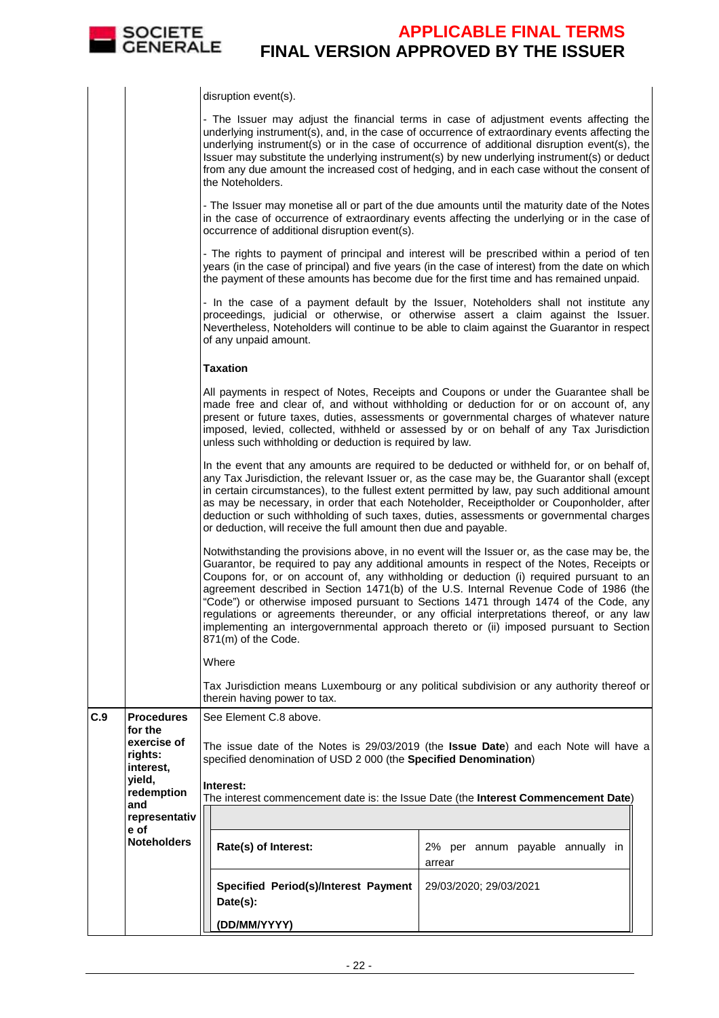

|     |                                     | disruption event(s).                                                                                                                                                                                                                                                                                                                                                                                                                                                                                                                                                                                                                                                                 |                                      |                                                                                                                                                          |  |  |  |
|-----|-------------------------------------|--------------------------------------------------------------------------------------------------------------------------------------------------------------------------------------------------------------------------------------------------------------------------------------------------------------------------------------------------------------------------------------------------------------------------------------------------------------------------------------------------------------------------------------------------------------------------------------------------------------------------------------------------------------------------------------|--------------------------------------|----------------------------------------------------------------------------------------------------------------------------------------------------------|--|--|--|
|     |                                     | - The Issuer may adjust the financial terms in case of adjustment events affecting the<br>underlying instrument(s), and, in the case of occurrence of extraordinary events affecting the<br>underlying instrument(s) or in the case of occurrence of additional disruption event(s), the<br>Issuer may substitute the underlying instrument(s) by new underlying instrument(s) or deduct<br>from any due amount the increased cost of hedging, and in each case without the consent of<br>the Noteholders.                                                                                                                                                                           |                                      |                                                                                                                                                          |  |  |  |
|     |                                     | - The Issuer may monetise all or part of the due amounts until the maturity date of the Notes<br>in the case of occurrence of extraordinary events affecting the underlying or in the case of<br>occurrence of additional disruption event(s).                                                                                                                                                                                                                                                                                                                                                                                                                                       |                                      |                                                                                                                                                          |  |  |  |
|     |                                     | - The rights to payment of principal and interest will be prescribed within a period of ten<br>years (in the case of principal) and five years (in the case of interest) from the date on which<br>the payment of these amounts has become due for the first time and has remained unpaid.                                                                                                                                                                                                                                                                                                                                                                                           |                                      |                                                                                                                                                          |  |  |  |
|     |                                     | - In the case of a payment default by the Issuer, Noteholders shall not institute any<br>proceedings, judicial or otherwise, or otherwise assert a claim against the Issuer.<br>Nevertheless, Noteholders will continue to be able to claim against the Guarantor in respect<br>of any unpaid amount.                                                                                                                                                                                                                                                                                                                                                                                |                                      |                                                                                                                                                          |  |  |  |
|     |                                     | <b>Taxation</b>                                                                                                                                                                                                                                                                                                                                                                                                                                                                                                                                                                                                                                                                      |                                      |                                                                                                                                                          |  |  |  |
|     |                                     | All payments in respect of Notes, Receipts and Coupons or under the Guarantee shall be<br>made free and clear of, and without withholding or deduction for or on account of, any<br>present or future taxes, duties, assessments or governmental charges of whatever nature<br>imposed, levied, collected, withheld or assessed by or on behalf of any Tax Jurisdiction<br>unless such withholding or deduction is required by law.                                                                                                                                                                                                                                                  |                                      |                                                                                                                                                          |  |  |  |
|     |                                     | In the event that any amounts are required to be deducted or withheld for, or on behalf of,<br>any Tax Jurisdiction, the relevant Issuer or, as the case may be, the Guarantor shall (except<br>in certain circumstances), to the fullest extent permitted by law, pay such additional amount<br>as may be necessary, in order that each Noteholder, Receiptholder or Couponholder, after<br>deduction or such withholding of such taxes, duties, assessments or governmental charges<br>or deduction, will receive the full amount then due and payable.                                                                                                                            |                                      |                                                                                                                                                          |  |  |  |
|     |                                     | Notwithstanding the provisions above, in no event will the Issuer or, as the case may be, the<br>Guarantor, be required to pay any additional amounts in respect of the Notes, Receipts or<br>Coupons for, or on account of, any withholding or deduction (i) required pursuant to an<br>agreement described in Section 1471(b) of the U.S. Internal Revenue Code of 1986 (the<br>"Code") or otherwise imposed pursuant to Sections 1471 through 1474 of the Code, any<br>regulations or agreements thereunder, or any official interpretations thereof, or any law<br>implementing an intergovernmental approach thereto or (ii) imposed pursuant to Section<br>871(m) of the Code. |                                      |                                                                                                                                                          |  |  |  |
|     |                                     | Where                                                                                                                                                                                                                                                                                                                                                                                                                                                                                                                                                                                                                                                                                |                                      |                                                                                                                                                          |  |  |  |
|     |                                     | Tax Jurisdiction means Luxembourg or any political subdivision or any authority thereof or<br>therein having power to tax.                                                                                                                                                                                                                                                                                                                                                                                                                                                                                                                                                           |                                      |                                                                                                                                                          |  |  |  |
| C.9 | <b>Procedures</b><br>for the        | See Element C.8 above.                                                                                                                                                                                                                                                                                                                                                                                                                                                                                                                                                                                                                                                               |                                      |                                                                                                                                                          |  |  |  |
|     | exercise of<br>rights:<br>interest, |                                                                                                                                                                                                                                                                                                                                                                                                                                                                                                                                                                                                                                                                                      |                                      | The issue date of the Notes is 29/03/2019 (the Issue Date) and each Note will have a<br>specified denomination of USD 2 000 (the Specified Denomination) |  |  |  |
|     | yield,<br>redemption                | Interest:                                                                                                                                                                                                                                                                                                                                                                                                                                                                                                                                                                                                                                                                            |                                      | The interest commencement date is: the Issue Date (the Interest Commencement Date)                                                                       |  |  |  |
|     | and<br>representativ                |                                                                                                                                                                                                                                                                                                                                                                                                                                                                                                                                                                                                                                                                                      |                                      |                                                                                                                                                          |  |  |  |
|     | e of<br><b>Noteholders</b>          | Rate(s) of Interest:                                                                                                                                                                                                                                                                                                                                                                                                                                                                                                                                                                                                                                                                 |                                      | 2% per annum payable annually in<br>arrear                                                                                                               |  |  |  |
|     |                                     | Date(s):                                                                                                                                                                                                                                                                                                                                                                                                                                                                                                                                                                                                                                                                             | Specified Period(s)/Interest Payment | 29/03/2020; 29/03/2021                                                                                                                                   |  |  |  |
|     |                                     | (DD/MM/YYYY)                                                                                                                                                                                                                                                                                                                                                                                                                                                                                                                                                                                                                                                                         |                                      |                                                                                                                                                          |  |  |  |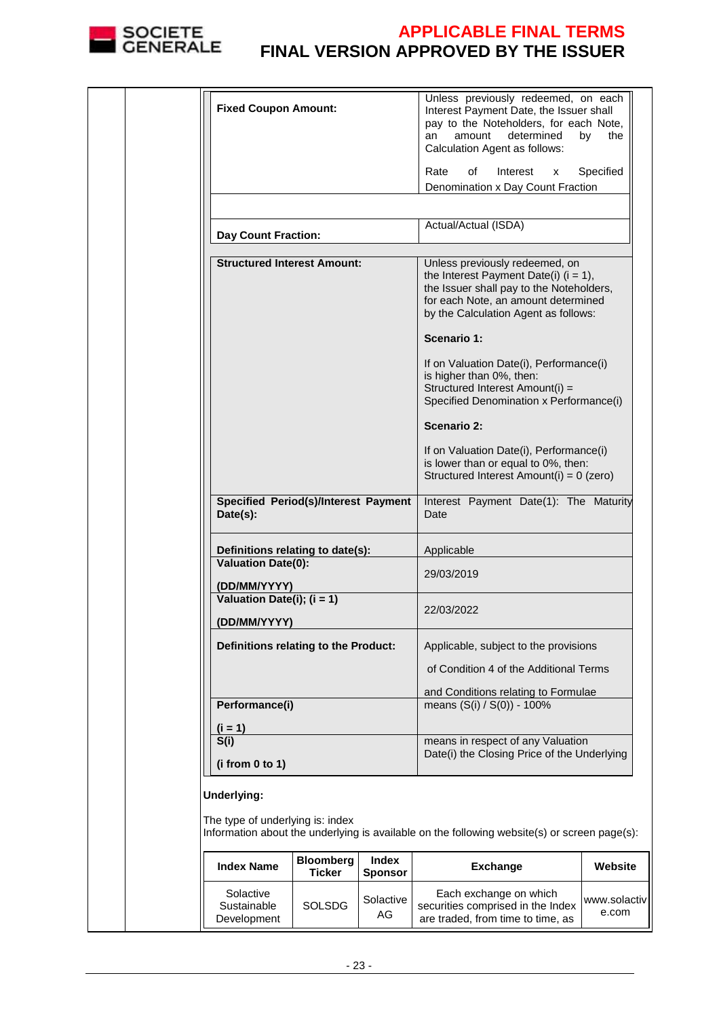

|  | <b>Fixed Coupon Amount:</b>                             |                            |                                | Unless previously redeemed, on each<br>Interest Payment Date, the Issuer shall<br>pay to the Noteholders, for each Note,<br>determined<br>amount<br>an<br>Calculation Agent as follows:               | by<br>the             |
|--|---------------------------------------------------------|----------------------------|--------------------------------|-------------------------------------------------------------------------------------------------------------------------------------------------------------------------------------------------------|-----------------------|
|  |                                                         |                            |                                | Interest<br>Rate<br>οf<br>x                                                                                                                                                                           | Specified             |
|  |                                                         |                            |                                | Denomination x Day Count Fraction                                                                                                                                                                     |                       |
|  |                                                         |                            |                                |                                                                                                                                                                                                       |                       |
|  |                                                         |                            |                                | Actual/Actual (ISDA)                                                                                                                                                                                  |                       |
|  | <b>Day Count Fraction:</b>                              |                            |                                |                                                                                                                                                                                                       |                       |
|  | <b>Structured Interest Amount:</b>                      |                            |                                | Unless previously redeemed, on<br>the Interest Payment Date(i) $(i = 1)$ ,<br>the Issuer shall pay to the Noteholders,<br>for each Note, an amount determined<br>by the Calculation Agent as follows: |                       |
|  |                                                         |                            |                                | Scenario 1:                                                                                                                                                                                           |                       |
|  |                                                         |                            |                                | If on Valuation Date(i), Performance(i)<br>is higher than 0%, then:<br>Structured Interest Amount(i) =<br>Specified Denomination x Performance(i)                                                     |                       |
|  |                                                         |                            |                                | <b>Scenario 2:</b>                                                                                                                                                                                    |                       |
|  |                                                         |                            |                                | If on Valuation Date(i), Performance(i)<br>is lower than or equal to 0%, then:<br>Structured Interest Amount(i) = 0 (zero)                                                                            |                       |
|  | <b>Specified Period(s)/Interest Payment</b><br>Date(s): |                            |                                | Interest Payment Date(1): The Maturity<br>Date                                                                                                                                                        |                       |
|  | Definitions relating to date(s):                        |                            |                                | Applicable                                                                                                                                                                                            |                       |
|  | <b>Valuation Date(0):</b>                               |                            |                                |                                                                                                                                                                                                       |                       |
|  |                                                         |                            |                                | 29/03/2019                                                                                                                                                                                            |                       |
|  | (DD/MM/YYYY)<br>Valuation Date(i); $(i = 1)$            |                            |                                |                                                                                                                                                                                                       |                       |
|  |                                                         |                            |                                | 22/03/2022                                                                                                                                                                                            |                       |
|  | (DD/MM/YYYY)                                            |                            |                                |                                                                                                                                                                                                       |                       |
|  | Definitions relating to the Product:                    |                            |                                | Applicable, subject to the provisions                                                                                                                                                                 |                       |
|  |                                                         |                            |                                | of Condition 4 of the Additional Terms                                                                                                                                                                |                       |
|  |                                                         |                            |                                | and Conditions relating to Formulae                                                                                                                                                                   |                       |
|  | Performance(i)                                          |                            |                                | means (S(i) / S(0)) - 100%                                                                                                                                                                            |                       |
|  |                                                         |                            |                                |                                                                                                                                                                                                       |                       |
|  | $(i = 1)$<br>S(i)                                       |                            |                                | means in respect of any Valuation                                                                                                                                                                     |                       |
|  |                                                         |                            |                                | Date(i) the Closing Price of the Underlying                                                                                                                                                           |                       |
|  | (i from 0 to 1)                                         |                            |                                |                                                                                                                                                                                                       |                       |
|  | Underlying:                                             |                            |                                |                                                                                                                                                                                                       |                       |
|  | The type of underlying is: index                        |                            |                                | Information about the underlying is available on the following website(s) or screen page(s):                                                                                                          |                       |
|  | <b>Index Name</b>                                       | <b>Bloomberg</b><br>Ticker | <b>Index</b><br><b>Sponsor</b> | <b>Exchange</b>                                                                                                                                                                                       | Website               |
|  | Solactive<br>Sustainable<br>Development                 | <b>SOLSDG</b>              | Solactive<br>AG                | Each exchange on which<br>securities comprised in the Index<br>are traded, from time to time, as                                                                                                      | www.solactiv<br>e.com |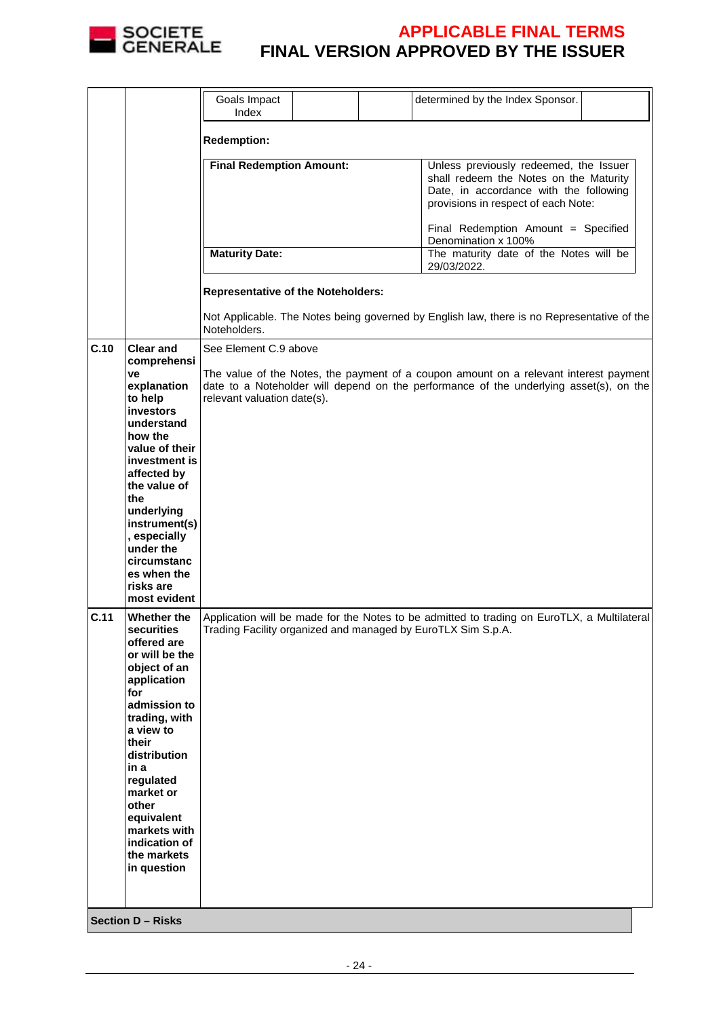

|      |                                                                                                                                                                                                                                                                                                              | Goals Impact<br>Index                                |  |                                                                                                                                                                                                          | determined by the Index Sponsor.                                                                                                                                                |  |
|------|--------------------------------------------------------------------------------------------------------------------------------------------------------------------------------------------------------------------------------------------------------------------------------------------------------------|------------------------------------------------------|--|----------------------------------------------------------------------------------------------------------------------------------------------------------------------------------------------------------|---------------------------------------------------------------------------------------------------------------------------------------------------------------------------------|--|
|      |                                                                                                                                                                                                                                                                                                              | <b>Redemption:</b>                                   |  |                                                                                                                                                                                                          |                                                                                                                                                                                 |  |
|      |                                                                                                                                                                                                                                                                                                              | <b>Final Redemption Amount:</b>                      |  | Unless previously redeemed, the Issuer<br>shall redeem the Notes on the Maturity<br>Date, in accordance with the following<br>provisions in respect of each Note:<br>Final Redemption Amount = Specified |                                                                                                                                                                                 |  |
|      |                                                                                                                                                                                                                                                                                                              | <b>Maturity Date:</b>                                |  |                                                                                                                                                                                                          | Denomination x 100%<br>The maturity date of the Notes will be                                                                                                                   |  |
|      |                                                                                                                                                                                                                                                                                                              |                                                      |  |                                                                                                                                                                                                          | 29/03/2022.                                                                                                                                                                     |  |
|      |                                                                                                                                                                                                                                                                                                              | <b>Representative of the Noteholders:</b>            |  |                                                                                                                                                                                                          |                                                                                                                                                                                 |  |
|      |                                                                                                                                                                                                                                                                                                              | Noteholders.                                         |  |                                                                                                                                                                                                          | Not Applicable. The Notes being governed by English law, there is no Representative of the                                                                                      |  |
| C.10 | <b>Clear and</b><br>comprehensi<br>ve<br>explanation<br>to help<br><b>investors</b><br>understand<br>how the<br>value of their<br>investment is<br>affected by<br>the value of<br>the<br>underlying<br>instrument(s)<br>, especially<br>under the<br>circumstanc<br>es when the<br>risks are<br>most evident | See Element C.9 above<br>relevant valuation date(s). |  |                                                                                                                                                                                                          | The value of the Notes, the payment of a coupon amount on a relevant interest payment<br>date to a Noteholder will depend on the performance of the underlying asset(s), on the |  |
| C.11 | Whether the<br>securities<br>offered are<br>or will be the<br>object of an<br>application<br>for<br>admission to<br>trading, with<br>a view to<br>their<br>distribution<br>in a<br>regulated<br>market or<br>other<br>equivalent<br>markets with<br>indication of<br>the markets<br>in question              |                                                      |  |                                                                                                                                                                                                          | Application will be made for the Notes to be admitted to trading on EuroTLX, a Multilateral<br>Trading Facility organized and managed by EuroTLX Sim S.p.A.                     |  |
|      | <b>Section D - Risks</b>                                                                                                                                                                                                                                                                                     |                                                      |  |                                                                                                                                                                                                          |                                                                                                                                                                                 |  |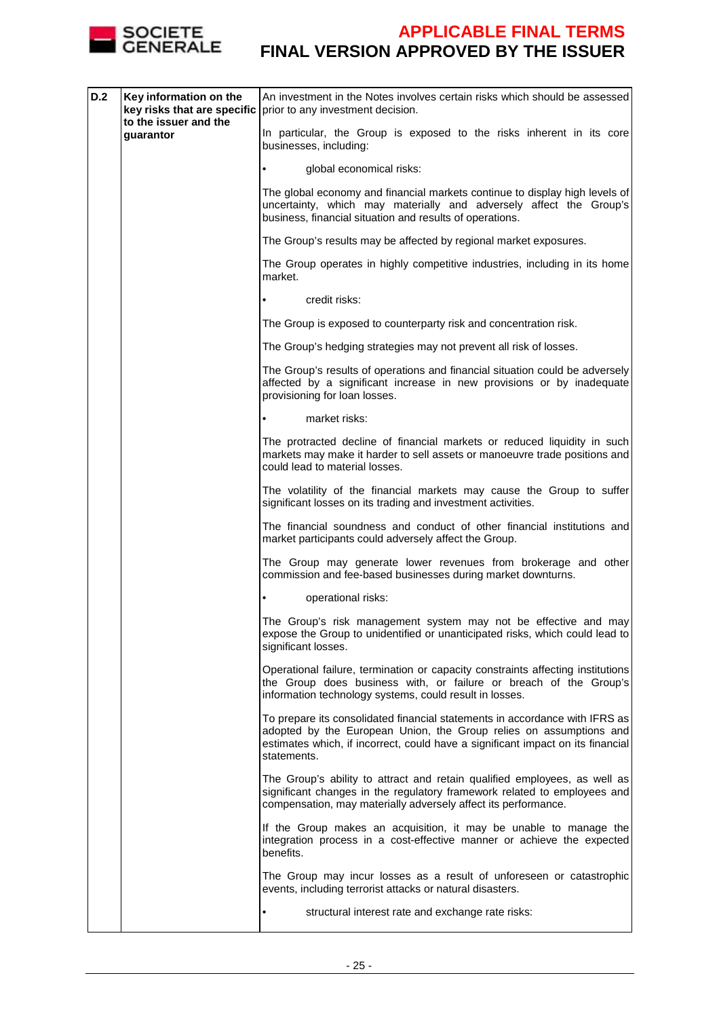

| D.2 | Key information on the<br>key risks that are specific<br>to the issuer and the | An investment in the Notes involves certain risks which should be assessed<br>prior to any investment decision.                                                                                                                                     |
|-----|--------------------------------------------------------------------------------|-----------------------------------------------------------------------------------------------------------------------------------------------------------------------------------------------------------------------------------------------------|
|     | quarantor                                                                      | In particular, the Group is exposed to the risks inherent in its core<br>businesses, including:                                                                                                                                                     |
|     |                                                                                | global economical risks:                                                                                                                                                                                                                            |
|     |                                                                                | The global economy and financial markets continue to display high levels of<br>uncertainty, which may materially and adversely affect the Group's<br>business, financial situation and results of operations.                                       |
|     |                                                                                | The Group's results may be affected by regional market exposures.                                                                                                                                                                                   |
|     |                                                                                | The Group operates in highly competitive industries, including in its home<br>market.                                                                                                                                                               |
|     |                                                                                | credit risks:                                                                                                                                                                                                                                       |
|     |                                                                                | The Group is exposed to counterparty risk and concentration risk.                                                                                                                                                                                   |
|     |                                                                                | The Group's hedging strategies may not prevent all risk of losses.                                                                                                                                                                                  |
|     |                                                                                | The Group's results of operations and financial situation could be adversely<br>affected by a significant increase in new provisions or by inadequate<br>provisioning for loan losses.                                                              |
|     |                                                                                | market risks:                                                                                                                                                                                                                                       |
|     |                                                                                | The protracted decline of financial markets or reduced liquidity in such<br>markets may make it harder to sell assets or manoeuvre trade positions and<br>could lead to material losses.                                                            |
|     |                                                                                | The volatility of the financial markets may cause the Group to suffer<br>significant losses on its trading and investment activities.                                                                                                               |
|     |                                                                                | The financial soundness and conduct of other financial institutions and<br>market participants could adversely affect the Group.                                                                                                                    |
|     |                                                                                | The Group may generate lower revenues from brokerage and other<br>commission and fee-based businesses during market downturns.                                                                                                                      |
|     |                                                                                | operational risks:                                                                                                                                                                                                                                  |
|     |                                                                                | The Group's risk management system may not be effective and may<br>expose the Group to unidentified or unanticipated risks, which could lead to<br>significant losses.                                                                              |
|     |                                                                                | Operational failure, termination or capacity constraints affecting institutions<br>the Group does business with, or failure or breach of the Group's<br>information technology systems, could result in losses.                                     |
|     |                                                                                | To prepare its consolidated financial statements in accordance with IFRS as<br>adopted by the European Union, the Group relies on assumptions and<br>estimates which, if incorrect, could have a significant impact on its financial<br>statements. |
|     |                                                                                | The Group's ability to attract and retain qualified employees, as well as<br>significant changes in the regulatory framework related to employees and<br>compensation, may materially adversely affect its performance.                             |
|     |                                                                                | If the Group makes an acquisition, it may be unable to manage the<br>integration process in a cost-effective manner or achieve the expected<br>benefits.                                                                                            |
|     |                                                                                | The Group may incur losses as a result of unforeseen or catastrophic<br>events, including terrorist attacks or natural disasters.                                                                                                                   |
|     |                                                                                | structural interest rate and exchange rate risks:                                                                                                                                                                                                   |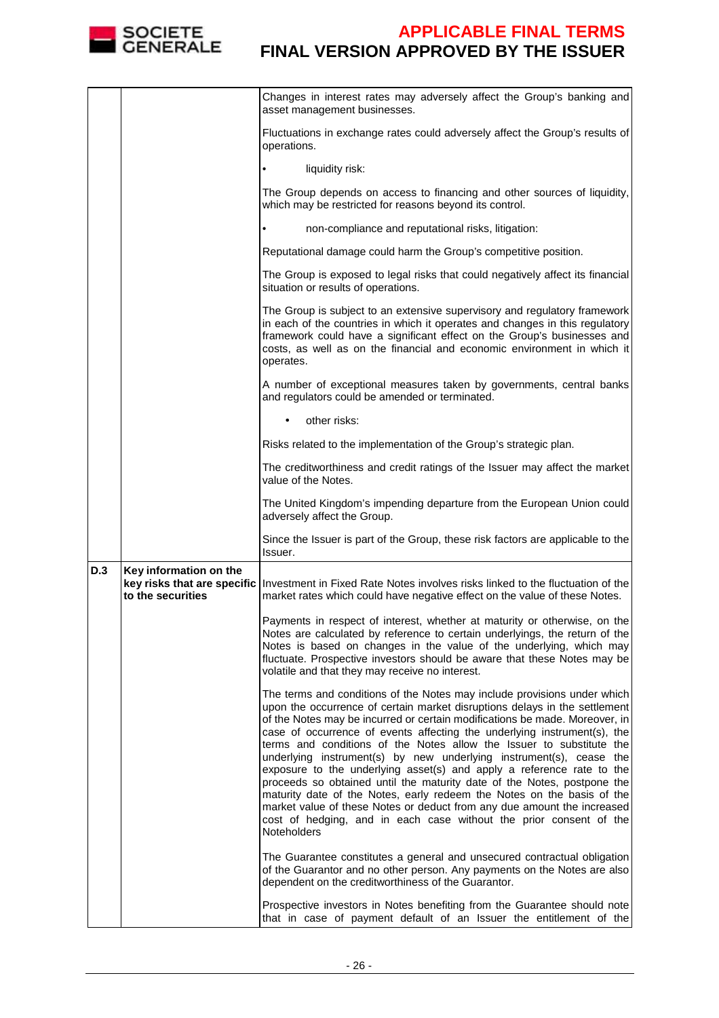

|            |                                             | Changes in interest rates may adversely affect the Group's banking and<br>asset management businesses.                                                                                                                                                                                                                                                                                                                                                                                                                                                                                                                                                                                                                                                                                                                                                                |
|------------|---------------------------------------------|-----------------------------------------------------------------------------------------------------------------------------------------------------------------------------------------------------------------------------------------------------------------------------------------------------------------------------------------------------------------------------------------------------------------------------------------------------------------------------------------------------------------------------------------------------------------------------------------------------------------------------------------------------------------------------------------------------------------------------------------------------------------------------------------------------------------------------------------------------------------------|
|            |                                             | Fluctuations in exchange rates could adversely affect the Group's results of<br>operations.                                                                                                                                                                                                                                                                                                                                                                                                                                                                                                                                                                                                                                                                                                                                                                           |
|            |                                             | liquidity risk:                                                                                                                                                                                                                                                                                                                                                                                                                                                                                                                                                                                                                                                                                                                                                                                                                                                       |
|            |                                             | The Group depends on access to financing and other sources of liquidity,<br>which may be restricted for reasons beyond its control.                                                                                                                                                                                                                                                                                                                                                                                                                                                                                                                                                                                                                                                                                                                                   |
|            |                                             | non-compliance and reputational risks, litigation:                                                                                                                                                                                                                                                                                                                                                                                                                                                                                                                                                                                                                                                                                                                                                                                                                    |
|            |                                             | Reputational damage could harm the Group's competitive position.                                                                                                                                                                                                                                                                                                                                                                                                                                                                                                                                                                                                                                                                                                                                                                                                      |
|            |                                             | The Group is exposed to legal risks that could negatively affect its financial<br>situation or results of operations.                                                                                                                                                                                                                                                                                                                                                                                                                                                                                                                                                                                                                                                                                                                                                 |
|            |                                             | The Group is subject to an extensive supervisory and regulatory framework<br>in each of the countries in which it operates and changes in this regulatory<br>framework could have a significant effect on the Group's businesses and<br>costs, as well as on the financial and economic environment in which it<br>operates.                                                                                                                                                                                                                                                                                                                                                                                                                                                                                                                                          |
|            |                                             | A number of exceptional measures taken by governments, central banks<br>and regulators could be amended or terminated.                                                                                                                                                                                                                                                                                                                                                                                                                                                                                                                                                                                                                                                                                                                                                |
|            |                                             | other risks:                                                                                                                                                                                                                                                                                                                                                                                                                                                                                                                                                                                                                                                                                                                                                                                                                                                          |
|            |                                             | Risks related to the implementation of the Group's strategic plan.                                                                                                                                                                                                                                                                                                                                                                                                                                                                                                                                                                                                                                                                                                                                                                                                    |
|            |                                             | The creditworthiness and credit ratings of the Issuer may affect the market<br>value of the Notes.                                                                                                                                                                                                                                                                                                                                                                                                                                                                                                                                                                                                                                                                                                                                                                    |
|            |                                             | The United Kingdom's impending departure from the European Union could<br>adversely affect the Group.                                                                                                                                                                                                                                                                                                                                                                                                                                                                                                                                                                                                                                                                                                                                                                 |
|            |                                             | Since the Issuer is part of the Group, these risk factors are applicable to the<br>Issuer.                                                                                                                                                                                                                                                                                                                                                                                                                                                                                                                                                                                                                                                                                                                                                                            |
| <b>D.3</b> | Key information on the<br>to the securities | key risks that are specific   Investment in Fixed Rate Notes involves risks linked to the fluctuation of the<br>market rates which could have negative effect on the value of these Notes.                                                                                                                                                                                                                                                                                                                                                                                                                                                                                                                                                                                                                                                                            |
|            |                                             | Payments in respect of interest, whether at maturity or otherwise, on the<br>Notes are calculated by reference to certain underlyings, the return of the<br>Notes is based on changes in the value of the underlying, which may<br>fluctuate. Prospective investors should be aware that these Notes may be<br>volatile and that they may receive no interest.                                                                                                                                                                                                                                                                                                                                                                                                                                                                                                        |
|            |                                             | The terms and conditions of the Notes may include provisions under which<br>upon the occurrence of certain market disruptions delays in the settlement<br>of the Notes may be incurred or certain modifications be made. Moreover, in<br>case of occurrence of events affecting the underlying instrument(s), the<br>terms and conditions of the Notes allow the Issuer to substitute the<br>underlying instrument(s) by new underlying instrument(s), cease the<br>exposure to the underlying asset(s) and apply a reference rate to the<br>proceeds so obtained until the maturity date of the Notes, postpone the<br>maturity date of the Notes, early redeem the Notes on the basis of the<br>market value of these Notes or deduct from any due amount the increased<br>cost of hedging, and in each case without the prior consent of the<br><b>Noteholders</b> |
|            |                                             | The Guarantee constitutes a general and unsecured contractual obligation<br>of the Guarantor and no other person. Any payments on the Notes are also<br>dependent on the creditworthiness of the Guarantor.                                                                                                                                                                                                                                                                                                                                                                                                                                                                                                                                                                                                                                                           |
|            |                                             | Prospective investors in Notes benefiting from the Guarantee should note<br>that in case of payment default of an Issuer the entitlement of the                                                                                                                                                                                                                                                                                                                                                                                                                                                                                                                                                                                                                                                                                                                       |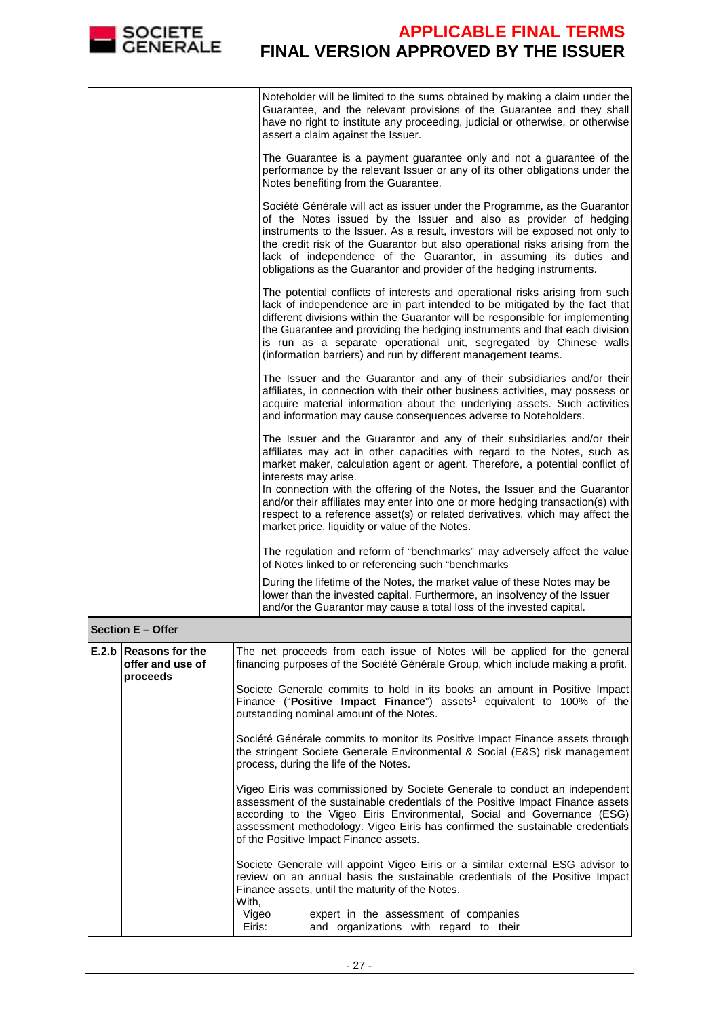

|       |                                                        | Noteholder will be limited to the sums obtained by making a claim under the<br>Guarantee, and the relevant provisions of the Guarantee and they shall<br>have no right to institute any proceeding, judicial or otherwise, or otherwise<br>assert a claim against the Issuer.                                                                                                                                                                                    |
|-------|--------------------------------------------------------|------------------------------------------------------------------------------------------------------------------------------------------------------------------------------------------------------------------------------------------------------------------------------------------------------------------------------------------------------------------------------------------------------------------------------------------------------------------|
|       |                                                        | The Guarantee is a payment guarantee only and not a guarantee of the<br>performance by the relevant Issuer or any of its other obligations under the<br>Notes benefiting from the Guarantee.                                                                                                                                                                                                                                                                     |
|       |                                                        | Société Générale will act as issuer under the Programme, as the Guarantor<br>of the Notes issued by the Issuer and also as provider of hedging<br>instruments to the Issuer. As a result, investors will be exposed not only to<br>the credit risk of the Guarantor but also operational risks arising from the<br>lack of independence of the Guarantor, in assuming its duties and<br>obligations as the Guarantor and provider of the hedging instruments.    |
|       |                                                        | The potential conflicts of interests and operational risks arising from such<br>lack of independence are in part intended to be mitigated by the fact that<br>different divisions within the Guarantor will be responsible for implementing<br>the Guarantee and providing the hedging instruments and that each division<br>is run as a separate operational unit, segregated by Chinese walls<br>(information barriers) and run by different management teams. |
|       |                                                        | The Issuer and the Guarantor and any of their subsidiaries and/or their<br>affiliates, in connection with their other business activities, may possess or<br>acquire material information about the underlying assets. Such activities<br>and information may cause consequences adverse to Noteholders.                                                                                                                                                         |
|       |                                                        | The Issuer and the Guarantor and any of their subsidiaries and/or their<br>affiliates may act in other capacities with regard to the Notes, such as<br>market maker, calculation agent or agent. Therefore, a potential conflict of<br>interests may arise.                                                                                                                                                                                                      |
|       |                                                        | In connection with the offering of the Notes, the Issuer and the Guarantor<br>and/or their affiliates may enter into one or more hedging transaction(s) with<br>respect to a reference asset(s) or related derivatives, which may affect the<br>market price, liquidity or value of the Notes.                                                                                                                                                                   |
|       |                                                        | The regulation and reform of "benchmarks" may adversely affect the value<br>of Notes linked to or referencing such "benchmarks                                                                                                                                                                                                                                                                                                                                   |
|       |                                                        | During the lifetime of the Notes, the market value of these Notes may be<br>lower than the invested capital. Furthermore, an insolvency of the Issuer<br>and/or the Guarantor may cause a total loss of the invested capital.                                                                                                                                                                                                                                    |
|       | Section E – Offer                                      |                                                                                                                                                                                                                                                                                                                                                                                                                                                                  |
| E.2.b | <b>Reasons for the</b><br>offer and use of<br>proceeds | The net proceeds from each issue of Notes will be applied for the general<br>financing purposes of the Société Générale Group, which include making a profit.                                                                                                                                                                                                                                                                                                    |
|       |                                                        | Societe Generale commits to hold in its books an amount in Positive Impact<br>Finance ("Positive Impact Finance") assets <sup>1</sup> equivalent to 100% of the<br>outstanding nominal amount of the Notes.                                                                                                                                                                                                                                                      |
|       |                                                        | Société Générale commits to monitor its Positive Impact Finance assets through<br>the stringent Societe Generale Environmental & Social (E&S) risk management<br>process, during the life of the Notes.                                                                                                                                                                                                                                                          |
|       |                                                        | Vigeo Eiris was commissioned by Societe Generale to conduct an independent<br>assessment of the sustainable credentials of the Positive Impact Finance assets<br>according to the Vigeo Eiris Environmental, Social and Governance (ESG)<br>assessment methodology. Vigeo Eiris has confirmed the sustainable credentials<br>of the Positive Impact Finance assets.                                                                                              |
|       |                                                        | Societe Generale will appoint Vigeo Eiris or a similar external ESG advisor to<br>review on an annual basis the sustainable credentials of the Positive Impact<br>Finance assets, until the maturity of the Notes.<br>With,                                                                                                                                                                                                                                      |
|       |                                                        | Vigeo<br>expert in the assessment of companies<br>and organizations with regard to their<br>Eiris:                                                                                                                                                                                                                                                                                                                                                               |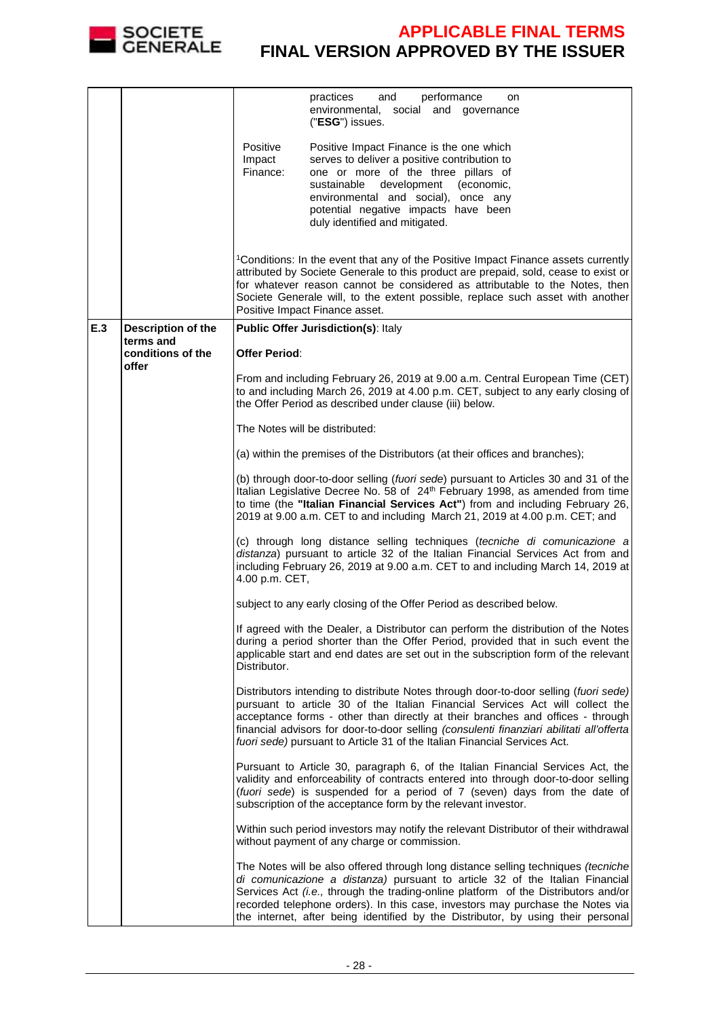

|     |                                 | practices<br>and<br>performance<br>on<br>environmental, social and governance<br>("ESG") issues.                                                                                                                                                                                                                                                                                                                                 |  |
|-----|---------------------------------|----------------------------------------------------------------------------------------------------------------------------------------------------------------------------------------------------------------------------------------------------------------------------------------------------------------------------------------------------------------------------------------------------------------------------------|--|
|     |                                 | Positive<br>Positive Impact Finance is the one which<br>serves to deliver a positive contribution to<br>Impact<br>Finance:<br>one or more of the three pillars of<br>sustainable<br>development<br>(economic,<br>environmental and social), once any<br>potential negative impacts have been<br>duly identified and mitigated.                                                                                                   |  |
|     |                                 | <sup>1</sup> Conditions: In the event that any of the Positive Impact Finance assets currently<br>attributed by Societe Generale to this product are prepaid, sold, cease to exist or<br>for whatever reason cannot be considered as attributable to the Notes, then<br>Societe Generale will, to the extent possible, replace such asset with another<br>Positive Impact Finance asset.                                         |  |
| E.3 | Description of the<br>terms and | <b>Public Offer Jurisdiction(s): Italy</b>                                                                                                                                                                                                                                                                                                                                                                                       |  |
|     | conditions of the<br>offer      | <b>Offer Period:</b>                                                                                                                                                                                                                                                                                                                                                                                                             |  |
|     |                                 | From and including February 26, 2019 at 9.00 a.m. Central European Time (CET)<br>to and including March 26, 2019 at 4.00 p.m. CET, subject to any early closing of<br>the Offer Period as described under clause (iii) below.                                                                                                                                                                                                    |  |
|     |                                 | The Notes will be distributed:                                                                                                                                                                                                                                                                                                                                                                                                   |  |
|     |                                 | (a) within the premises of the Distributors (at their offices and branches);                                                                                                                                                                                                                                                                                                                                                     |  |
|     |                                 | (b) through door-to-door selling (fuori sede) pursuant to Articles 30 and 31 of the<br>Italian Legislative Decree No. 58 of 24 <sup>th</sup> February 1998, as amended from time<br>to time (the "Italian Financial Services Act") from and including February 26,<br>2019 at 9.00 a.m. CET to and including March 21, 2019 at 4.00 p.m. CET; and                                                                                |  |
|     |                                 | (c) through long distance selling techniques (tecniche di comunicazione a<br>distanza) pursuant to article 32 of the Italian Financial Services Act from and<br>including February 26, 2019 at 9.00 a.m. CET to and including March 14, 2019 at<br>4.00 p.m. CET,                                                                                                                                                                |  |
|     |                                 | subject to any early closing of the Offer Period as described below.                                                                                                                                                                                                                                                                                                                                                             |  |
|     |                                 | If agreed with the Dealer, a Distributor can perform the distribution of the Notes<br>during a period shorter than the Offer Period, provided that in such event the<br>applicable start and end dates are set out in the subscription form of the relevant<br>Distributor.                                                                                                                                                      |  |
|     |                                 | Distributors intending to distribute Notes through door-to-door selling (fuori sede)<br>pursuant to article 30 of the Italian Financial Services Act will collect the<br>acceptance forms - other than directly at their branches and offices - through<br>financial advisors for door-to-door selling (consulenti finanziari abilitati all'offerta<br>fuori sede) pursuant to Article 31 of the Italian Financial Services Act. |  |
|     |                                 | Pursuant to Article 30, paragraph 6, of the Italian Financial Services Act, the<br>validity and enforceability of contracts entered into through door-to-door selling<br>(fuori sede) is suspended for a period of 7 (seven) days from the date of<br>subscription of the acceptance form by the relevant investor.                                                                                                              |  |
|     |                                 | Within such period investors may notify the relevant Distributor of their withdrawal<br>without payment of any charge or commission.                                                                                                                                                                                                                                                                                             |  |
|     |                                 | The Notes will be also offered through long distance selling techniques (tecniche<br>di comunicazione a distanza) pursuant to article 32 of the Italian Financial<br>Services Act (i.e., through the trading-online platform of the Distributors and/or<br>recorded telephone orders). In this case, investors may purchase the Notes via<br>the internet, after being identified by the Distributor, by using their personal    |  |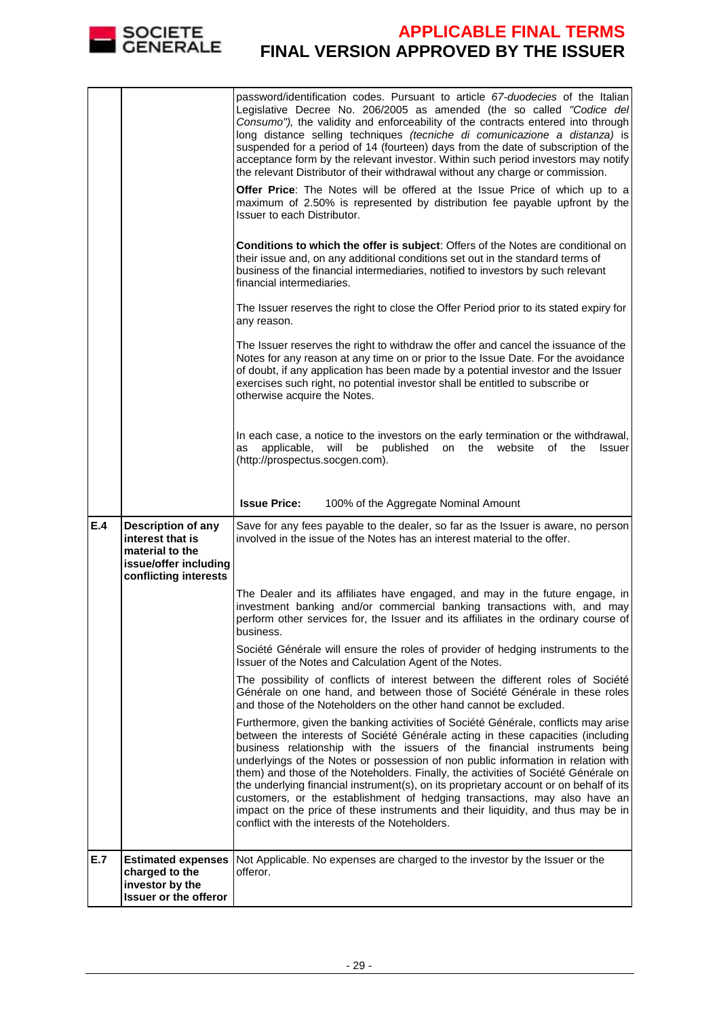|     | <b>SOCIETE</b><br><b>GENERALE</b>                                                                                  | <b>APPLICABLE FINAL TERMS</b><br><b>FINAL VERSION APPROVED BY THE ISSUER</b>                                                                                                                                                                                                                                                                                                                                                                                                                                                                                                                                                                                                                                                                |
|-----|--------------------------------------------------------------------------------------------------------------------|---------------------------------------------------------------------------------------------------------------------------------------------------------------------------------------------------------------------------------------------------------------------------------------------------------------------------------------------------------------------------------------------------------------------------------------------------------------------------------------------------------------------------------------------------------------------------------------------------------------------------------------------------------------------------------------------------------------------------------------------|
|     |                                                                                                                    |                                                                                                                                                                                                                                                                                                                                                                                                                                                                                                                                                                                                                                                                                                                                             |
|     |                                                                                                                    | password/identification codes. Pursuant to article 67-duodecies of the Italian<br>Legislative Decree No. 206/2005 as amended (the so called "Codice del<br>Consumo"), the validity and enforceability of the contracts entered into through<br>long distance selling techniques (tecniche di comunicazione a distanza) is<br>suspended for a period of 14 (fourteen) days from the date of subscription of the<br>acceptance form by the relevant investor. Within such period investors may notify<br>the relevant Distributor of their withdrawal without any charge or commission.                                                                                                                                                       |
|     |                                                                                                                    | Offer Price: The Notes will be offered at the Issue Price of which up to a<br>maximum of 2.50% is represented by distribution fee payable upfront by the<br>Issuer to each Distributor.                                                                                                                                                                                                                                                                                                                                                                                                                                                                                                                                                     |
|     |                                                                                                                    | Conditions to which the offer is subject: Offers of the Notes are conditional on<br>their issue and, on any additional conditions set out in the standard terms of<br>business of the financial intermediaries, notified to investors by such relevant<br>financial intermediaries.                                                                                                                                                                                                                                                                                                                                                                                                                                                         |
|     |                                                                                                                    | The Issuer reserves the right to close the Offer Period prior to its stated expiry for<br>any reason.                                                                                                                                                                                                                                                                                                                                                                                                                                                                                                                                                                                                                                       |
|     |                                                                                                                    | The Issuer reserves the right to withdraw the offer and cancel the issuance of the<br>Notes for any reason at any time on or prior to the Issue Date. For the avoidance<br>of doubt, if any application has been made by a potential investor and the Issuer<br>exercises such right, no potential investor shall be entitled to subscribe or<br>otherwise acquire the Notes.                                                                                                                                                                                                                                                                                                                                                               |
|     |                                                                                                                    | In each case, a notice to the investors on the early termination or the withdrawal,<br>applicable, will be published<br>on the website<br>of<br>the<br>Issuer<br>as<br>(http://prospectus.socgen.com).                                                                                                                                                                                                                                                                                                                                                                                                                                                                                                                                      |
|     |                                                                                                                    | <b>Issue Price:</b><br>100% of the Aggregate Nominal Amount                                                                                                                                                                                                                                                                                                                                                                                                                                                                                                                                                                                                                                                                                 |
| E.4 | <b>Description of any</b><br>interest that is<br>material to the<br>issue/offer including<br>conflicting interests | Save for any fees payable to the dealer, so far as the Issuer is aware, no person<br>involved in the issue of the Notes has an interest material to the offer.                                                                                                                                                                                                                                                                                                                                                                                                                                                                                                                                                                              |
|     |                                                                                                                    | The Dealer and its affiliates have engaged, and may in the future engage, in<br>investment banking and/or commercial banking transactions with, and may<br>perform other services for, the Issuer and its affiliates in the ordinary course of<br>business.                                                                                                                                                                                                                                                                                                                                                                                                                                                                                 |
|     |                                                                                                                    | Société Générale will ensure the roles of provider of hedging instruments to the<br>Issuer of the Notes and Calculation Agent of the Notes.                                                                                                                                                                                                                                                                                                                                                                                                                                                                                                                                                                                                 |
|     |                                                                                                                    | The possibility of conflicts of interest between the different roles of Société<br>Générale on one hand, and between those of Société Générale in these roles<br>and those of the Noteholders on the other hand cannot be excluded.                                                                                                                                                                                                                                                                                                                                                                                                                                                                                                         |
|     |                                                                                                                    | Furthermore, given the banking activities of Société Générale, conflicts may arise<br>between the interests of Société Générale acting in these capacities (including<br>business relationship with the issuers of the financial instruments being<br>underlyings of the Notes or possession of non public information in relation with<br>them) and those of the Noteholders. Finally, the activities of Société Générale on<br>the underlying financial instrument(s), on its proprietary account or on behalf of its<br>customers, or the establishment of hedging transactions, may also have an<br>impact on the price of these instruments and their liquidity, and thus may be in<br>conflict with the interests of the Noteholders. |
| E.7 | <b>Estimated expenses</b><br>charged to the<br>investor by the<br><b>Issuer or the offeror</b>                     | Not Applicable. No expenses are charged to the investor by the Issuer or the<br>offeror.                                                                                                                                                                                                                                                                                                                                                                                                                                                                                                                                                                                                                                                    |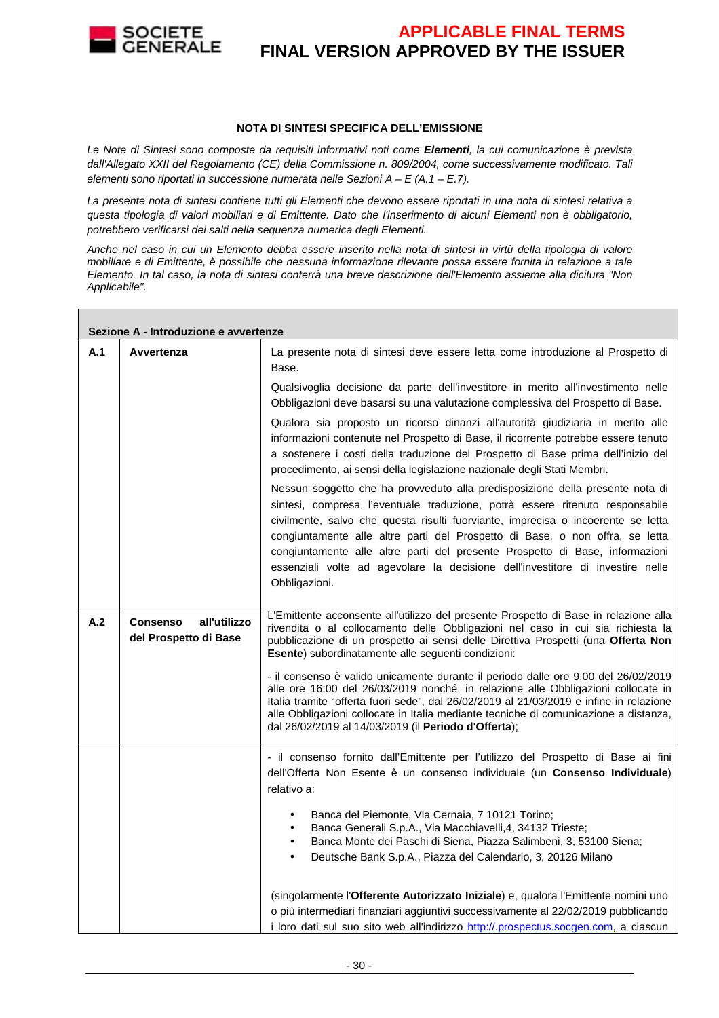

#### **NOTA DI SINTESI SPECIFICA DELL'EMISSIONE**

Le Note di Sintesi sono composte da requisiti informativi noti come **Elementi**, la cui comunicazione è prevista dall'Allegato XXII del Regolamento (CE) della Commissione n. 809/2004, come successivamente modificato. Tali elementi sono riportati in successione numerata nelle Sezioni  $A - E(A.1 - E.7)$ .

La presente nota di sintesi contiene tutti gli Elementi che devono essere riportati in una nota di sintesi relativa a questa tipologia di valori mobiliari e di Emittente. Dato che l'inserimento di alcuni Elementi non è obbligatorio, potrebbero verificarsi dei salti nella sequenza numerica degli Elementi.

Anche nel caso in cui un Elemento debba essere inserito nella nota di sintesi in virtù della tipologia di valore mobiliare e di Emittente, è possibile che nessuna informazione rilevante possa essere fornita in relazione a tale Elemento. In tal caso, la nota di sintesi conterrà una breve descrizione dell'Elemento assieme alla dicitura "Non Applicabile".

|     | Sezione A - Introduzione e avvertenze                    |                                                                                                                                                                                                                                                                                                                                                                                                                                                                                                                      |  |  |  |
|-----|----------------------------------------------------------|----------------------------------------------------------------------------------------------------------------------------------------------------------------------------------------------------------------------------------------------------------------------------------------------------------------------------------------------------------------------------------------------------------------------------------------------------------------------------------------------------------------------|--|--|--|
| A.1 | Avvertenza                                               | La presente nota di sintesi deve essere letta come introduzione al Prospetto di<br>Base.                                                                                                                                                                                                                                                                                                                                                                                                                             |  |  |  |
|     |                                                          | Qualsivoglia decisione da parte dell'investitore in merito all'investimento nelle<br>Obbligazioni deve basarsi su una valutazione complessiva del Prospetto di Base.                                                                                                                                                                                                                                                                                                                                                 |  |  |  |
|     |                                                          | Qualora sia proposto un ricorso dinanzi all'autorità giudiziaria in merito alle<br>informazioni contenute nel Prospetto di Base, il ricorrente potrebbe essere tenuto<br>a sostenere i costi della traduzione del Prospetto di Base prima dell'inizio del<br>procedimento, ai sensi della legislazione nazionale degli Stati Membri.                                                                                                                                                                                 |  |  |  |
|     |                                                          | Nessun soggetto che ha provveduto alla predisposizione della presente nota di<br>sintesi, compresa l'eventuale traduzione, potrà essere ritenuto responsabile<br>civilmente, salvo che questa risulti fuorviante, imprecisa o incoerente se letta<br>congiuntamente alle altre parti del Prospetto di Base, o non offra, se letta<br>congiuntamente alle altre parti del presente Prospetto di Base, informazioni<br>essenziali volte ad agevolare la decisione dell'investitore di investire nelle<br>Obbligazioni. |  |  |  |
| A.2 | <b>Consenso</b><br>all'utilizzo<br>del Prospetto di Base | L'Emittente acconsente all'utilizzo del presente Prospetto di Base in relazione alla<br>rivendita o al collocamento delle Obbligazioni nel caso in cui sia richiesta la<br>pubblicazione di un prospetto ai sensi delle Direttiva Prospetti (una Offerta Non<br>Esente) subordinatamente alle seguenti condizioni:                                                                                                                                                                                                   |  |  |  |
|     |                                                          | - il consenso è valido unicamente durante il periodo dalle ore 9:00 del 26/02/2019<br>alle ore 16:00 del 26/03/2019 nonché, in relazione alle Obbligazioni collocate in<br>Italia tramite "offerta fuori sede", dal 26/02/2019 al 21/03/2019 e infine in relazione<br>alle Obbligazioni collocate in Italia mediante tecniche di comunicazione a distanza,<br>dal 26/02/2019 al 14/03/2019 (il Periodo d'Offerta);                                                                                                   |  |  |  |
|     |                                                          | - il consenso fornito dall'Emittente per l'utilizzo del Prospetto di Base ai fini<br>dell'Offerta Non Esente è un consenso individuale (un Consenso Individuale)<br>relativo a:                                                                                                                                                                                                                                                                                                                                      |  |  |  |
|     |                                                          | Banca del Piemonte, Via Cernaia, 7 10121 Torino;<br>$\bullet$<br>Banca Generali S.p.A., Via Macchiavelli, 4, 34132 Trieste;<br>Banca Monte dei Paschi di Siena, Piazza Salimbeni, 3, 53100 Siena;<br>$\bullet$<br>Deutsche Bank S.p.A., Piazza del Calendario, 3, 20126 Milano                                                                                                                                                                                                                                       |  |  |  |
|     |                                                          | (singolarmente l'Offerente Autorizzato Iniziale) e, qualora l'Emittente nomini uno<br>o più intermediari finanziari aggiuntivi successivamente al 22/02/2019 pubblicando<br>i loro dati sul suo sito web all'indirizzo http://.prospectus.socgen.com, a ciascun                                                                                                                                                                                                                                                      |  |  |  |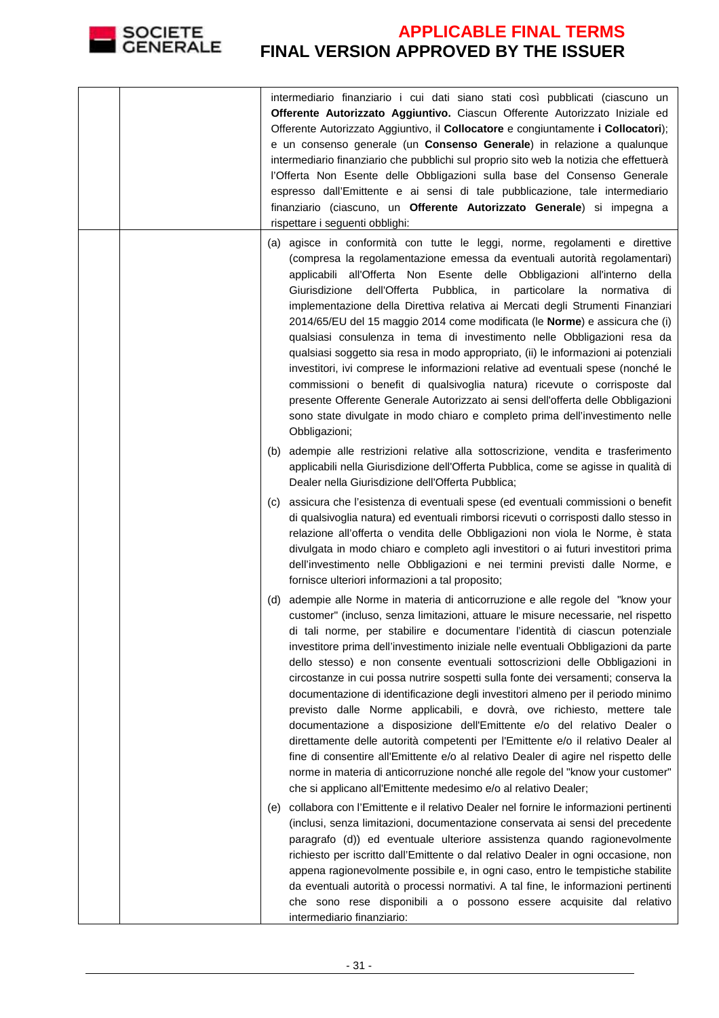

|     | intermediario finanziario i cui dati siano stati così pubblicati (ciascuno un<br>Offerente Autorizzato Aggiuntivo. Ciascun Offerente Autorizzato Iniziale ed<br>Offerente Autorizzato Aggiuntivo, il Collocatore e congiuntamente i Collocatori);<br>e un consenso generale (un Consenso Generale) in relazione a qualunque<br>intermediario finanziario che pubblichi sul proprio sito web la notizia che effettuerà<br>l'Offerta Non Esente delle Obbligazioni sulla base del Consenso Generale<br>espresso dall'Emittente e ai sensi di tale pubblicazione, tale intermediario<br>finanziario (ciascuno, un Offerente Autorizzato Generale) si impegna a<br>rispettare i seguenti obblighi:                                                                                                                                                                                                                                                                                                                                                                                         |
|-----|----------------------------------------------------------------------------------------------------------------------------------------------------------------------------------------------------------------------------------------------------------------------------------------------------------------------------------------------------------------------------------------------------------------------------------------------------------------------------------------------------------------------------------------------------------------------------------------------------------------------------------------------------------------------------------------------------------------------------------------------------------------------------------------------------------------------------------------------------------------------------------------------------------------------------------------------------------------------------------------------------------------------------------------------------------------------------------------|
|     | (a) agisce in conformità con tutte le leggi, norme, regolamenti e direttive<br>(compresa la regolamentazione emessa da eventuali autorità regolamentari)<br>applicabili all'Offerta Non Esente delle Obbligazioni all'interno della<br>Giurisdizione<br>dell'Offerta Pubblica, in particolare la normativa di<br>implementazione della Direttiva relativa ai Mercati degli Strumenti Finanziari<br>2014/65/EU del 15 maggio 2014 come modificata (le Norme) e assicura che (i)<br>qualsiasi consulenza in tema di investimento nelle Obbligazioni resa da<br>qualsiasi soggetto sia resa in modo appropriato, (ii) le informazioni ai potenziali<br>investitori, ivi comprese le informazioni relative ad eventuali spese (nonché le<br>commissioni o benefit di qualsivoglia natura) ricevute o corrisposte dal<br>presente Offerente Generale Autorizzato ai sensi dell'offerta delle Obbligazioni<br>sono state divulgate in modo chiaro e completo prima dell'investimento nelle<br>Obbligazioni;                                                                                  |
|     | (b) adempie alle restrizioni relative alla sottoscrizione, vendita e trasferimento<br>applicabili nella Giurisdizione dell'Offerta Pubblica, come se agisse in qualità di<br>Dealer nella Giurisdizione dell'Offerta Pubblica;                                                                                                                                                                                                                                                                                                                                                                                                                                                                                                                                                                                                                                                                                                                                                                                                                                                         |
| (C) | assicura che l'esistenza di eventuali spese (ed eventuali commissioni o benefit<br>di qualsivoglia natura) ed eventuali rimborsi ricevuti o corrisposti dallo stesso in<br>relazione all'offerta o vendita delle Obbligazioni non viola le Norme, è stata<br>divulgata in modo chiaro e completo agli investitori o ai futuri investitori prima<br>dell'investimento nelle Obbligazioni e nei termini previsti dalle Norme, e<br>fornisce ulteriori informazioni a tal proposito;                                                                                                                                                                                                                                                                                                                                                                                                                                                                                                                                                                                                      |
|     | (d) adempie alle Norme in materia di anticorruzione e alle regole del "know your<br>customer" (incluso, senza limitazioni, attuare le misure necessarie, nel rispetto<br>di tali norme, per stabilire e documentare l'identità di ciascun potenziale<br>investitore prima dell'investimento iniziale nelle eventuali Obbligazioni da parte<br>dello stesso) e non consente eventuali sottoscrizioni delle Obbligazioni in<br>circostanze in cui possa nutrire sospetti sulla fonte dei versamenti; conserva la<br>documentazione di identificazione degli investitori almeno per il periodo minimo<br>previsto dalle Norme applicabili, e dovrà, ove richiesto, mettere tale<br>documentazione a disposizione dell'Emittente e/o del relativo Dealer o<br>direttamente delle autorità competenti per l'Emittente e/o il relativo Dealer al<br>fine di consentire all'Emittente e/o al relativo Dealer di agire nel rispetto delle<br>norme in materia di anticorruzione nonché alle regole del "know your customer"<br>che si applicano all'Emittente medesimo e/o al relativo Dealer; |
| (e) | collabora con l'Emittente e il relativo Dealer nel fornire le informazioni pertinenti<br>(inclusi, senza limitazioni, documentazione conservata ai sensi del precedente<br>paragrafo (d)) ed eventuale ulteriore assistenza quando ragionevolmente<br>richiesto per iscritto dall'Emittente o dal relativo Dealer in ogni occasione, non<br>appena ragionevolmente possibile e, in ogni caso, entro le tempistiche stabilite<br>da eventuali autorità o processi normativi. A tal fine, le informazioni pertinenti<br>che sono rese disponibili a o possono essere acquisite dal relativo<br>intermediario finanziario:                                                                                                                                                                                                                                                                                                                                                                                                                                                                |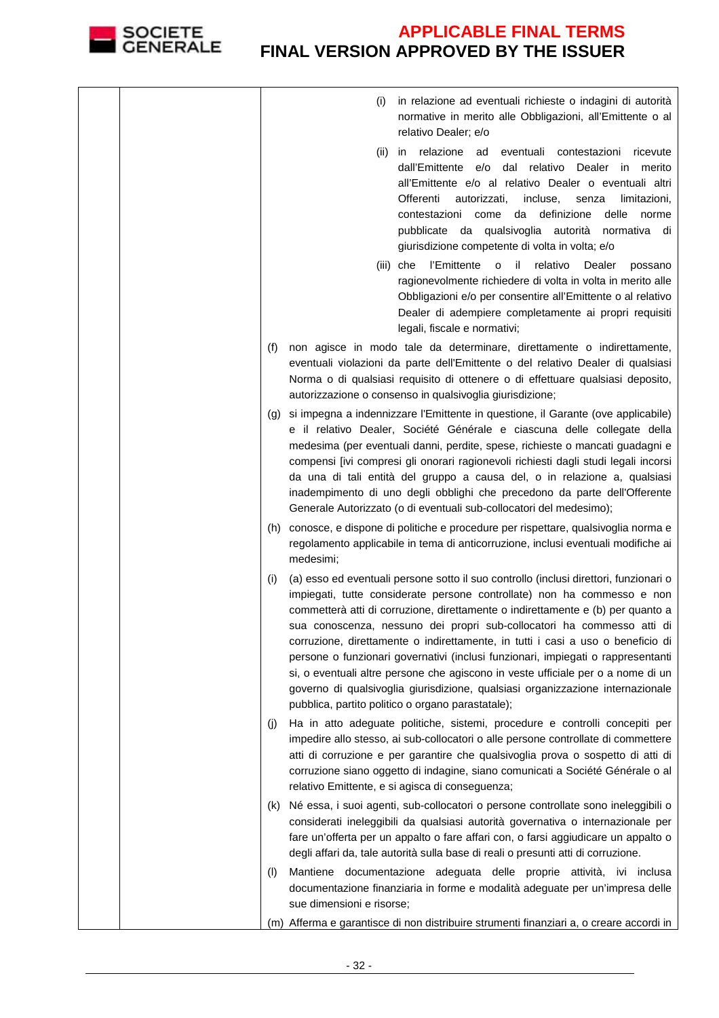

|  |     | in relazione ad eventuali richieste o indagini di autorità<br>(i)<br>normative in merito alle Obbligazioni, all'Emittente o al<br>relativo Dealer; e/o                                                                                                                                                                                                                                                                                                                                                                                                                                                                                                                                                                          |
|--|-----|---------------------------------------------------------------------------------------------------------------------------------------------------------------------------------------------------------------------------------------------------------------------------------------------------------------------------------------------------------------------------------------------------------------------------------------------------------------------------------------------------------------------------------------------------------------------------------------------------------------------------------------------------------------------------------------------------------------------------------|
|  |     | (ii) in relazione ad eventuali contestazioni ricevute<br>dall'Emittente e/o dal relativo Dealer in merito<br>all'Emittente e/o al relativo Dealer o eventuali altri<br>Offerenti<br>autorizzati,<br>incluse,<br>senza<br>limitazioni,<br>contestazioni come da definizione<br>delle<br>norme<br>pubblicate da qualsivoglia autorità normativa di<br>giurisdizione competente di volta in volta; e/o                                                                                                                                                                                                                                                                                                                             |
|  |     | (iii) che l'Emittente<br>relativo<br>il.<br>Dealer<br>$\mathsf{o}\,$<br>possano<br>ragionevolmente richiedere di volta in volta in merito alle<br>Obbligazioni e/o per consentire all'Emittente o al relativo<br>Dealer di adempiere completamente ai propri requisiti<br>legali, fiscale e normativi;                                                                                                                                                                                                                                                                                                                                                                                                                          |
|  | (f) | non agisce in modo tale da determinare, direttamente o indirettamente,<br>eventuali violazioni da parte dell'Emittente o del relativo Dealer di qualsiasi<br>Norma o di qualsiasi requisito di ottenere o di effettuare qualsiasi deposito,<br>autorizzazione o consenso in qualsivoglia giurisdizione;                                                                                                                                                                                                                                                                                                                                                                                                                         |
|  |     | (g) si impegna a indennizzare l'Emittente in questione, il Garante (ove applicabile)<br>e il relativo Dealer, Société Générale e ciascuna delle collegate della<br>medesima (per eventuali danni, perdite, spese, richieste o mancati guadagni e<br>compensi [ivi compresi gli onorari ragionevoli richiesti dagli studi legali incorsi<br>da una di tali entità del gruppo a causa del, o in relazione a, qualsiasi<br>inadempimento di uno degli obblighi che precedono da parte dell'Offerente<br>Generale Autorizzato (o di eventuali sub-collocatori del medesimo);                                                                                                                                                        |
|  |     | (h) conosce, e dispone di politiche e procedure per rispettare, qualsivoglia norma e<br>regolamento applicabile in tema di anticorruzione, inclusi eventuali modifiche ai<br>medesimi;                                                                                                                                                                                                                                                                                                                                                                                                                                                                                                                                          |
|  | (i) | (a) esso ed eventuali persone sotto il suo controllo (inclusi direttori, funzionari o<br>impiegati, tutte considerate persone controllate) non ha commesso e non<br>commetterà atti di corruzione, direttamente o indirettamente e (b) per quanto a<br>sua conoscenza, nessuno dei propri sub-collocatori ha commesso atti di<br>corruzione, direttamente o indirettamente, in tutti i casi a uso o beneficio di<br>persone o funzionari governativi (inclusi funzionari, impiegati o rappresentanti<br>si, o eventuali altre persone che agiscono in veste ufficiale per o a nome di un<br>governo di qualsivoglia giurisdizione, qualsiasi organizzazione internazionale<br>pubblica, partito politico o organo parastatale); |
|  | (1) | Ha in atto adeguate politiche, sistemi, procedure e controlli concepiti per<br>impedire allo stesso, ai sub-collocatori o alle persone controllate di commettere<br>atti di corruzione e per garantire che qualsivoglia prova o sospetto di atti di<br>corruzione siano oggetto di indagine, siano comunicati a Société Générale o al<br>relativo Emittente, e si agisca di conseguenza;                                                                                                                                                                                                                                                                                                                                        |
|  |     | (k) Né essa, i suoi agenti, sub-collocatori o persone controllate sono ineleggibili o<br>considerati ineleggibili da qualsiasi autorità governativa o internazionale per<br>fare un'offerta per un appalto o fare affari con, o farsi aggiudicare un appalto o<br>degli affari da, tale autorità sulla base di reali o presunti atti di corruzione.                                                                                                                                                                                                                                                                                                                                                                             |
|  | (1) | Mantiene documentazione adeguata delle proprie attività, ivi inclusa<br>documentazione finanziaria in forme e modalità adeguate per un'impresa delle<br>sue dimensioni e risorse;                                                                                                                                                                                                                                                                                                                                                                                                                                                                                                                                               |
|  |     | (m) Afferma e garantisce di non distribuire strumenti finanziari a, o creare accordi in                                                                                                                                                                                                                                                                                                                                                                                                                                                                                                                                                                                                                                         |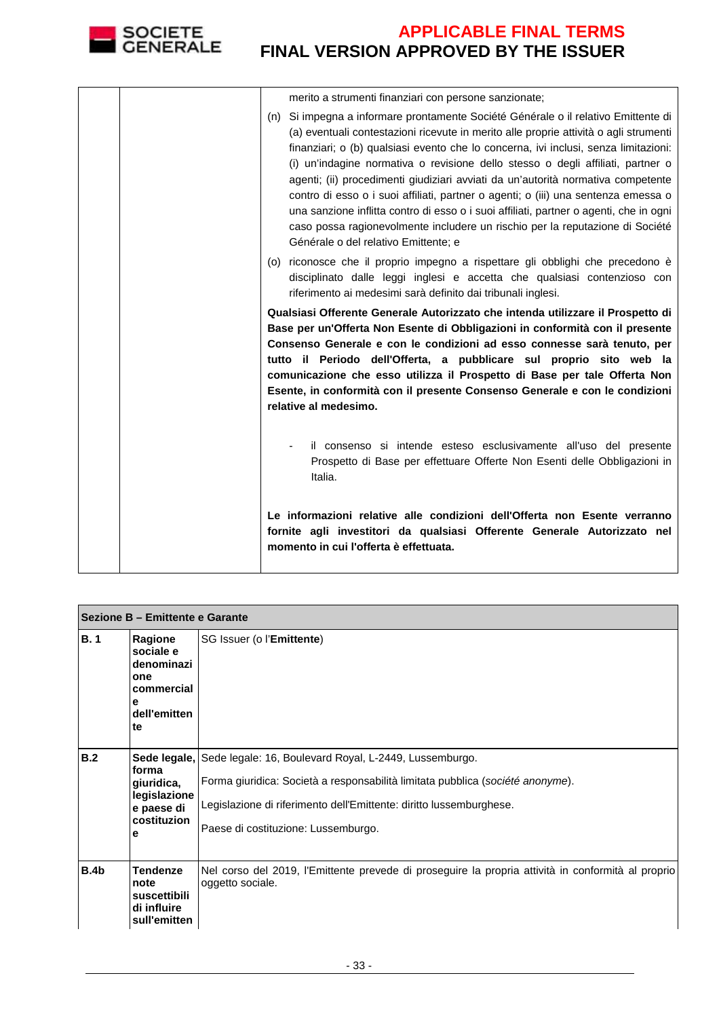

| merito a strumenti finanziari con persone sanzionate;                                                                                                                                                                                                                                                                                                                                                                                                                                                                                                                                                                                                                                                                                              |
|----------------------------------------------------------------------------------------------------------------------------------------------------------------------------------------------------------------------------------------------------------------------------------------------------------------------------------------------------------------------------------------------------------------------------------------------------------------------------------------------------------------------------------------------------------------------------------------------------------------------------------------------------------------------------------------------------------------------------------------------------|
| (n) Si impegna a informare prontamente Société Générale o il relativo Emittente di<br>(a) eventuali contestazioni ricevute in merito alle proprie attività o agli strumenti<br>finanziari; o (b) qualsiasi evento che lo concerna, ivi inclusi, senza limitazioni:<br>(i) un'indagine normativa o revisione dello stesso o degli affiliati, partner o<br>agenti; (ii) procedimenti giudiziari avviati da un'autorità normativa competente<br>contro di esso o i suoi affiliati, partner o agenti; o (iii) una sentenza emessa o<br>una sanzione inflitta contro di esso o i suoi affiliati, partner o agenti, che in ogni<br>caso possa ragionevolmente includere un rischio per la reputazione di Société<br>Générale o del relativo Emittente; e |
| (o) riconosce che il proprio impegno a rispettare gli obblighi che precedono è<br>disciplinato dalle leggi inglesi e accetta che qualsiasi contenzioso con<br>riferimento ai medesimi sarà definito dai tribunali inglesi.                                                                                                                                                                                                                                                                                                                                                                                                                                                                                                                         |
| Qualsiasi Offerente Generale Autorizzato che intenda utilizzare il Prospetto di<br>Base per un'Offerta Non Esente di Obbligazioni in conformità con il presente<br>Consenso Generale e con le condizioni ad esso connesse sarà tenuto, per<br>tutto il Periodo dell'Offerta, a pubblicare sul proprio sito web la<br>comunicazione che esso utilizza il Prospetto di Base per tale Offerta Non<br>Esente, in conformità con il presente Consenso Generale e con le condizioni<br>relative al medesimo.                                                                                                                                                                                                                                             |
| il consenso si intende esteso esclusivamente all'uso del presente<br>Prospetto di Base per effettuare Offerte Non Esenti delle Obbligazioni in<br>Italia.                                                                                                                                                                                                                                                                                                                                                                                                                                                                                                                                                                                          |
| Le informazioni relative alle condizioni dell'Offerta non Esente verranno<br>fornite agli investitori da qualsiasi Offerente Generale Autorizzato nel<br>momento in cui l'offerta è effettuata.                                                                                                                                                                                                                                                                                                                                                                                                                                                                                                                                                    |

|      | Sezione B - Emittente e Garante                                                    |                                                                                                                                                                                                                                                                     |  |  |  |
|------|------------------------------------------------------------------------------------|---------------------------------------------------------------------------------------------------------------------------------------------------------------------------------------------------------------------------------------------------------------------|--|--|--|
| B.1  | Ragione<br>sociale e<br>denominazi<br>one<br>commercial<br>е<br>dell'emitten<br>te | SG Issuer (o l'Emittente)                                                                                                                                                                                                                                           |  |  |  |
| B.2  | forma<br>giuridica,<br>legislazione<br>e paese di<br>costituzion<br>е              | Sede legale, Sede legale: 16, Boulevard Royal, L-2449, Lussemburgo.<br>Forma giuridica: Società a responsabilità limitata pubblica (société anonyme).<br>Legislazione di riferimento dell'Emittente: diritto lussemburghese.<br>Paese di costituzione: Lussemburgo. |  |  |  |
| B.4b | <b>Tendenze</b><br>note<br>suscettibili<br>di influire<br>sull'emitten             | Nel corso del 2019, l'Emittente prevede di proseguire la propria attività in conformità al proprio<br>oggetto sociale.                                                                                                                                              |  |  |  |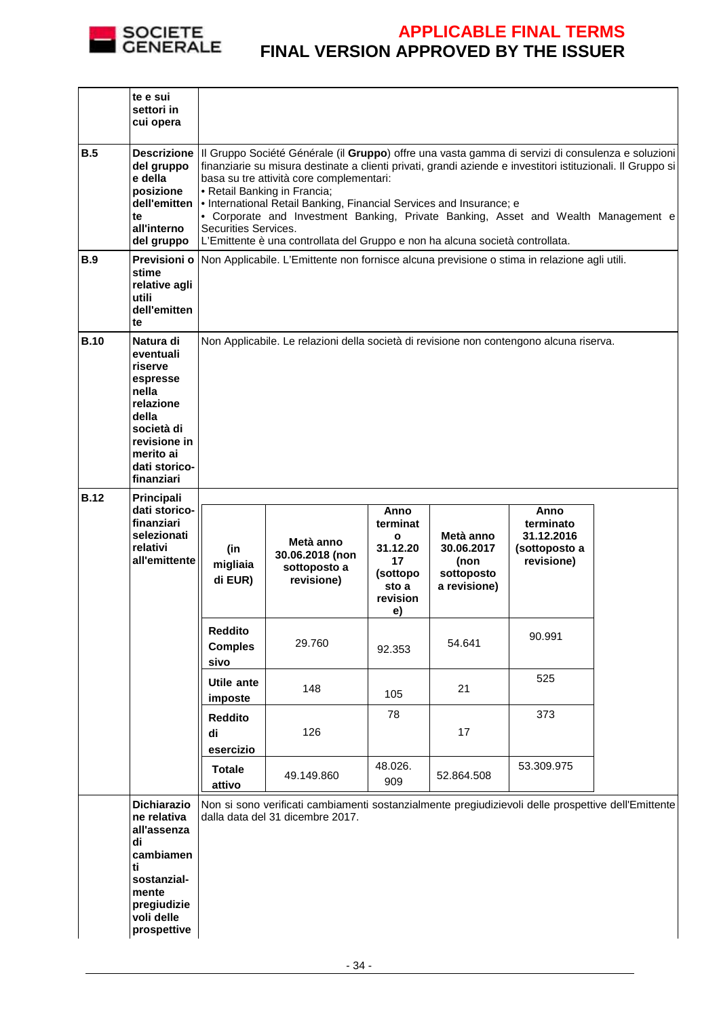

|             | te e sui<br>settori in<br>cui opera                                                                                                                    |                                                                                                                                                                                                                                                                                                                                                                                                                                                                                                                                                                                                 |                                                                                                                                         |                                                                                           |                                                               |                                                                |  |
|-------------|--------------------------------------------------------------------------------------------------------------------------------------------------------|-------------------------------------------------------------------------------------------------------------------------------------------------------------------------------------------------------------------------------------------------------------------------------------------------------------------------------------------------------------------------------------------------------------------------------------------------------------------------------------------------------------------------------------------------------------------------------------------------|-----------------------------------------------------------------------------------------------------------------------------------------|-------------------------------------------------------------------------------------------|---------------------------------------------------------------|----------------------------------------------------------------|--|
| B.5         | del gruppo<br>e della<br>posizione<br>te<br>all'interno<br>del gruppo                                                                                  | Descrizione   Il Gruppo Société Générale (il Gruppo) offre una vasta gamma di servizi di consulenza e soluzioni<br>finanziarie su misura destinate a clienti privati, grandi aziende e investitori istituzionali. Il Gruppo si<br>basa su tre attività core complementari:<br>• Retail Banking in Francia;<br>dell'emitten   • International Retail Banking, Financial Services and Insurance; e<br>• Corporate and Investment Banking, Private Banking, Asset and Wealth Management e<br>Securities Services.<br>L'Emittente è una controllata del Gruppo e non ha alcuna società controllata. |                                                                                                                                         |                                                                                           |                                                               |                                                                |  |
| B.9         | stime<br>relative agli<br>utili<br>dell'emitten<br>te                                                                                                  |                                                                                                                                                                                                                                                                                                                                                                                                                                                                                                                                                                                                 | Previsioni o Non Applicabile. L'Emittente non fornisce alcuna previsione o stima in relazione agli utili.                               |                                                                                           |                                                               |                                                                |  |
| <b>B.10</b> | Natura di<br>eventuali<br>riserve<br>espresse<br>nella<br>relazione<br>della<br>società di<br>revisione in<br>merito ai<br>dati storico-<br>finanziari |                                                                                                                                                                                                                                                                                                                                                                                                                                                                                                                                                                                                 | Non Applicabile. Le relazioni della società di revisione non contengono alcuna riserva.                                                 |                                                                                           |                                                               |                                                                |  |
| <b>B.12</b> | Principali<br>dati storico-<br>finanziari<br>selezionati<br>relativi<br>all'emittente                                                                  | (in<br>migliaia<br>di EUR)                                                                                                                                                                                                                                                                                                                                                                                                                                                                                                                                                                      | Metà anno<br>30.06.2018 (non<br>sottoposto a<br>revisione)                                                                              | Anno<br>terminat<br>$\mathbf{o}$<br>31.12.20<br>17<br>(sottopo<br>sto a<br>revision<br>e) | Metà anno<br>30.06.2017<br>(non<br>sottoposto<br>a revisione) | Anno<br>terminato<br>31.12.2016<br>(sottoposto a<br>revisione) |  |
|             |                                                                                                                                                        | <b>Reddito</b><br><b>Comples</b><br>sivo                                                                                                                                                                                                                                                                                                                                                                                                                                                                                                                                                        | 29.760                                                                                                                                  | 92.353                                                                                    | 54.641                                                        | 90.991                                                         |  |
|             |                                                                                                                                                        | Utile ante<br>imposte                                                                                                                                                                                                                                                                                                                                                                                                                                                                                                                                                                           | 148                                                                                                                                     | 105                                                                                       | 21                                                            | 525                                                            |  |
|             |                                                                                                                                                        | <b>Reddito</b><br>di<br>esercizio                                                                                                                                                                                                                                                                                                                                                                                                                                                                                                                                                               | 126                                                                                                                                     | 78                                                                                        | 17                                                            | 373                                                            |  |
|             |                                                                                                                                                        | <b>Totale</b><br>attivo                                                                                                                                                                                                                                                                                                                                                                                                                                                                                                                                                                         | 49.149.860                                                                                                                              | 48.026.<br>909                                                                            | 52.864.508                                                    | 53.309.975                                                     |  |
|             | Dichiarazio<br>ne relativa<br>all'assenza<br>di<br>cambiamen<br>ti<br>sostanzial-                                                                      |                                                                                                                                                                                                                                                                                                                                                                                                                                                                                                                                                                                                 | Non si sono verificati cambiamenti sostanzialmente pregiudizievoli delle prospettive dell'Emittente<br>dalla data del 31 dicembre 2017. |                                                                                           |                                                               |                                                                |  |
|             | mente<br>pregiudizie<br>voli delle<br>prospettive                                                                                                      |                                                                                                                                                                                                                                                                                                                                                                                                                                                                                                                                                                                                 |                                                                                                                                         |                                                                                           |                                                               |                                                                |  |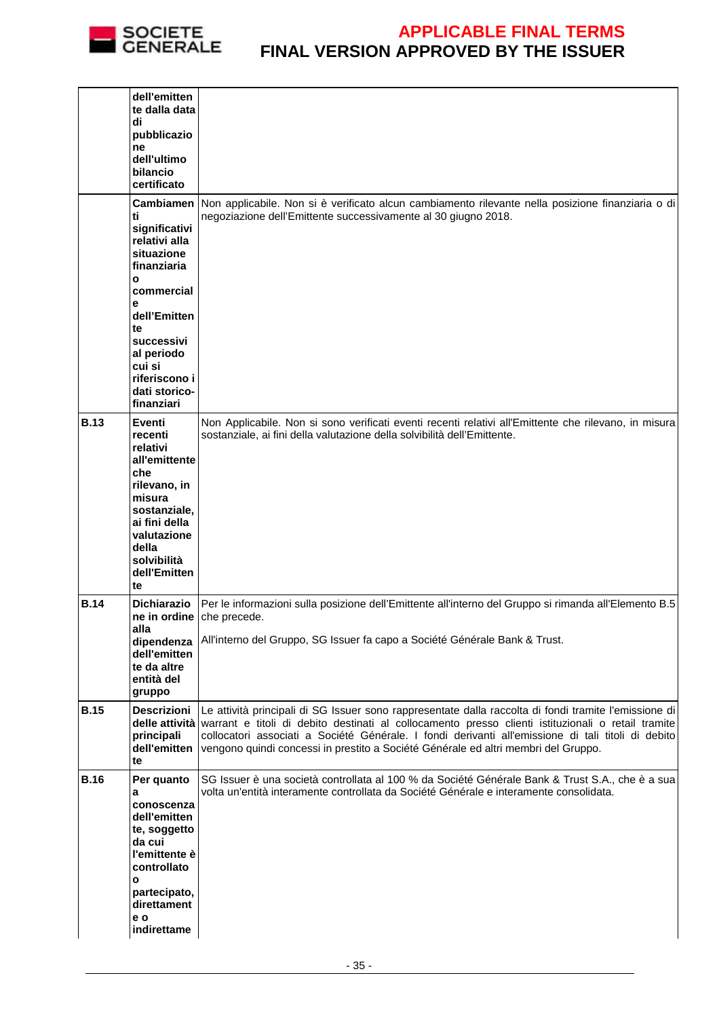

|             | dell'emitten<br>te dalla data<br>di<br>pubblicazio<br>ne<br>dell'ultimo<br>bilancio<br>certificato                                                                            |                                                                                                                                                                                                                                                                                                                                                                                                                        |
|-------------|-------------------------------------------------------------------------------------------------------------------------------------------------------------------------------|------------------------------------------------------------------------------------------------------------------------------------------------------------------------------------------------------------------------------------------------------------------------------------------------------------------------------------------------------------------------------------------------------------------------|
|             | <b>Cambiamen</b><br>ti<br>significativi<br>relativi alla<br>situazione<br>finanziaria<br>O                                                                                    | Non applicabile. Non si è verificato alcun cambiamento rilevante nella posizione finanziaria o di<br>negoziazione dell'Emittente successivamente al 30 giugno 2018.                                                                                                                                                                                                                                                    |
|             | commercial<br>е<br>dell'Emitten<br>te<br>successivi                                                                                                                           |                                                                                                                                                                                                                                                                                                                                                                                                                        |
|             | al periodo<br>cui si<br>riferiscono i<br>dati storico-<br>finanziari                                                                                                          |                                                                                                                                                                                                                                                                                                                                                                                                                        |
| <b>B.13</b> | Eventi<br>recenti<br>relativi<br>all'emittente<br>che<br>rilevano, in<br>misura<br>sostanziale,<br>ai fini della<br>valutazione<br>della<br>solvibilità<br>dell'Emitten<br>te | Non Applicabile. Non si sono verificati eventi recenti relativi all'Emittente che rilevano, in misura<br>sostanziale, ai fini della valutazione della solvibilità dell'Emittente.                                                                                                                                                                                                                                      |
| <b>B.14</b> | <b>Dichiarazio</b><br>alla<br>dipendenza<br>dell'emitten<br>te da altre<br>entità del<br>gruppo                                                                               | Per le informazioni sulla posizione dell'Emittente all'interno del Gruppo si rimanda all'Elemento B.5<br>ne in ordine che precede.<br>All'interno del Gruppo, SG Issuer fa capo a Société Générale Bank & Trust.                                                                                                                                                                                                       |
| <b>B.15</b> | <b>Descrizioni</b><br>principali<br>dell'emitten<br>te                                                                                                                        | Le attività principali di SG Issuer sono rappresentate dalla raccolta di fondi tramite l'emissione di<br>delle attività varrant e titoli di debito destinati al collocamento presso clienti istituzionali o retail tramite<br>collocatori associati a Société Générale. I fondi derivanti all'emissione di tali titoli di debito<br>vengono quindi concessi in prestito a Société Générale ed altri membri del Gruppo. |
| <b>B.16</b> | Per quanto<br>а<br>conoscenza<br>dell'emitten<br>te, soggetto<br>da cui<br>l'emittente è<br>controllato<br>o<br>partecipato,<br>direttament<br>e o<br>indirettame             | SG Issuer è una società controllata al 100 % da Société Générale Bank & Trust S.A., che è a sua<br>volta un'entità interamente controllata da Société Générale e interamente consolidata.                                                                                                                                                                                                                              |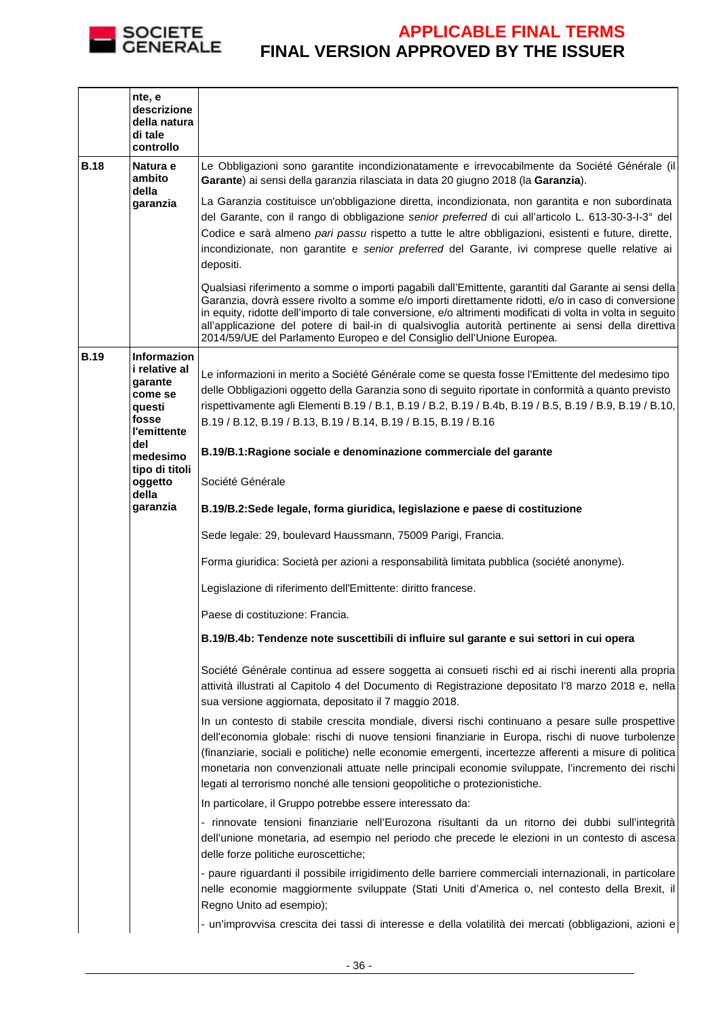

|             | nte, e<br>descrizione<br>della natura<br>di tale<br>controllo                                      |                                                                                                                                                                                                                                                                                                                                                                                                                                                                                                              |
|-------------|----------------------------------------------------------------------------------------------------|--------------------------------------------------------------------------------------------------------------------------------------------------------------------------------------------------------------------------------------------------------------------------------------------------------------------------------------------------------------------------------------------------------------------------------------------------------------------------------------------------------------|
| <b>B.18</b> | Natura e<br>ambito<br>della                                                                        | Le Obbligazioni sono garantite incondizionatamente e irrevocabilmente da Société Générale (il<br>Garante) ai sensi della garanzia rilasciata in data 20 giugno 2018 (la Garanzia).                                                                                                                                                                                                                                                                                                                           |
|             | garanzia                                                                                           | La Garanzia costituisce un'obbligazione diretta, incondizionata, non garantita e non subordinata<br>del Garante, con il rango di obbligazione senior preferred di cui all'articolo L. 613-30-3-1-3° del<br>Codice e sarà almeno pari passu rispetto a tutte le altre obbligazioni, esistenti e future, dirette,<br>incondizionate, non garantite e senior preferred del Garante, ivi comprese quelle relative ai<br>depositi.                                                                                |
|             |                                                                                                    | Qualsiasi riferimento a somme o importi pagabili dall'Emittente, garantiti dal Garante ai sensi della<br>Garanzia, dovrà essere rivolto a somme e/o importi direttamente ridotti, e/o in caso di conversione<br>in equity, ridotte dell'importo di tale conversione, e/o altrimenti modificati di volta in volta in seguito<br>all'applicazione del potere di bail-in di qualsivoglia autorità pertinente ai sensi della direttiva<br>2014/59/UE del Parlamento Europeo e del Consiglio dell'Unione Europea. |
| <b>B.19</b> | <b>Informazion</b><br>i relative al<br>qarante<br>come se<br>questi<br>fosse<br><b>l'emittente</b> | Le informazioni in merito a Société Générale come se questa fosse l'Emittente del medesimo tipo<br>delle Obbligazioni oggetto della Garanzia sono di seguito riportate in conformità a quanto previsto<br>rispettivamente agli Elementi B.19 / B.1, B.19 / B.2, B.19 / B.4b, B.19 / B.5, B.19 / B.9, B.19 / B.10,<br>B.19 / B.12, B.19 / B.13, B.19 / B.14, B.19 / B.15, B.19 / B.16                                                                                                                         |
|             | del<br>medesimo                                                                                    | B.19/B.1: Ragione sociale e denominazione commerciale del garante                                                                                                                                                                                                                                                                                                                                                                                                                                            |
|             | tipo di titoli<br>oggetto<br>della                                                                 | Société Générale                                                                                                                                                                                                                                                                                                                                                                                                                                                                                             |
|             | garanzia                                                                                           | B.19/B.2:Sede legale, forma giuridica, legislazione e paese di costituzione                                                                                                                                                                                                                                                                                                                                                                                                                                  |
|             |                                                                                                    | Sede legale: 29, boulevard Haussmann, 75009 Parigi, Francia.                                                                                                                                                                                                                                                                                                                                                                                                                                                 |
|             |                                                                                                    | Forma giuridica: Società per azioni a responsabilità limitata pubblica (société anonyme).                                                                                                                                                                                                                                                                                                                                                                                                                    |
|             |                                                                                                    | Legislazione di riferimento dell'Emittente: diritto francese.                                                                                                                                                                                                                                                                                                                                                                                                                                                |
|             |                                                                                                    | Paese di costituzione: Francia.                                                                                                                                                                                                                                                                                                                                                                                                                                                                              |
|             |                                                                                                    | B.19/B.4b: Tendenze note suscettibili di influire sul garante e sui settori in cui opera                                                                                                                                                                                                                                                                                                                                                                                                                     |
|             |                                                                                                    | Société Générale continua ad essere soggetta ai consueti rischi ed ai rischi inerenti alla propria<br>attività illustrati al Capitolo 4 del Documento di Registrazione depositato l'8 marzo 2018 e, nella<br>sua versione aggiornata, depositato il 7 maggio 2018.                                                                                                                                                                                                                                           |
|             |                                                                                                    | In un contesto di stabile crescita mondiale, diversi rischi continuano a pesare sulle prospettive<br>dell'economia globale: rischi di nuove tensioni finanziarie in Europa, rischi di nuove turbolenze<br>(finanziarie, sociali e politiche) nelle economie emergenti, incertezze afferenti a misure di politica<br>monetaria non convenzionali attuate nelle principali economie sviluppate, l'incremento dei rischi<br>legati al terrorismo nonché alle tensioni geopolitiche o protezionistiche.          |
|             |                                                                                                    | In particolare, il Gruppo potrebbe essere interessato da:                                                                                                                                                                                                                                                                                                                                                                                                                                                    |
|             |                                                                                                    | - rinnovate tensioni finanziarie nell'Eurozona risultanti da un ritorno dei dubbi sull'integrità<br>dell'unione monetaria, ad esempio nel periodo che precede le elezioni in un contesto di ascesa<br>delle forze politiche euroscettiche;                                                                                                                                                                                                                                                                   |
|             |                                                                                                    | - paure riguardanti il possibile irrigidimento delle barriere commerciali internazionali, in particolare<br>nelle economie maggiormente sviluppate (Stati Uniti d'America o, nel contesto della Brexit, il<br>Regno Unito ad esempio);                                                                                                                                                                                                                                                                       |
|             |                                                                                                    | - un'improvvisa crescita dei tassi di interesse e della volatilità dei mercati (obbligazioni, azioni e                                                                                                                                                                                                                                                                                                                                                                                                       |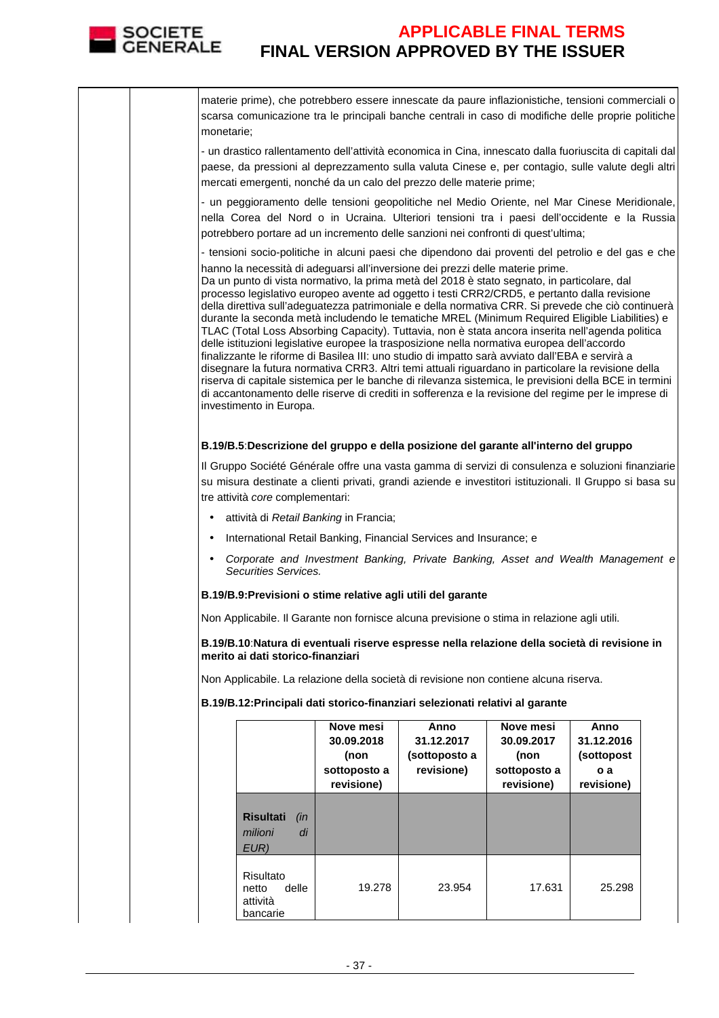

|  | monetarie;                                                                                                                                                                                                                                                                                                                                                                                                                                                                                                                                                                                                                                                                                                                                                                                                                                                                                                                                                                                                                                                                                                                                      |                                                  |                                        | materie prime), che potrebbero essere innescate da paure inflazionistiche, tensioni commerciali o<br>scarsa comunicazione tra le principali banche centrali in caso di modifiche delle proprie politiche     |                            |                          |  |
|--|-------------------------------------------------------------------------------------------------------------------------------------------------------------------------------------------------------------------------------------------------------------------------------------------------------------------------------------------------------------------------------------------------------------------------------------------------------------------------------------------------------------------------------------------------------------------------------------------------------------------------------------------------------------------------------------------------------------------------------------------------------------------------------------------------------------------------------------------------------------------------------------------------------------------------------------------------------------------------------------------------------------------------------------------------------------------------------------------------------------------------------------------------|--------------------------------------------------|----------------------------------------|--------------------------------------------------------------------------------------------------------------------------------------------------------------------------------------------------------------|----------------------------|--------------------------|--|
|  | - un drastico rallentamento dell'attività economica in Cina, innescato dalla fuoriuscita di capitali dal<br>paese, da pressioni al deprezzamento sulla valuta Cinese e, per contagio, sulle valute degli altri<br>mercati emergenti, nonché da un calo del prezzo delle materie prime;                                                                                                                                                                                                                                                                                                                                                                                                                                                                                                                                                                                                                                                                                                                                                                                                                                                          |                                                  |                                        |                                                                                                                                                                                                              |                            |                          |  |
|  | - un peggioramento delle tensioni geopolitiche nel Medio Oriente, nel Mar Cinese Meridionale,<br>nella Corea del Nord o in Ucraina. Ulteriori tensioni tra i paesi dell'occidente e la Russia<br>potrebbero portare ad un incremento delle sanzioni nei confronti di quest'ultima;                                                                                                                                                                                                                                                                                                                                                                                                                                                                                                                                                                                                                                                                                                                                                                                                                                                              |                                                  |                                        |                                                                                                                                                                                                              |                            |                          |  |
|  |                                                                                                                                                                                                                                                                                                                                                                                                                                                                                                                                                                                                                                                                                                                                                                                                                                                                                                                                                                                                                                                                                                                                                 |                                                  |                                        | - tensioni socio-politiche in alcuni paesi che dipendono dai proventi del petrolio e del gas e che                                                                                                           |                            |                          |  |
|  | hanno la necessità di adeguarsi all'inversione dei prezzi delle materie prime.<br>Da un punto di vista normativo, la prima metà del 2018 è stato segnato, in particolare, dal<br>processo legislativo europeo avente ad oggetto i testi CRR2/CRD5, e pertanto dalla revisione<br>della direttiva sull'adeguatezza patrimoniale e della normativa CRR. Si prevede che ciò continuerà<br>durante la seconda metà includendo le tematiche MREL (Minimum Required Eligible Liabilities) e<br>TLAC (Total Loss Absorbing Capacity). Tuttavia, non è stata ancora inserita nell'agenda politica<br>delle istituzioni legislative europee la trasposizione nella normativa europea dell'accordo<br>finalizzante le riforme di Basilea III: uno studio di impatto sarà avviato dall'EBA e servirà a<br>disegnare la futura normativa CRR3. Altri temi attuali riguardano in particolare la revisione della<br>riserva di capitale sistemica per le banche di rilevanza sistemica, le previsioni della BCE in termini<br>di accantonamento delle riserve di crediti in sofferenza e la revisione del regime per le imprese di<br>investimento in Europa. |                                                  |                                        |                                                                                                                                                                                                              |                            |                          |  |
|  |                                                                                                                                                                                                                                                                                                                                                                                                                                                                                                                                                                                                                                                                                                                                                                                                                                                                                                                                                                                                                                                                                                                                                 |                                                  |                                        | B.19/B.5:Descrizione del gruppo e della posizione del garante all'interno del gruppo                                                                                                                         |                            |                          |  |
|  |                                                                                                                                                                                                                                                                                                                                                                                                                                                                                                                                                                                                                                                                                                                                                                                                                                                                                                                                                                                                                                                                                                                                                 |                                                  |                                        | Il Gruppo Société Générale offre una vasta gamma di servizi di consulenza e soluzioni finanziarie<br>su misura destinate a clienti privati, grandi aziende e investitori istituzionali. Il Gruppo si basa su |                            |                          |  |
|  |                                                                                                                                                                                                                                                                                                                                                                                                                                                                                                                                                                                                                                                                                                                                                                                                                                                                                                                                                                                                                                                                                                                                                 | tre attività core complementari:                 |                                        |                                                                                                                                                                                                              |                            |                          |  |
|  | $\bullet$                                                                                                                                                                                                                                                                                                                                                                                                                                                                                                                                                                                                                                                                                                                                                                                                                                                                                                                                                                                                                                                                                                                                       |                                                  | attività di Retail Banking in Francia; |                                                                                                                                                                                                              |                            |                          |  |
|  | $\bullet$                                                                                                                                                                                                                                                                                                                                                                                                                                                                                                                                                                                                                                                                                                                                                                                                                                                                                                                                                                                                                                                                                                                                       |                                                  |                                        | International Retail Banking, Financial Services and Insurance; e                                                                                                                                            |                            |                          |  |
|  | Corporate and Investment Banking, Private Banking, Asset and Wealth Management e<br>$\bullet$<br>Securities Services.                                                                                                                                                                                                                                                                                                                                                                                                                                                                                                                                                                                                                                                                                                                                                                                                                                                                                                                                                                                                                           |                                                  |                                        |                                                                                                                                                                                                              |                            |                          |  |
|  | B.19/B.9: Previsioni o stime relative agli utili del garante                                                                                                                                                                                                                                                                                                                                                                                                                                                                                                                                                                                                                                                                                                                                                                                                                                                                                                                                                                                                                                                                                    |                                                  |                                        |                                                                                                                                                                                                              |                            |                          |  |
|  | Non Applicabile. Il Garante non fornisce alcuna previsione o stima in relazione agli utili.                                                                                                                                                                                                                                                                                                                                                                                                                                                                                                                                                                                                                                                                                                                                                                                                                                                                                                                                                                                                                                                     |                                                  |                                        |                                                                                                                                                                                                              |                            |                          |  |
|  | B.19/B.10: Natura di eventuali riserve espresse nella relazione della società di revisione in<br>merito ai dati storico-finanziari                                                                                                                                                                                                                                                                                                                                                                                                                                                                                                                                                                                                                                                                                                                                                                                                                                                                                                                                                                                                              |                                                  |                                        |                                                                                                                                                                                                              |                            |                          |  |
|  |                                                                                                                                                                                                                                                                                                                                                                                                                                                                                                                                                                                                                                                                                                                                                                                                                                                                                                                                                                                                                                                                                                                                                 |                                                  |                                        | Non Applicabile. La relazione della società di revisione non contiene alcuna riserva.                                                                                                                        |                            |                          |  |
|  |                                                                                                                                                                                                                                                                                                                                                                                                                                                                                                                                                                                                                                                                                                                                                                                                                                                                                                                                                                                                                                                                                                                                                 |                                                  |                                        | B.19/B.12: Principali dati storico-finanziari selezionati relativi al garante                                                                                                                                |                            |                          |  |
|  |                                                                                                                                                                                                                                                                                                                                                                                                                                                                                                                                                                                                                                                                                                                                                                                                                                                                                                                                                                                                                                                                                                                                                 |                                                  | Nove mesi                              | Anno                                                                                                                                                                                                         | Nove mesi                  | Anno                     |  |
|  |                                                                                                                                                                                                                                                                                                                                                                                                                                                                                                                                                                                                                                                                                                                                                                                                                                                                                                                                                                                                                                                                                                                                                 |                                                  | 30.09.2018<br>(non                     | 31.12.2017<br>(sottoposto a                                                                                                                                                                                  | 30.09.2017<br>(non         | 31.12.2016<br>(sottopost |  |
|  |                                                                                                                                                                                                                                                                                                                                                                                                                                                                                                                                                                                                                                                                                                                                                                                                                                                                                                                                                                                                                                                                                                                                                 |                                                  | sottoposto a<br>revisione)             | revisione)                                                                                                                                                                                                   | sottoposto a<br>revisione) | o a<br>revisione)        |  |
|  |                                                                                                                                                                                                                                                                                                                                                                                                                                                                                                                                                                                                                                                                                                                                                                                                                                                                                                                                                                                                                                                                                                                                                 |                                                  |                                        |                                                                                                                                                                                                              |                            |                          |  |
|  |                                                                                                                                                                                                                                                                                                                                                                                                                                                                                                                                                                                                                                                                                                                                                                                                                                                                                                                                                                                                                                                                                                                                                 | <b>Risultati</b><br>(in<br>di<br>milioni<br>EUR) |                                        |                                                                                                                                                                                                              |                            |                          |  |
|  |                                                                                                                                                                                                                                                                                                                                                                                                                                                                                                                                                                                                                                                                                                                                                                                                                                                                                                                                                                                                                                                                                                                                                 | Risultato<br>delle<br>netto<br>attività          | 19.278                                 | 23.954                                                                                                                                                                                                       | 17.631                     | 25.298                   |  |

bancarie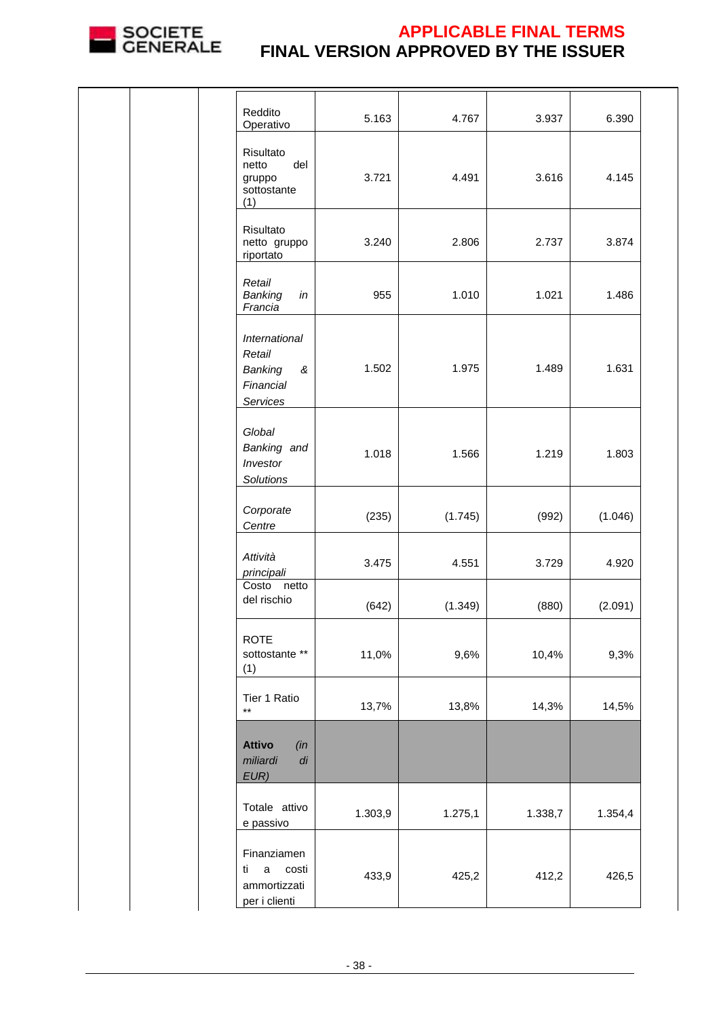

| Reddito<br>Operativo                                                       | 5.163   | 4.767   | 3.937   | 6.390   |
|----------------------------------------------------------------------------|---------|---------|---------|---------|
| Risultato<br>del<br>netto<br>gruppo<br>sottostante<br>(1)                  | 3.721   | 4.491   | 3.616   | 4.145   |
| Risultato<br>netto gruppo<br>riportato                                     | 3.240   | 2.806   | 2.737   | 3.874   |
| Retail<br>Banking<br>in<br>Francia                                         | 955     | 1.010   | 1.021   | 1.486   |
| International<br>Retail<br>Banking<br>&<br>Financial<br>Services           | 1.502   | 1.975   | 1.489   | 1.631   |
| Global<br>Banking and<br>Investor<br>Solutions                             | 1.018   | 1.566   | 1.219   | 1.803   |
| Corporate<br>Centre                                                        | (235)   | (1.745) | (992)   | (1.046) |
| Attività<br>principali                                                     | 3.475   | 4.551   | 3.729   | 4.920   |
| Costo netto<br>del rischio                                                 | (642)   | (1.349) | (880)   | (2.091) |
| <b>ROTE</b><br>sottostante **<br>(1)                                       | 11,0%   | 9,6%    | 10,4%   | 9,3%    |
| Tier 1 Ratio<br>$***$                                                      | 13,7%   | 13,8%   | 14,3%   | 14,5%   |
| <b>Attivo</b><br>(in<br>miliardi<br>$\emph{di}$<br>EUR)                    |         |         |         |         |
| Totale attivo<br>e passivo                                                 | 1.303,9 | 1.275,1 | 1.338,7 | 1.354,4 |
| Finanziamen<br>ti<br>$\mathsf a$<br>costi<br>ammortizzati<br>per i clienti | 433,9   | 425,2   | 412,2   | 426,5   |
|                                                                            |         |         |         |         |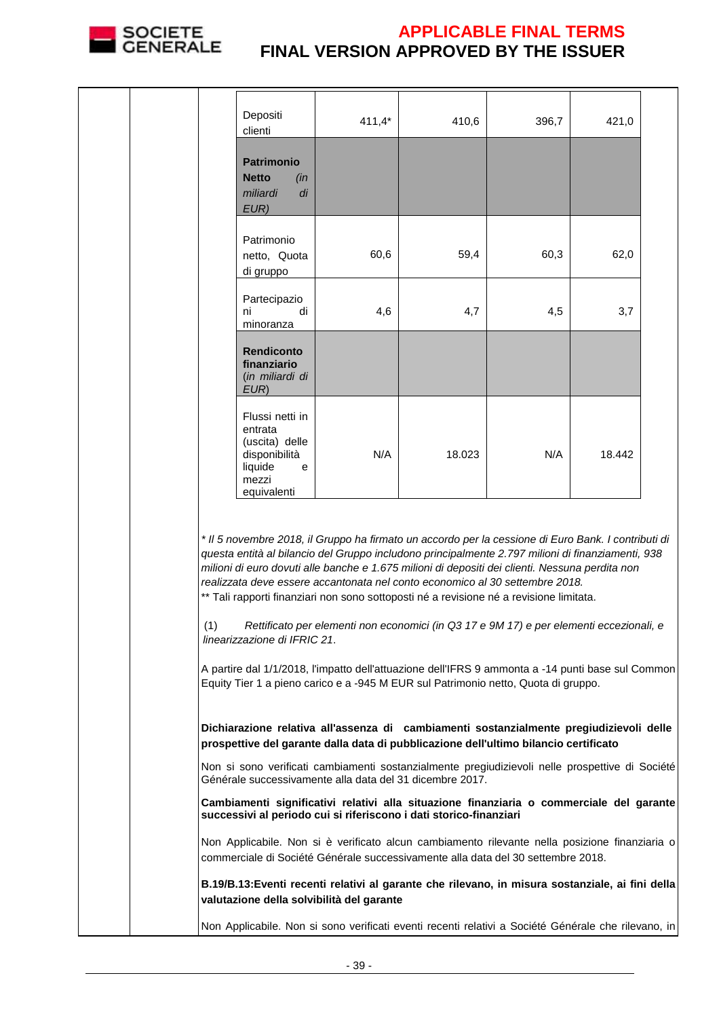

|                                                                                                                                                                                                                                                                                                                                                                                                                                                                                        | Depositi<br>clienti                                                                                                                                                                  | $411,4*$                                  | 410,6                                                                                                                                                                           | 396,7 | 421,0  |  |
|----------------------------------------------------------------------------------------------------------------------------------------------------------------------------------------------------------------------------------------------------------------------------------------------------------------------------------------------------------------------------------------------------------------------------------------------------------------------------------------|--------------------------------------------------------------------------------------------------------------------------------------------------------------------------------------|-------------------------------------------|---------------------------------------------------------------------------------------------------------------------------------------------------------------------------------|-------|--------|--|
|                                                                                                                                                                                                                                                                                                                                                                                                                                                                                        | <b>Patrimonio</b><br><b>Netto</b><br>(in<br>miliardi<br>di<br>EUR)                                                                                                                   |                                           |                                                                                                                                                                                 |       |        |  |
|                                                                                                                                                                                                                                                                                                                                                                                                                                                                                        | Patrimonio<br>netto, Quota<br>di gruppo                                                                                                                                              | 60,6                                      | 59,4                                                                                                                                                                            | 60,3  | 62,0   |  |
|                                                                                                                                                                                                                                                                                                                                                                                                                                                                                        | Partecipazio<br>di<br>ni<br>minoranza                                                                                                                                                | 4,6                                       | 4,7                                                                                                                                                                             | 4,5   | 3,7    |  |
|                                                                                                                                                                                                                                                                                                                                                                                                                                                                                        | <b>Rendiconto</b><br>finanziario<br>(in miliardi di<br>EUR)                                                                                                                          |                                           |                                                                                                                                                                                 |       |        |  |
|                                                                                                                                                                                                                                                                                                                                                                                                                                                                                        | Flussi netti in<br>entrata<br>(uscita) delle<br>disponibilità<br>liquide<br>e<br>mezzi<br>equivalenti                                                                                | N/A                                       | 18.023                                                                                                                                                                          | N/A   | 18.442 |  |
| * Il 5 novembre 2018, il Gruppo ha firmato un accordo per la cessione di Euro Bank. I contributi di<br>questa entità al bilancio del Gruppo includono principalmente 2.797 milioni di finanziamenti, 938<br>milioni di euro dovuti alle banche e 1.675 milioni di depositi dei clienti. Nessuna perdita non<br>realizzata deve essere accantonata nel conto economico al 30 settembre 2018.<br>** Tali rapporti finanziari non sono sottoposti né a revisione né a revisione limitata. |                                                                                                                                                                                      |                                           |                                                                                                                                                                                 |       |        |  |
| (1)<br>Rettificato per elementi non economici (in Q3 17 e 9M 17) e per elementi eccezionali, e<br>linearizzazione di IFRIC 21.<br>A partire dal 1/1/2018, l'impatto dell'attuazione dell'IFRS 9 ammonta a -14 punti base sul Common<br>Equity Tier 1 a pieno carico e a -945 M EUR sul Patrimonio netto, Quota di gruppo.                                                                                                                                                              |                                                                                                                                                                                      |                                           |                                                                                                                                                                                 |       |        |  |
|                                                                                                                                                                                                                                                                                                                                                                                                                                                                                        |                                                                                                                                                                                      |                                           | Dichiarazione relativa all'assenza di cambiamenti sostanzialmente pregiudizievoli delle<br>prospettive del garante dalla data di pubblicazione dell'ultimo bilancio certificato |       |        |  |
|                                                                                                                                                                                                                                                                                                                                                                                                                                                                                        |                                                                                                                                                                                      |                                           | Non si sono verificati cambiamenti sostanzialmente pregiudizievoli nelle prospettive di Société<br>Générale successivamente alla data del 31 dicembre 2017.                     |       |        |  |
|                                                                                                                                                                                                                                                                                                                                                                                                                                                                                        |                                                                                                                                                                                      |                                           | Cambiamenti significativi relativi alla situazione finanziaria o commerciale del garante<br>successivi al periodo cui si riferiscono i dati storico-finanziari                  |       |        |  |
|                                                                                                                                                                                                                                                                                                                                                                                                                                                                                        | Non Applicabile. Non si è verificato alcun cambiamento rilevante nella posizione finanziaria o                                                                                       |                                           |                                                                                                                                                                                 |       |        |  |
|                                                                                                                                                                                                                                                                                                                                                                                                                                                                                        | commerciale di Société Générale successivamente alla data del 30 settembre 2018.<br>B.19/B.13: Eventi recenti relativi al garante che rilevano, in misura sostanziale, ai fini della |                                           |                                                                                                                                                                                 |       |        |  |
|                                                                                                                                                                                                                                                                                                                                                                                                                                                                                        |                                                                                                                                                                                      | valutazione della solvibilità del garante | Non Applicabile. Non si sono verificati eventi recenti relativi a Société Générale che rilevano, in                                                                             |       |        |  |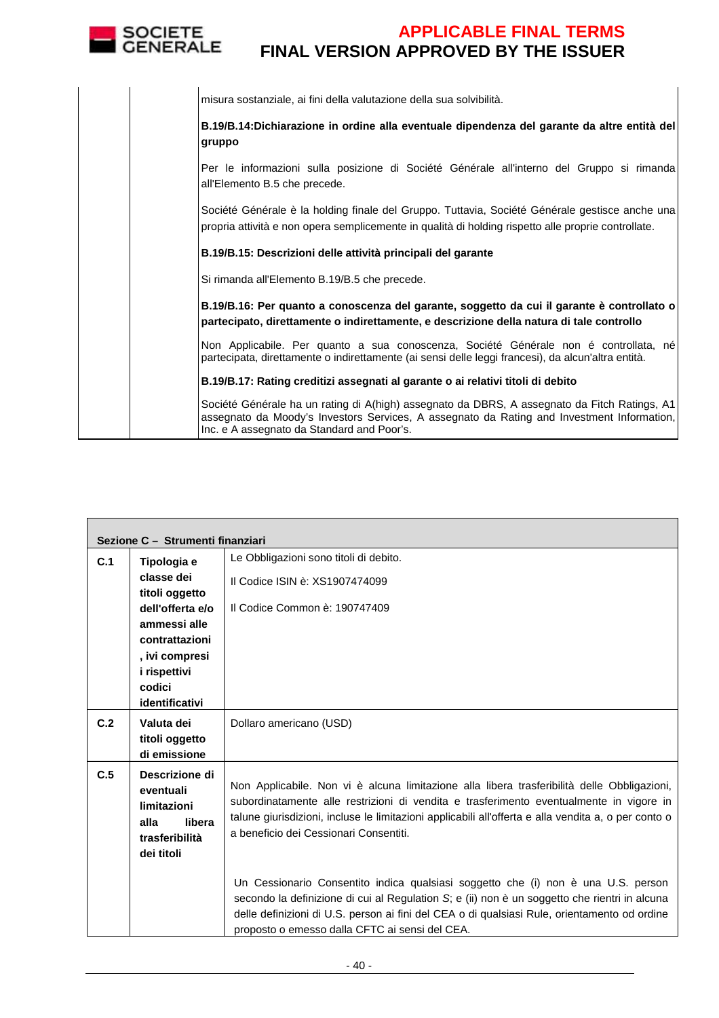

| misura sostanziale, ai fini della valutazione della sua solvibilità.                                                                                                                                                                     |
|------------------------------------------------------------------------------------------------------------------------------------------------------------------------------------------------------------------------------------------|
| B.19/B.14:Dichiarazione in ordine alla eventuale dipendenza del garante da altre entità del<br>gruppo                                                                                                                                    |
| Per le informazioni sulla posizione di Société Générale all'interno del Gruppo si rimanda<br>all'Elemento B.5 che precede.                                                                                                               |
| Société Générale è la holding finale del Gruppo. Tuttavia, Société Générale gestisce anche una<br>propria attività e non opera semplicemente in qualità di holding rispetto alle proprie controllate.                                    |
| B.19/B.15: Descrizioni delle attività principali del garante                                                                                                                                                                             |
| Si rimanda all'Elemento B.19/B.5 che precede.                                                                                                                                                                                            |
| B.19/B.16: Per quanto a conoscenza del garante, soggetto da cui il garante è controllato o<br>partecipato, direttamente o indirettamente, e descrizione della natura di tale controllo                                                   |
| Non Applicabile. Per quanto a sua conoscenza, Société Générale non é controllata, né<br>partecipata, direttamente o indirettamente (ai sensi delle leggi francesi), da alcun'altra entità.                                               |
| B.19/B.17: Rating creditizi assegnati al garante o ai relativi titoli di debito                                                                                                                                                          |
| Société Générale ha un rating di A(high) assegnato da DBRS, A assegnato da Fitch Ratings, A1<br>assegnato da Moody's Investors Services, A assegnato da Rating and Investment Information,<br>Inc. e A assegnato da Standard and Poor's. |

|     | Sezione C - Strumenti finanziari   |                                                                                                                                                                                               |
|-----|------------------------------------|-----------------------------------------------------------------------------------------------------------------------------------------------------------------------------------------------|
| C.1 | Tipologia e                        | Le Obbligazioni sono titoli di debito.                                                                                                                                                        |
|     | classe dei                         | Il Codice ISIN è: XS1907474099                                                                                                                                                                |
|     | titoli oggetto<br>dell'offerta e/o | Il Codice Common è: 190747409                                                                                                                                                                 |
|     | ammessi alle                       |                                                                                                                                                                                               |
|     | contrattazioni                     |                                                                                                                                                                                               |
|     | , ivi compresi                     |                                                                                                                                                                                               |
|     | i rispettivi<br>codici             |                                                                                                                                                                                               |
|     | identificativi                     |                                                                                                                                                                                               |
| C.2 | Valuta dei                         | Dollaro americano (USD)                                                                                                                                                                       |
|     | titoli oggetto                     |                                                                                                                                                                                               |
|     | di emissione                       |                                                                                                                                                                                               |
| C.5 | Descrizione di<br>eventuali        | Non Applicabile. Non vi è alcuna limitazione alla libera trasferibilità delle Obbligazioni,                                                                                                   |
|     | limitazioni                        | subordinatamente alle restrizioni di vendita e trasferimento eventualmente in vigore in                                                                                                       |
|     | alla<br>libera                     | talune giurisdizioni, incluse le limitazioni applicabili all'offerta e alla vendita a, o per conto o<br>a beneficio dei Cessionari Consentiti.                                                |
|     | trasferibilità<br>dei titoli       |                                                                                                                                                                                               |
|     |                                    |                                                                                                                                                                                               |
|     |                                    | Un Cessionario Consentito indica qualsiasi soggetto che (i) non è una U.S. person                                                                                                             |
|     |                                    | secondo la definizione di cui al Regulation S; e (ii) non è un soggetto che rientri in alcuna<br>delle definizioni di U.S. person ai fini del CEA o di qualsiasi Rule, orientamento od ordine |
|     |                                    | proposto o emesso dalla CFTC ai sensi del CEA.                                                                                                                                                |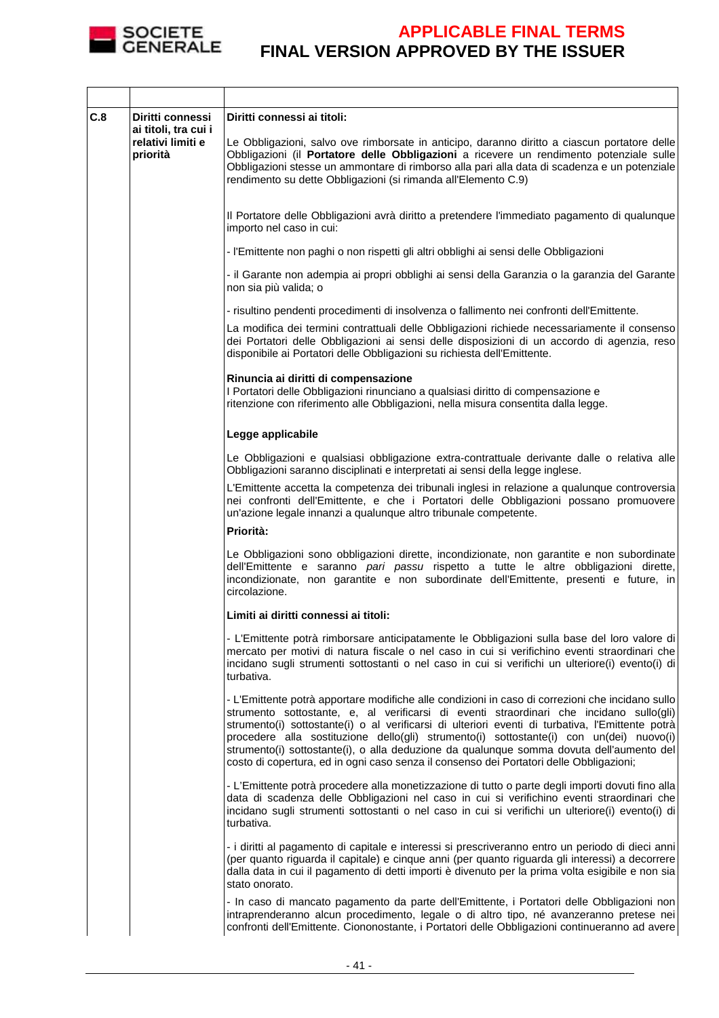

| C.8 | Diritti connessi<br>ai titoli, tra cui i<br>relativi limiti e<br>priorità | Diritti connessi ai titoli:<br>Le Obbligazioni, salvo ove rimborsate in anticipo, daranno diritto a ciascun portatore delle<br>Obbligazioni (il Portatore delle Obbligazioni a ricevere un rendimento potenziale sulle<br>Obbligazioni stesse un ammontare di rimborso alla pari alla data di scadenza e un potenziale<br>rendimento su dette Obbligazioni (si rimanda all'Elemento C.9)                                                                                                                                                                                          |
|-----|---------------------------------------------------------------------------|-----------------------------------------------------------------------------------------------------------------------------------------------------------------------------------------------------------------------------------------------------------------------------------------------------------------------------------------------------------------------------------------------------------------------------------------------------------------------------------------------------------------------------------------------------------------------------------|
|     |                                                                           | Il Portatore delle Obbligazioni avrà diritto a pretendere l'immediato pagamento di qualunque<br>importo nel caso in cui:                                                                                                                                                                                                                                                                                                                                                                                                                                                          |
|     |                                                                           | - l'Emittente non paghi o non rispetti gli altri obblighi ai sensi delle Obbligazioni                                                                                                                                                                                                                                                                                                                                                                                                                                                                                             |
|     |                                                                           | - il Garante non adempia ai propri obblighi ai sensi della Garanzia o la garanzia del Garante<br>non sia più valida; o                                                                                                                                                                                                                                                                                                                                                                                                                                                            |
|     |                                                                           | - risultino pendenti procedimenti di insolvenza o fallimento nei confronti dell'Emittente.                                                                                                                                                                                                                                                                                                                                                                                                                                                                                        |
|     |                                                                           | La modifica dei termini contrattuali delle Obbligazioni richiede necessariamente il consenso<br>dei Portatori delle Obbligazioni ai sensi delle disposizioni di un accordo di agenzia, reso<br>disponibile ai Portatori delle Obbligazioni su richiesta dell'Emittente.                                                                                                                                                                                                                                                                                                           |
|     |                                                                           | Rinuncia ai diritti di compensazione<br>I Portatori delle Obbligazioni rinunciano a qualsiasi diritto di compensazione e<br>ritenzione con riferimento alle Obbligazioni, nella misura consentita dalla legge.                                                                                                                                                                                                                                                                                                                                                                    |
|     |                                                                           | Legge applicabile                                                                                                                                                                                                                                                                                                                                                                                                                                                                                                                                                                 |
|     |                                                                           | Le Obbligazioni e qualsiasi obbligazione extra-contrattuale derivante dalle o relativa alle<br>Obbligazioni saranno disciplinati e interpretati ai sensi della legge inglese.                                                                                                                                                                                                                                                                                                                                                                                                     |
|     |                                                                           | L'Emittente accetta la competenza dei tribunali inglesi in relazione a qualunque controversia<br>nei confronti dell'Emittente, e che i Portatori delle Obbligazioni possano promuovere<br>un'azione legale innanzi a qualunque altro tribunale competente.                                                                                                                                                                                                                                                                                                                        |
|     |                                                                           | Priorità:                                                                                                                                                                                                                                                                                                                                                                                                                                                                                                                                                                         |
|     |                                                                           | Le Obbligazioni sono obbligazioni dirette, incondizionate, non garantite e non subordinate<br>dell'Emittente e saranno pari passu rispetto a tutte le altre obbligazioni dirette,<br>incondizionate, non garantite e non subordinate dell'Emittente, presenti e future, in<br>circolazione.                                                                                                                                                                                                                                                                                       |
|     |                                                                           | Limiti ai diritti connessi ai titoli:                                                                                                                                                                                                                                                                                                                                                                                                                                                                                                                                             |
|     |                                                                           | - L'Emittente potrà rimborsare anticipatamente le Obbligazioni sulla base del loro valore di<br>mercato per motivi di natura fiscale o nel caso in cui si verifichino eventi straordinari che<br>incidano sugli strumenti sottostanti o nel caso in cui si verifichi un ulteriore(i) evento(i) di<br>turbativa.                                                                                                                                                                                                                                                                   |
|     |                                                                           | - L'Emittente potrà apportare modifiche alle condizioni in caso di correzioni che incidano sullo<br>strumento sottostante, e, al verificarsi di eventi straordinari che incidano sullo(gli)<br>strumento(i) sottostante(i) o al verificarsi di ulteriori eventi di turbativa, l'Emittente potrà<br>procedere alla sostituzione dello(gli) strumento(i) sottostante(i) con un(dei) nuovo(i)<br>strumento(i) sottostante(i), o alla deduzione da qualunque somma dovuta dell'aumento del<br>costo di copertura, ed in ogni caso senza il consenso dei Portatori delle Obbligazioni; |
|     |                                                                           | - L'Emittente potrà procedere alla monetizzazione di tutto o parte degli importi dovuti fino alla<br>data di scadenza delle Obbligazioni nel caso in cui si verifichino eventi straordinari che<br>incidano sugli strumenti sottostanti o nel caso in cui si verifichi un ulteriore(i) evento(i) di<br>turbativa.                                                                                                                                                                                                                                                                 |
|     |                                                                           | - i diritti al pagamento di capitale e interessi si prescriveranno entro un periodo di dieci anni<br>(per quanto riguarda il capitale) e cinque anni (per quanto riguarda gli interessi) a decorrere<br>dalla data in cui il pagamento di detti importi è divenuto per la prima volta esigibile e non sia<br>stato onorato.                                                                                                                                                                                                                                                       |
|     |                                                                           | - In caso di mancato pagamento da parte dell'Emittente, i Portatori delle Obbligazioni non<br>intraprenderanno alcun procedimento, legale o di altro tipo, né avanzeranno pretese nei<br>confronti dell'Emittente. Ciononostante, i Portatori delle Obbligazioni continueranno ad avere                                                                                                                                                                                                                                                                                           |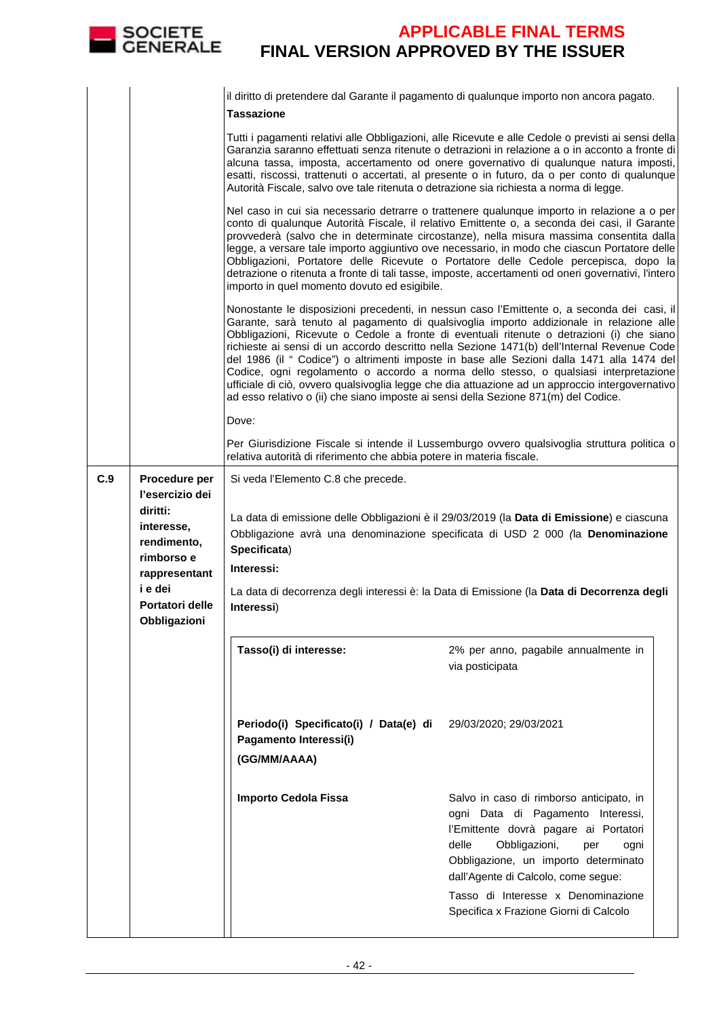|     | SOCIETE<br>GENERALE                                                       |                                                                                                                                                                             | <b>APPLICABLE FINAL TERMS</b><br><b>FINAL VERSION APPROVED BY THE ISSUER</b>                                                                                                                                                                                                                                                                                                                                                                                                                                                                                                                                                                                                |
|-----|---------------------------------------------------------------------------|-----------------------------------------------------------------------------------------------------------------------------------------------------------------------------|-----------------------------------------------------------------------------------------------------------------------------------------------------------------------------------------------------------------------------------------------------------------------------------------------------------------------------------------------------------------------------------------------------------------------------------------------------------------------------------------------------------------------------------------------------------------------------------------------------------------------------------------------------------------------------|
|     |                                                                           | <b>Tassazione</b>                                                                                                                                                           | il diritto di pretendere dal Garante il pagamento di qualunque importo non ancora pagato.                                                                                                                                                                                                                                                                                                                                                                                                                                                                                                                                                                                   |
|     |                                                                           | Autorità Fiscale, salvo ove tale ritenuta o detrazione sia richiesta a norma di legge.                                                                                      | Tutti i pagamenti relativi alle Obbligazioni, alle Ricevute e alle Cedole o previsti ai sensi della<br>Garanzia saranno effettuati senza ritenute o detrazioni in relazione a o in acconto a fronte di<br>alcuna tassa, imposta, accertamento od onere governativo di qualunque natura imposti,<br>esatti, riscossi, trattenuti o accertati, al presente o in futuro, da o per conto di qualunque                                                                                                                                                                                                                                                                           |
|     |                                                                           | importo in quel momento dovuto ed esigibile.                                                                                                                                | Nel caso in cui sia necessario detrarre o trattenere qualunque importo in relazione a o per<br>conto di qualunque Autorità Fiscale, il relativo Emittente o, a seconda dei casi, il Garante<br>provvederà (salvo che in determinate circostanze), nella misura massima consentita dalla<br>legge, a versare tale importo aggiuntivo ove necessario, in modo che ciascun Portatore delle<br>Obbligazioni, Portatore delle Ricevute o Portatore delle Cedole percepisca, dopo la<br>detrazione o ritenuta a fronte di tali tasse, imposte, accertamenti od oneri governativi, l'intero                                                                                        |
|     |                                                                           | ad esso relativo o (ii) che siano imposte ai sensi della Sezione 871(m) del Codice.                                                                                         | Nonostante le disposizioni precedenti, in nessun caso l'Emittente o, a seconda dei casi, il<br>Garante, sarà tenuto al pagamento di qualsivoglia importo addizionale in relazione alle<br>Obbligazioni, Ricevute o Cedole a fronte di eventuali ritenute o detrazioni (i) che siano<br>richieste ai sensi di un accordo descritto nella Sezione 1471(b) dell'Internal Revenue Code<br>del 1986 (il " Codice") o altrimenti imposte in base alle Sezioni dalla 1471 alla 1474 del<br>Codice, ogni regolamento o accordo a norma dello stesso, o qualsiasi interpretazione<br>ufficiale di ciò, ovvero qualsivoglia legge che dia attuazione ad un approccio intergovernativo |
|     |                                                                           | Dove:                                                                                                                                                                       |                                                                                                                                                                                                                                                                                                                                                                                                                                                                                                                                                                                                                                                                             |
|     |                                                                           | relativa autorità di riferimento che abbia potere in materia fiscale.                                                                                                       | Per Giurisdizione Fiscale si intende il Lussemburgo ovvero qualsivoglia struttura politica o                                                                                                                                                                                                                                                                                                                                                                                                                                                                                                                                                                                |
| C.9 | Procedure per<br>l'esercizio dei<br>diritti:<br>interesse,<br>rendimento. | La data di emissione delle Obbligazioni è il 29/03/2019 (la Data di Emissione) e ciascuna<br>Obbligazione avrà una denominazione specificata di USD 2 000 (la Denominazione |                                                                                                                                                                                                                                                                                                                                                                                                                                                                                                                                                                                                                                                                             |
|     | rimborso e                                                                | Specificata)<br>Interessi:                                                                                                                                                  |                                                                                                                                                                                                                                                                                                                                                                                                                                                                                                                                                                                                                                                                             |
|     | rappresentant<br>i e dei<br>Portatori delle<br>Obbligazioni               | Interessi)                                                                                                                                                                  | La data di decorrenza degli interessi è: la Data di Emissione (la Data di Decorrenza degli                                                                                                                                                                                                                                                                                                                                                                                                                                                                                                                                                                                  |
|     |                                                                           | Tasso(i) di interesse:                                                                                                                                                      | 2% per anno, pagabile annualmente in<br>via posticipata                                                                                                                                                                                                                                                                                                                                                                                                                                                                                                                                                                                                                     |
|     |                                                                           | Periodo(i) Specificato(i) / Data(e) di<br>Pagamento Interessi(i)<br>(GG/MM/AAAA)                                                                                            | 29/03/2020; 29/03/2021                                                                                                                                                                                                                                                                                                                                                                                                                                                                                                                                                                                                                                                      |
|     |                                                                           | <b>Importo Cedola Fissa</b>                                                                                                                                                 | Salvo in caso di rimborso anticipato, in<br>ogni Data di Pagamento Interessi,<br>l'Emittente dovrà pagare ai Portatori<br>delle<br>Obbligazioni,<br>per<br>ogni<br>Obbligazione, un importo determinato<br>dall'Agente di Calcolo, come segue:                                                                                                                                                                                                                                                                                                                                                                                                                              |
|     |                                                                           |                                                                                                                                                                             | Tasso di Interesse x Denominazione<br>Specifica x Frazione Giorni di Calcolo                                                                                                                                                                                                                                                                                                                                                                                                                                                                                                                                                                                                |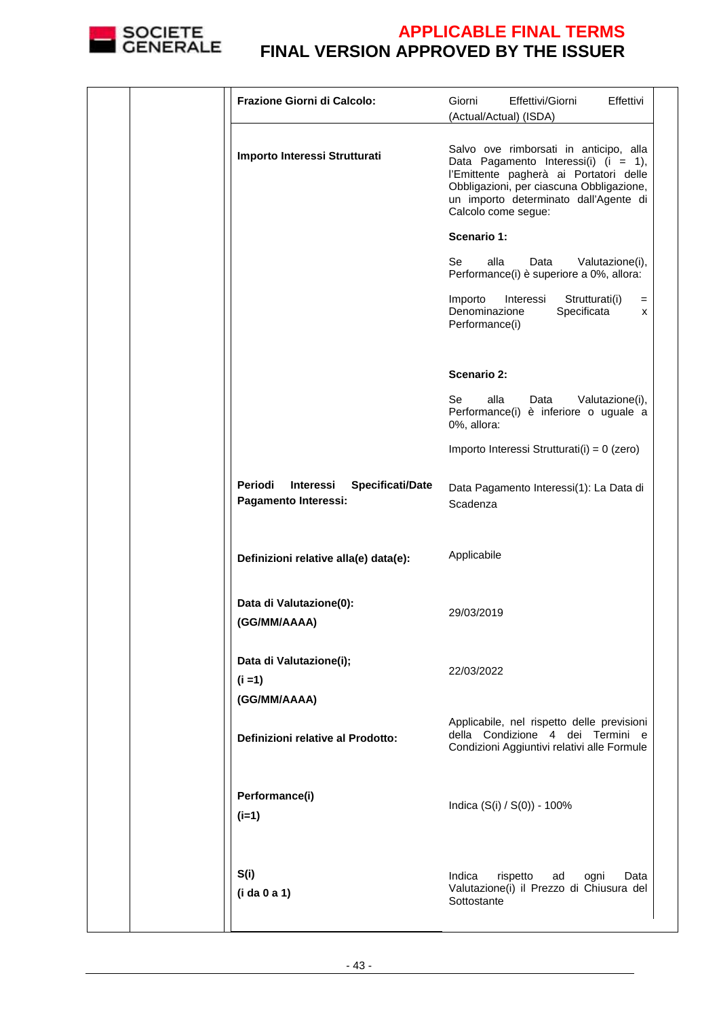

|  | Frazione Giorni di Calcolo:                                             | Effettivi/Giorni<br>Giorni<br>Effettivi<br>(Actual/Actual) (ISDA)                                                                                                                                                                    |
|--|-------------------------------------------------------------------------|--------------------------------------------------------------------------------------------------------------------------------------------------------------------------------------------------------------------------------------|
|  | Importo Interessi Strutturati                                           | Salvo ove rimborsati in anticipo, alla<br>Data Pagamento Interessi(i) (i = 1),<br>l'Emittente pagherà ai Portatori delle<br>Obbligazioni, per ciascuna Obbligazione,<br>un importo determinato dall'Agente di<br>Calcolo come segue: |
|  |                                                                         | Scenario 1:                                                                                                                                                                                                                          |
|  |                                                                         | Se<br>alla<br>Data<br>Valutazione(i),<br>Performance(i) è superiore a 0%, allora:                                                                                                                                                    |
|  |                                                                         | Importo<br>Interessi<br>Strutturati(i)<br>$=$<br>Denominazione<br>Specificata<br>X<br>Performance(i)                                                                                                                                 |
|  |                                                                         | <b>Scenario 2:</b>                                                                                                                                                                                                                   |
|  |                                                                         | alla<br>Se<br>Valutazione(i),<br>Data<br>Performance(i) è inferiore o uguale a<br>0%, allora:                                                                                                                                        |
|  |                                                                         | Importo Interessi Strutturati(i) = 0 (zero)                                                                                                                                                                                          |
|  | Periodi<br><b>Specificati/Date</b><br>Interessi<br>Pagamento Interessi: | Data Pagamento Interessi(1): La Data di<br>Scadenza                                                                                                                                                                                  |
|  | Definizioni relative alla(e) data(e):                                   | Applicabile                                                                                                                                                                                                                          |
|  | Data di Valutazione(0):<br>(GG/MM/AAAA)                                 | 29/03/2019                                                                                                                                                                                                                           |
|  | Data di Valutazione(i);<br>$(i = 1)$                                    | 22/03/2022                                                                                                                                                                                                                           |
|  | (GG/MM/AAAA)<br>Definizioni relative al Prodotto:                       | Applicabile, nel rispetto delle previsioni<br>della Condizione 4 dei Termini e<br>Condizioni Aggiuntivi relativi alle Formule                                                                                                        |
|  | Performance(i)<br>$(i=1)$                                               | Indica (S(i) / S(0)) - 100%                                                                                                                                                                                                          |
|  | S(i)<br>(i da 0 a 1)                                                    | Indica<br>rispetto<br>Data<br>ad<br>ogni<br>Valutazione(i) il Prezzo di Chiusura del<br>Sottostante                                                                                                                                  |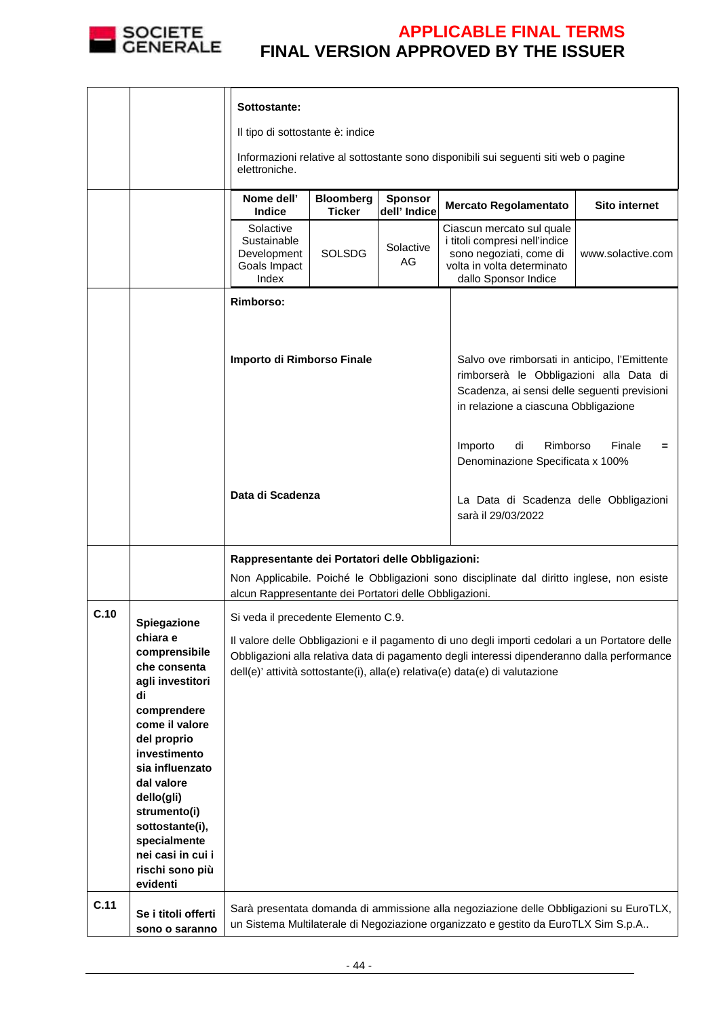

|      |                                                                                                                                                                                                                                                                                           | Sottostante:<br>Il tipo di sottostante è: indice<br>elettroniche.                                                                                                                                                                                                             |                                   |                                |  | Informazioni relative al sottostante sono disponibili sui seguenti siti web o pagine                                                                                             |                      |
|------|-------------------------------------------------------------------------------------------------------------------------------------------------------------------------------------------------------------------------------------------------------------------------------------------|-------------------------------------------------------------------------------------------------------------------------------------------------------------------------------------------------------------------------------------------------------------------------------|-----------------------------------|--------------------------------|--|----------------------------------------------------------------------------------------------------------------------------------------------------------------------------------|----------------------|
|      |                                                                                                                                                                                                                                                                                           | Nome dell'<br><b>Indice</b>                                                                                                                                                                                                                                                   | <b>Bloomberg</b><br><b>Ticker</b> | <b>Sponsor</b><br>dell' Indice |  | <b>Mercato Regolamentato</b>                                                                                                                                                     | <b>Sito internet</b> |
|      |                                                                                                                                                                                                                                                                                           | Solactive<br>Sustainable<br>Development<br>Goals Impact<br>Index                                                                                                                                                                                                              | <b>SOLSDG</b>                     | Solactive<br>AG                |  | Ciascun mercato sul quale<br>i titoli compresi nell'indice<br>sono negoziati, come di<br>volta in volta determinato<br>dallo Sponsor Indice                                      | www.solactive.com    |
|      |                                                                                                                                                                                                                                                                                           | Rimborso:                                                                                                                                                                                                                                                                     |                                   |                                |  |                                                                                                                                                                                  |                      |
|      |                                                                                                                                                                                                                                                                                           | Importo di Rimborso Finale                                                                                                                                                                                                                                                    |                                   |                                |  | Salvo ove rimborsati in anticipo, l'Emittente<br>rimborserà le Obbligazioni alla Data di<br>Scadenza, ai sensi delle seguenti previsioni<br>in relazione a ciascuna Obbligazione |                      |
|      |                                                                                                                                                                                                                                                                                           |                                                                                                                                                                                                                                                                               |                                   |                                |  | di<br>Rimborso<br>Importo<br>Denominazione Specificata x 100%                                                                                                                    | Finale<br>Ξ          |
|      |                                                                                                                                                                                                                                                                                           | Data di Scadenza                                                                                                                                                                                                                                                              |                                   |                                |  | La Data di Scadenza delle Obbligazioni<br>sarà il 29/03/2022                                                                                                                     |                      |
|      |                                                                                                                                                                                                                                                                                           | Rappresentante dei Portatori delle Obbligazioni:<br>Non Applicabile. Poiché le Obbligazioni sono disciplinate dal diritto inglese, non esiste<br>alcun Rappresentante dei Portatori delle Obbligazioni.                                                                       |                                   |                                |  |                                                                                                                                                                                  |                      |
| C.10 | <b>Spiegazione</b>                                                                                                                                                                                                                                                                        | Si veda il precedente Elemento C.9.                                                                                                                                                                                                                                           |                                   |                                |  |                                                                                                                                                                                  |                      |
| C.11 | chiara e<br>comprensibile<br>che consenta<br>agli investitori<br>di<br>comprendere<br>come il valore<br>del proprio<br>investimento<br>sia influenzato<br>dal valore<br>dello(gli)<br>strumento(i)<br>sottostante(i),<br>specialmente<br>nei casi in cui i<br>rischi sono più<br>evidenti | Il valore delle Obbligazioni e il pagamento di uno degli importi cedolari a un Portatore delle<br>Obbligazioni alla relativa data di pagamento degli interessi dipenderanno dalla performance<br>dell(e)' attività sottostante(i), alla(e) relativa(e) data(e) di valutazione |                                   |                                |  |                                                                                                                                                                                  |                      |
|      | Se i titoli offerti<br>sono o saranno                                                                                                                                                                                                                                                     | Sarà presentata domanda di ammissione alla negoziazione delle Obbligazioni su EuroTLX,<br>un Sistema Multilaterale di Negoziazione organizzato e gestito da EuroTLX Sim S.p.A                                                                                                 |                                   |                                |  |                                                                                                                                                                                  |                      |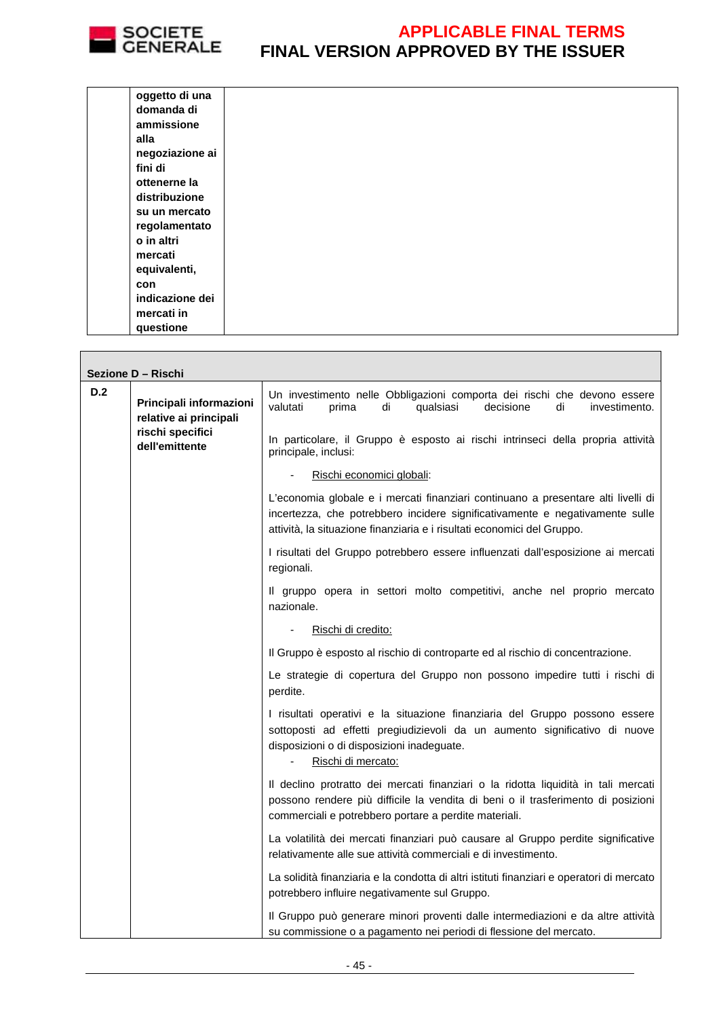

 $\overline{\phantom{0}}$ 

| oggetto di una  |  |  |  |
|-----------------|--|--|--|
| domanda di      |  |  |  |
| ammissione      |  |  |  |
| alla            |  |  |  |
| negoziazione ai |  |  |  |
| fini di         |  |  |  |
| ottenerne la    |  |  |  |
| distribuzione   |  |  |  |
| su un mercato   |  |  |  |
| regolamentato   |  |  |  |
| o in altri      |  |  |  |
| mercati         |  |  |  |
| equivalenti,    |  |  |  |
| con             |  |  |  |
| indicazione dei |  |  |  |
| mercati in      |  |  |  |
| questione       |  |  |  |
|                 |  |  |  |

|     | Sezione D - Rischi                                |                                                                                                                                                                                                                                              |
|-----|---------------------------------------------------|----------------------------------------------------------------------------------------------------------------------------------------------------------------------------------------------------------------------------------------------|
| D.2 | Principali informazioni<br>relative ai principali | Un investimento nelle Obbligazioni comporta dei rischi che devono essere<br>valutati<br>decisione<br>prima<br>di<br>qualsiasi<br>di<br>investimento.                                                                                         |
|     | rischi specifici<br>dell'emittente                | In particolare, il Gruppo è esposto ai rischi intrinseci della propria attività<br>principale, inclusi:                                                                                                                                      |
|     |                                                   | Rischi economici globali:                                                                                                                                                                                                                    |
|     |                                                   | L'economia globale e i mercati finanziari continuano a presentare alti livelli di<br>incertezza, che potrebbero incidere significativamente e negativamente sulle<br>attività, la situazione finanziaria e i risultati economici del Gruppo. |
|     |                                                   | I risultati del Gruppo potrebbero essere influenzati dall'esposizione ai mercati<br>regionali.                                                                                                                                               |
|     |                                                   | Il gruppo opera in settori molto competitivi, anche nel proprio mercato<br>nazionale.                                                                                                                                                        |
|     |                                                   | Rischi di credito:                                                                                                                                                                                                                           |
|     |                                                   | Il Gruppo è esposto al rischio di controparte ed al rischio di concentrazione.                                                                                                                                                               |
|     |                                                   | Le strategie di copertura del Gruppo non possono impedire tutti i rischi di<br>perdite.                                                                                                                                                      |
|     |                                                   | I risultati operativi e la situazione finanziaria del Gruppo possono essere<br>sottoposti ad effetti pregiudizievoli da un aumento significativo di nuove<br>disposizioni o di disposizioni inadeguate.<br>Rischi di mercato:                |
|     |                                                   | Il declino protratto dei mercati finanziari o la ridotta liquidità in tali mercati<br>possono rendere più difficile la vendita di beni o il trasferimento di posizioni<br>commerciali e potrebbero portare a perdite materiali.              |
|     |                                                   | La volatilità dei mercati finanziari può causare al Gruppo perdite significative<br>relativamente alle sue attività commerciali e di investimento.                                                                                           |
|     |                                                   | La solidità finanziaria e la condotta di altri istituti finanziari e operatori di mercato<br>potrebbero influire negativamente sul Gruppo.                                                                                                   |
|     |                                                   | Il Gruppo può generare minori proventi dalle intermediazioni e da altre attività<br>su commissione o a pagamento nei periodi di flessione del mercato.                                                                                       |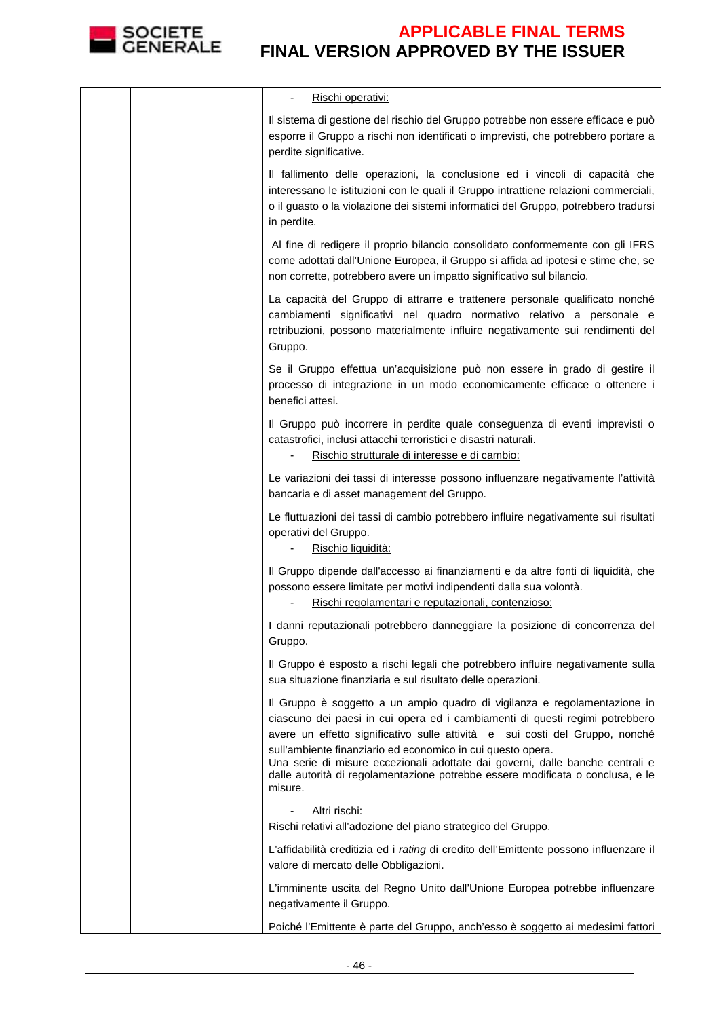

|  | Rischi operativi:                                                                                                                                                                                                                                                                                                                                                                                                                                                                      |
|--|----------------------------------------------------------------------------------------------------------------------------------------------------------------------------------------------------------------------------------------------------------------------------------------------------------------------------------------------------------------------------------------------------------------------------------------------------------------------------------------|
|  | Il sistema di gestione del rischio del Gruppo potrebbe non essere efficace e può<br>esporre il Gruppo a rischi non identificati o imprevisti, che potrebbero portare a<br>perdite significative.                                                                                                                                                                                                                                                                                       |
|  | Il fallimento delle operazioni, la conclusione ed i vincoli di capacità che<br>interessano le istituzioni con le quali il Gruppo intrattiene relazioni commerciali,<br>o il guasto o la violazione dei sistemi informatici del Gruppo, potrebbero tradursi<br>in perdite.                                                                                                                                                                                                              |
|  | Al fine di redigere il proprio bilancio consolidato conformemente con gli IFRS<br>come adottati dall'Unione Europea, il Gruppo si affida ad ipotesi e stime che, se<br>non corrette, potrebbero avere un impatto significativo sul bilancio.                                                                                                                                                                                                                                           |
|  | La capacità del Gruppo di attrarre e trattenere personale qualificato nonché<br>cambiamenti significativi nel quadro normativo relativo a personale e<br>retribuzioni, possono materialmente influire negativamente sui rendimenti del<br>Gruppo.                                                                                                                                                                                                                                      |
|  | Se il Gruppo effettua un'acquisizione può non essere in grado di gestire il<br>processo di integrazione in un modo economicamente efficace o ottenere i<br>benefici attesi.                                                                                                                                                                                                                                                                                                            |
|  | Il Gruppo può incorrere in perdite quale conseguenza di eventi imprevisti o<br>catastrofici, inclusi attacchi terroristici e disastri naturali.<br>Rischio strutturale di interesse e di cambio:                                                                                                                                                                                                                                                                                       |
|  | Le variazioni dei tassi di interesse possono influenzare negativamente l'attività<br>bancaria e di asset management del Gruppo.                                                                                                                                                                                                                                                                                                                                                        |
|  | Le fluttuazioni dei tassi di cambio potrebbero influire negativamente sui risultati<br>operativi del Gruppo.<br>Rischio liquidità:                                                                                                                                                                                                                                                                                                                                                     |
|  | Il Gruppo dipende dall'accesso ai finanziamenti e da altre fonti di liquidità, che<br>possono essere limitate per motivi indipendenti dalla sua volontà.<br>Rischi regolamentari e reputazionali, contenzioso:                                                                                                                                                                                                                                                                         |
|  | I danni reputazionali potrebbero danneggiare la posizione di concorrenza del<br>Gruppo.                                                                                                                                                                                                                                                                                                                                                                                                |
|  | Il Gruppo è esposto a rischi legali che potrebbero influire negativamente sulla<br>sua situazione finanziaria e sul risultato delle operazioni.                                                                                                                                                                                                                                                                                                                                        |
|  | Il Gruppo è soggetto a un ampio quadro di vigilanza e regolamentazione in<br>ciascuno dei paesi in cui opera ed i cambiamenti di questi regimi potrebbero<br>avere un effetto significativo sulle attività e sui costi del Gruppo, nonché<br>sull'ambiente finanziario ed economico in cui questo opera.<br>Una serie di misure eccezionali adottate dai governi, dalle banche centrali e<br>dalle autorità di regolamentazione potrebbe essere modificata o conclusa, e le<br>misure. |
|  | <u>Altri rischi:</u><br>Rischi relativi all'adozione del piano strategico del Gruppo.                                                                                                                                                                                                                                                                                                                                                                                                  |
|  | L'affidabilità creditizia ed i rating di credito dell'Emittente possono influenzare il<br>valore di mercato delle Obbligazioni.                                                                                                                                                                                                                                                                                                                                                        |
|  | L'imminente uscita del Regno Unito dall'Unione Europea potrebbe influenzare<br>negativamente il Gruppo.                                                                                                                                                                                                                                                                                                                                                                                |
|  | Poiché l'Emittente è parte del Gruppo, anch'esso è soggetto ai medesimi fattori                                                                                                                                                                                                                                                                                                                                                                                                        |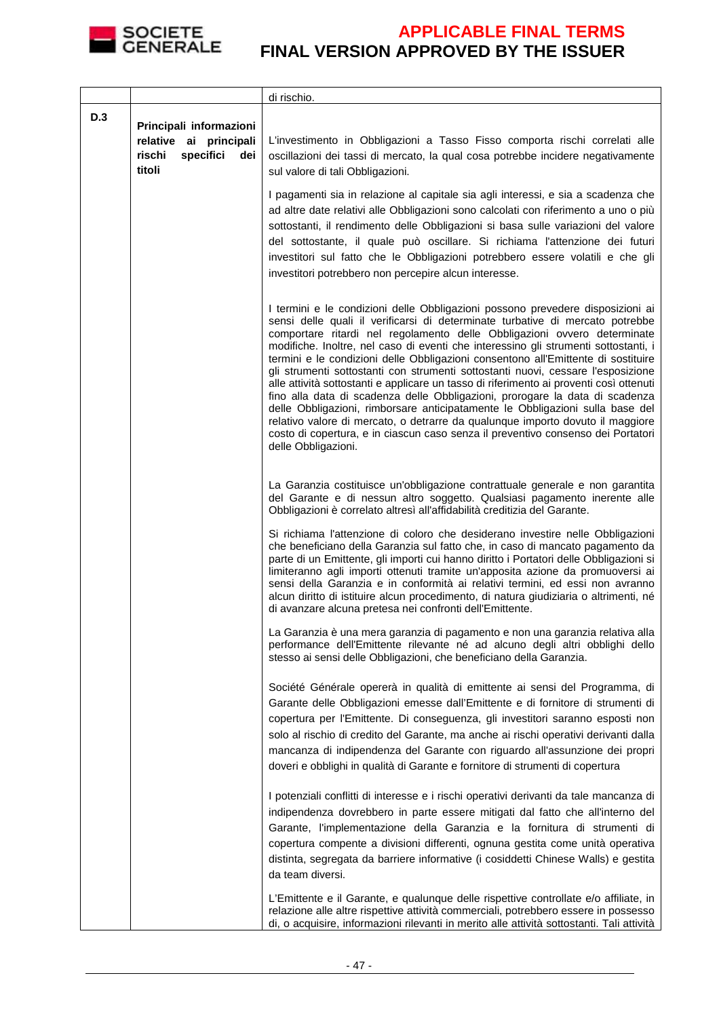

|     |                                                                                           | di rischio.                                                                                                                                                                                                                                                                                                                                                                                                                                                                                                                                                                                                                                                                                                                                                                                                                                                                                                                                                          |
|-----|-------------------------------------------------------------------------------------------|----------------------------------------------------------------------------------------------------------------------------------------------------------------------------------------------------------------------------------------------------------------------------------------------------------------------------------------------------------------------------------------------------------------------------------------------------------------------------------------------------------------------------------------------------------------------------------------------------------------------------------------------------------------------------------------------------------------------------------------------------------------------------------------------------------------------------------------------------------------------------------------------------------------------------------------------------------------------|
| D.3 | Principali informazioni<br>relative ai principali<br>rischi<br>specifici<br>dei<br>titoli | L'investimento in Obbligazioni a Tasso Fisso comporta rischi correlati alle<br>oscillazioni dei tassi di mercato, la qual cosa potrebbe incidere negativamente<br>sul valore di tali Obbligazioni.                                                                                                                                                                                                                                                                                                                                                                                                                                                                                                                                                                                                                                                                                                                                                                   |
|     |                                                                                           | I pagamenti sia in relazione al capitale sia agli interessi, e sia a scadenza che<br>ad altre date relativi alle Obbligazioni sono calcolati con riferimento a uno o più<br>sottostanti, il rendimento delle Obbligazioni si basa sulle variazioni del valore<br>del sottostante, il quale può oscillare. Si richiama l'attenzione dei futuri<br>investitori sul fatto che le Obbligazioni potrebbero essere volatili e che gli<br>investitori potrebbero non percepire alcun interesse.                                                                                                                                                                                                                                                                                                                                                                                                                                                                             |
|     |                                                                                           | I termini e le condizioni delle Obbligazioni possono prevedere disposizioni ai<br>sensi delle quali il verificarsi di determinate turbative di mercato potrebbe<br>comportare ritardi nel regolamento delle Obbligazioni ovvero determinate<br>modifiche. Inoltre, nel caso di eventi che interessino gli strumenti sottostanti, i<br>termini e le condizioni delle Obbligazioni consentono all'Emittente di sostituire<br>gli strumenti sottostanti con strumenti sottostanti nuovi, cessare l'esposizione<br>alle attività sottostanti e applicare un tasso di riferimento ai proventi così ottenuti<br>fino alla data di scadenza delle Obbligazioni, prorogare la data di scadenza<br>delle Obbligazioni, rimborsare anticipatamente le Obbligazioni sulla base del<br>relativo valore di mercato, o detrarre da qualunque importo dovuto il maggiore<br>costo di copertura, e in ciascun caso senza il preventivo consenso dei Portatori<br>delle Obbligazioni. |
|     |                                                                                           | La Garanzia costituisce un'obbligazione contrattuale generale e non garantita<br>del Garante e di nessun altro soggetto. Qualsiasi pagamento inerente alle<br>Obbligazioni è correlato altresì all'affidabilità creditizia del Garante.                                                                                                                                                                                                                                                                                                                                                                                                                                                                                                                                                                                                                                                                                                                              |
|     |                                                                                           | Si richiama l'attenzione di coloro che desiderano investire nelle Obbligazioni<br>che beneficiano della Garanzia sul fatto che, in caso di mancato pagamento da<br>parte di un Emittente, gli importi cui hanno diritto i Portatori delle Obbligazioni si<br>limiteranno agli importi ottenuti tramite un'apposita azione da promuoversi ai<br>sensi della Garanzia e in conformità ai relativi termini, ed essi non avranno<br>alcun diritto di istituire alcun procedimento, di natura giudiziaria o altrimenti, né<br>di avanzare alcuna pretesa nei confronti dell'Emittente.                                                                                                                                                                                                                                                                                                                                                                                    |
|     |                                                                                           | La Garanzia è una mera garanzia di pagamento e non una garanzia relativa alla<br>performance dell'Emittente rilevante né ad alcuno degli altri obblighi dello<br>stesso ai sensi delle Obbligazioni, che beneficiano della Garanzia.                                                                                                                                                                                                                                                                                                                                                                                                                                                                                                                                                                                                                                                                                                                                 |
|     |                                                                                           | Société Générale opererà in qualità di emittente ai sensi del Programma, di<br>Garante delle Obbligazioni emesse dall'Emittente e di fornitore di strumenti di<br>copertura per l'Emittente. Di conseguenza, gli investitori saranno esposti non<br>solo al rischio di credito del Garante, ma anche ai rischi operativi derivanti dalla<br>mancanza di indipendenza del Garante con riguardo all'assunzione dei propri<br>doveri e obblighi in qualità di Garante e fornitore di strumenti di copertura                                                                                                                                                                                                                                                                                                                                                                                                                                                             |
|     |                                                                                           | I potenziali conflitti di interesse e i rischi operativi derivanti da tale mancanza di<br>indipendenza dovrebbero in parte essere mitigati dal fatto che all'interno del<br>Garante, l'implementazione della Garanzia e la fornitura di strumenti di<br>copertura compente a divisioni differenti, ognuna gestita come unità operativa<br>distinta, segregata da barriere informative (i cosiddetti Chinese Walls) e gestita<br>da team diversi.                                                                                                                                                                                                                                                                                                                                                                                                                                                                                                                     |
|     |                                                                                           | L'Emittente e il Garante, e qualunque delle rispettive controllate e/o affiliate, in<br>relazione alle altre rispettive attività commerciali, potrebbero essere in possesso<br>di, o acquisire, informazioni rilevanti in merito alle attività sottostanti. Tali attività                                                                                                                                                                                                                                                                                                                                                                                                                                                                                                                                                                                                                                                                                            |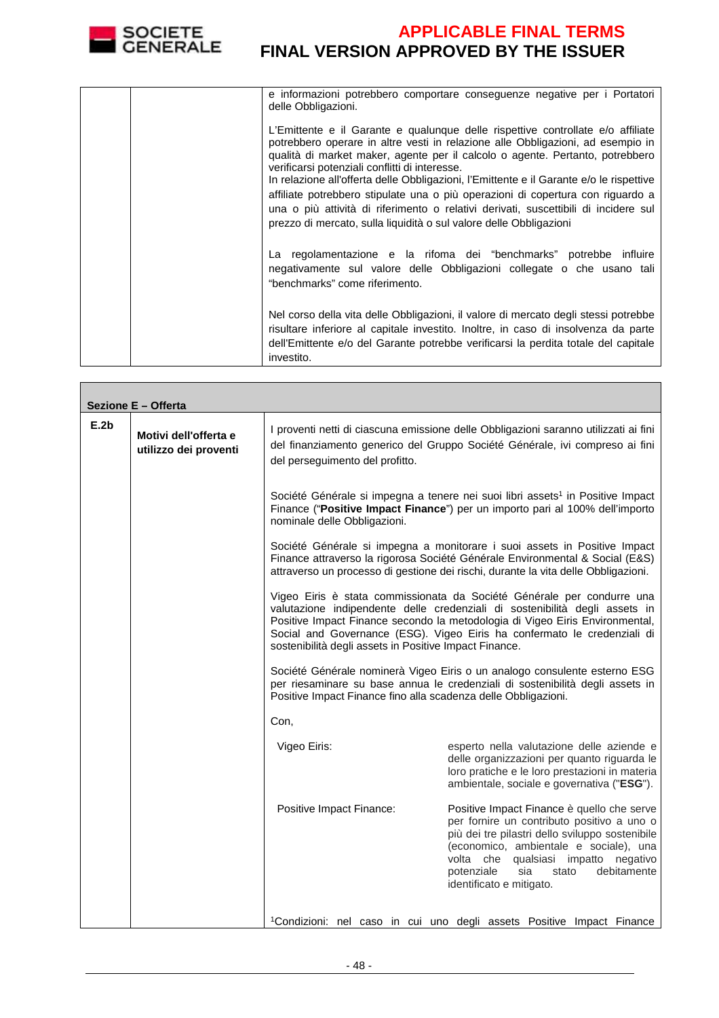

| e informazioni potrebbero comportare conseguenze negative per i Portatori<br>delle Obbligazioni.                                                                                                                                                                                                                                                                                                                                                                                                                                                                                                                                                 |
|--------------------------------------------------------------------------------------------------------------------------------------------------------------------------------------------------------------------------------------------------------------------------------------------------------------------------------------------------------------------------------------------------------------------------------------------------------------------------------------------------------------------------------------------------------------------------------------------------------------------------------------------------|
| L'Emittente e il Garante e qualunque delle rispettive controllate e/o affiliate<br>potrebbero operare in altre vesti in relazione alle Obbligazioni, ad esempio in<br>qualità di market maker, agente per il calcolo o agente. Pertanto, potrebbero<br>verificarsi potenziali conflitti di interesse.<br>In relazione all'offerta delle Obbligazioni, l'Emittente e il Garante e/o le rispettive<br>affiliate potrebbero stipulate una o più operazioni di copertura con riguardo a<br>una o più attività di riferimento o relativi derivati, suscettibili di incidere sul<br>prezzo di mercato, sulla liquidità o sul valore delle Obbligazioni |
| La regolamentazione e la rifoma dei "benchmarks" potrebbe influire<br>negativamente sul valore delle Obbligazioni collegate o che usano tali<br>"benchmarks" come riferimento.                                                                                                                                                                                                                                                                                                                                                                                                                                                                   |
| Nel corso della vita delle Obbligazioni, il valore di mercato degli stessi potrebbe<br>risultare inferiore al capitale investito. Inoltre, in caso di insolvenza da parte<br>dell'Emittente e/o del Garante potrebbe verificarsi la perdita totale del capitale<br>investito.                                                                                                                                                                                                                                                                                                                                                                    |

| Sezione E - Offerta |                                                |                                                                |                                                                                                                                                                                                                                                                                                                   |  |
|---------------------|------------------------------------------------|----------------------------------------------------------------|-------------------------------------------------------------------------------------------------------------------------------------------------------------------------------------------------------------------------------------------------------------------------------------------------------------------|--|
| E.2b                | Motivi dell'offerta e<br>utilizzo dei proventi | del perseguimento del profitto.                                | I proventi netti di ciascuna emissione delle Obbligazioni saranno utilizzati ai fini<br>del finanziamento generico del Gruppo Société Générale, ivi compreso ai fini                                                                                                                                              |  |
|                     |                                                | nominale delle Obbligazioni.                                   | Société Générale si impegna a tenere nei suoi libri assets <sup>1</sup> in Positive Impact<br>Finance ("Positive Impact Finance") per un importo pari al 100% dell'importo                                                                                                                                        |  |
|                     |                                                |                                                                | Société Générale si impegna a monitorare i suoi assets in Positive Impact<br>Finance attraverso la rigorosa Société Générale Environmental & Social (E&S)<br>attraverso un processo di gestione dei rischi, durante la vita delle Obbligazioni.                                                                   |  |
|                     |                                                | sostenibilità degli assets in Positive Impact Finance.         | Vigeo Eiris è stata commissionata da Société Générale per condurre una<br>valutazione indipendente delle credenziali di sostenibilità degli assets in<br>Positive Impact Finance secondo la metodologia di Vigeo Eiris Environmental,<br>Social and Governance (ESG). Vigeo Eiris ha confermato le credenziali di |  |
|                     |                                                | Positive Impact Finance fino alla scadenza delle Obbligazioni. | Société Générale nominerà Vigeo Eiris o un analogo consulente esterno ESG<br>per riesaminare su base annua le credenziali di sostenibilità degli assets in                                                                                                                                                        |  |
|                     |                                                | Con,                                                           |                                                                                                                                                                                                                                                                                                                   |  |
|                     |                                                | Vigeo Eiris:                                                   | esperto nella valutazione delle aziende e<br>delle organizzazioni per quanto riguarda le<br>loro pratiche e le loro prestazioni in materia<br>ambientale, sociale e governativa ("ESG").                                                                                                                          |  |
|                     |                                                | Positive Impact Finance:                                       | Positive Impact Finance è quello che serve<br>per fornire un contributo positivo a uno o<br>più dei tre pilastri dello sviluppo sostenibile<br>(economico, ambientale e sociale), una<br>volta che<br>qualsiasi impatto negativo<br>potenziale<br>sia<br>debitamente<br>stato<br>identificato e mitigato.         |  |
|                     |                                                |                                                                | <sup>1</sup> Condizioni: nel caso in cui uno degli assets Positive Impact Finance                                                                                                                                                                                                                                 |  |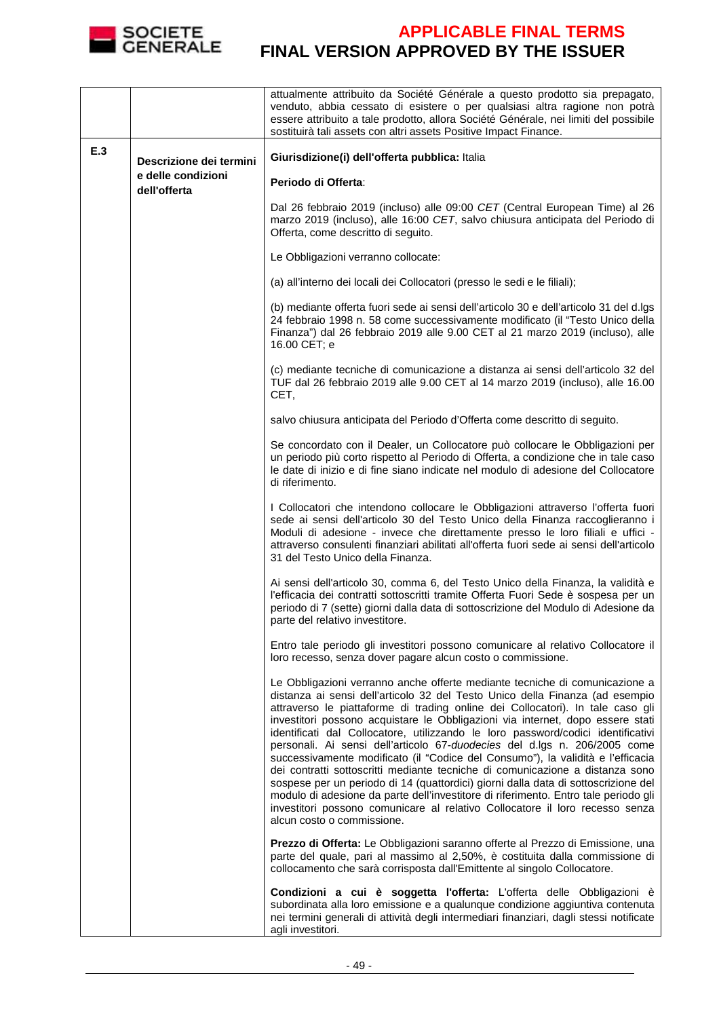

|                                |                                    | attualmente attribuito da Société Générale a questo prodotto sia prepagato,<br>venduto, abbia cessato di esistere o per qualsiasi altra ragione non potrà<br>essere attribuito a tale prodotto, allora Société Générale, nei limiti del possibile<br>sostituirà tali assets con altri assets Positive Impact Finance.                                                                                                                                                                                                                                                                                                                                                                                                                                                                                                                                                                                                                                           |
|--------------------------------|------------------------------------|-----------------------------------------------------------------------------------------------------------------------------------------------------------------------------------------------------------------------------------------------------------------------------------------------------------------------------------------------------------------------------------------------------------------------------------------------------------------------------------------------------------------------------------------------------------------------------------------------------------------------------------------------------------------------------------------------------------------------------------------------------------------------------------------------------------------------------------------------------------------------------------------------------------------------------------------------------------------|
| E.3<br>Descrizione dei termini |                                    | Giurisdizione(i) dell'offerta pubblica: Italia                                                                                                                                                                                                                                                                                                                                                                                                                                                                                                                                                                                                                                                                                                                                                                                                                                                                                                                  |
|                                | e delle condizioni<br>dell'offerta | Periodo di Offerta:                                                                                                                                                                                                                                                                                                                                                                                                                                                                                                                                                                                                                                                                                                                                                                                                                                                                                                                                             |
|                                |                                    | Dal 26 febbraio 2019 (incluso) alle 09:00 CET (Central European Time) al 26<br>marzo 2019 (incluso), alle 16:00 CET, salvo chiusura anticipata del Periodo di<br>Offerta, come descritto di seguito.                                                                                                                                                                                                                                                                                                                                                                                                                                                                                                                                                                                                                                                                                                                                                            |
|                                |                                    | Le Obbligazioni verranno collocate:                                                                                                                                                                                                                                                                                                                                                                                                                                                                                                                                                                                                                                                                                                                                                                                                                                                                                                                             |
|                                |                                    | (a) all'interno dei locali dei Collocatori (presso le sedi e le filiali);                                                                                                                                                                                                                                                                                                                                                                                                                                                                                                                                                                                                                                                                                                                                                                                                                                                                                       |
|                                |                                    | (b) mediante offerta fuori sede ai sensi dell'articolo 30 e dell'articolo 31 del d.lgs<br>24 febbraio 1998 n. 58 come successivamente modificato (il "Testo Unico della<br>Finanza") dal 26 febbraio 2019 alle 9.00 CET al 21 marzo 2019 (incluso), alle<br>16.00 CET; e                                                                                                                                                                                                                                                                                                                                                                                                                                                                                                                                                                                                                                                                                        |
|                                |                                    | (c) mediante tecniche di comunicazione a distanza ai sensi dell'articolo 32 del<br>TUF dal 26 febbraio 2019 alle 9.00 CET al 14 marzo 2019 (incluso), alle 16.00<br>CET,                                                                                                                                                                                                                                                                                                                                                                                                                                                                                                                                                                                                                                                                                                                                                                                        |
|                                |                                    | salvo chiusura anticipata del Periodo d'Offerta come descritto di seguito.                                                                                                                                                                                                                                                                                                                                                                                                                                                                                                                                                                                                                                                                                                                                                                                                                                                                                      |
|                                |                                    | Se concordato con il Dealer, un Collocatore può collocare le Obbligazioni per<br>un periodo più corto rispetto al Periodo di Offerta, a condizione che in tale caso<br>le date di inizio e di fine siano indicate nel modulo di adesione del Collocatore<br>di riferimento.                                                                                                                                                                                                                                                                                                                                                                                                                                                                                                                                                                                                                                                                                     |
|                                |                                    | I Collocatori che intendono collocare le Obbligazioni attraverso l'offerta fuori<br>sede ai sensi dell'articolo 30 del Testo Unico della Finanza raccoglieranno i<br>Moduli di adesione - invece che direttamente presso le loro filiali e uffici -<br>attraverso consulenti finanziari abilitati all'offerta fuori sede ai sensi dell'articolo<br>31 del Testo Unico della Finanza.                                                                                                                                                                                                                                                                                                                                                                                                                                                                                                                                                                            |
|                                |                                    | Ai sensi dell'articolo 30, comma 6, del Testo Unico della Finanza, la validità e<br>l'efficacia dei contratti sottoscritti tramite Offerta Fuori Sede è sospesa per un<br>periodo di 7 (sette) giorni dalla data di sottoscrizione del Modulo di Adesione da<br>parte del relativo investitore.                                                                                                                                                                                                                                                                                                                                                                                                                                                                                                                                                                                                                                                                 |
|                                |                                    | Entro tale periodo gli investitori possono comunicare al relativo Collocatore il<br>loro recesso, senza dover pagare alcun costo o commissione.                                                                                                                                                                                                                                                                                                                                                                                                                                                                                                                                                                                                                                                                                                                                                                                                                 |
|                                |                                    | Le Obbligazioni verranno anche offerte mediante tecniche di comunicazione a<br>distanza ai sensi dell'articolo 32 del Testo Unico della Finanza (ad esempio<br>attraverso le piattaforme di trading online dei Collocatori). In tale caso gli<br>investitori possono acquistare le Obbligazioni via internet, dopo essere stati<br>identificati dal Collocatore, utilizzando le loro password/codici identificativi<br>personali. Ai sensi dell'articolo 67-duodecies del d.lgs n. 206/2005 come<br>successivamente modificato (il "Codice del Consumo"), la validità e l'efficacia<br>dei contratti sottoscritti mediante tecniche di comunicazione a distanza sono<br>sospese per un periodo di 14 (quattordici) giorni dalla data di sottoscrizione del<br>modulo di adesione da parte dell'investitore di riferimento. Entro tale periodo gli<br>investitori possono comunicare al relativo Collocatore il loro recesso senza<br>alcun costo o commissione. |
|                                |                                    | Prezzo di Offerta: Le Obbligazioni saranno offerte al Prezzo di Emissione, una<br>parte del quale, pari al massimo al 2,50%, è costituita dalla commissione di<br>collocamento che sarà corrisposta dall'Emittente al singolo Collocatore.                                                                                                                                                                                                                                                                                                                                                                                                                                                                                                                                                                                                                                                                                                                      |
|                                |                                    | Condizioni a cui è soggetta l'offerta: L'offerta delle Obbligazioni è<br>subordinata alla loro emissione e a qualunque condizione aggiuntiva contenuta<br>nei termini generali di attività degli intermediari finanziari, dagli stessi notificate<br>agli investitori.                                                                                                                                                                                                                                                                                                                                                                                                                                                                                                                                                                                                                                                                                          |